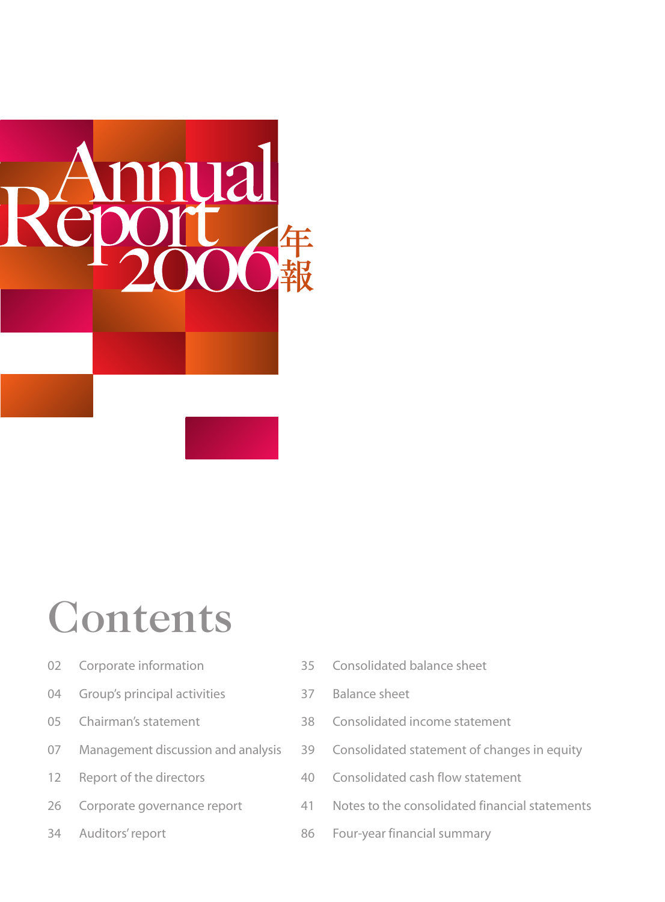

# Contents

- 02 Corporate information
- 04 Group's principal activities
- 05 Chairman's statement
- 07 Management discussion and analysis
- 12 Report of the directors
- 26 Corporate governance report
- 34 Auditors' report
- 35 Consolidated balance sheet
- 37 Balance sheet
- 38 Consolidated income statement
- 39 Consolidated statement of changes in equity
- 40 Consolidated cash flow statement
- 41 Notes to the consolidated financial statements
- 86 Four-year financial summary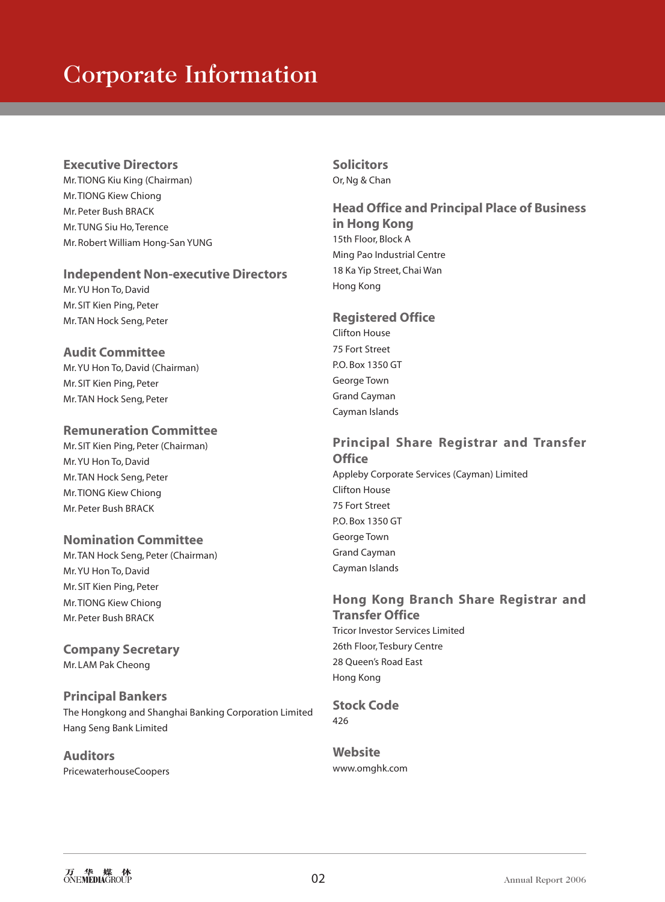# Corporate Information

#### **Executive Directors**

Mr. TIONG Kiu King (Chairman) Mr. TIONG Kiew Chiong Mr. Peter Bush BRACK Mr. TUNG Siu Ho, Terence Mr. Robert William Hong-San YUNG

#### **Independent Non-executive Directors**

Mr. YU Hon To, David Mr. SIT Kien Ping, Peter Mr. TAN Hock Seng, Peter

## **Audit Committee**

Mr. YU Hon To, David (Chairman) Mr. SIT Kien Ping, Peter Mr. TAN Hock Seng, Peter

## **Remuneration Committee**

Mr. SIT Kien Ping, Peter (Chairman) Mr. YU Hon To, David Mr. TAN Hock Seng, Peter Mr. TIONG Kiew Chiong Mr. Peter Bush BRACK

## **Nomination Committee**

Mr. TAN Hock Seng, Peter (Chairman) Mr. YU Hon To, David Mr. SIT Kien Ping, Peter Mr. TIONG Kiew Chiong Mr. Peter Bush BRACK

#### **Company Secretary** Mr. LAM Pak Cheong

## **Principal Bankers** The Hongkong and Shanghai Banking Corporation Limited Hang Seng Bank Limited

**Auditors** PricewaterhouseCoopers

## **Solicitors** Or, Ng & Chan

**Head Office and Principal Place of Business in Hong Kong** 15th Floor, Block A Ming Pao Industrial Centre 18 Ka Yip Street, Chai Wan Hong Kong

## **Registered Office**

Clifton House 75 Fort Street P.O. Box 1350 GT George Town Grand Cayman Cayman Islands

## **Principal Share Registrar and Transfer Office**

Appleby Corporate Services (Cayman) Limited Clifton House 75 Fort Street P.O. Box 1350 GT George Town Grand Cayman Cayman Islands

#### **Hong Kong Branch Share Registrar and Transfer Office** Tricor Investor Services Limited

26th Floor, Tesbury Centre 28 Queen's Road East Hong Kong

**Stock Code** 426

**Website** www.omghk.com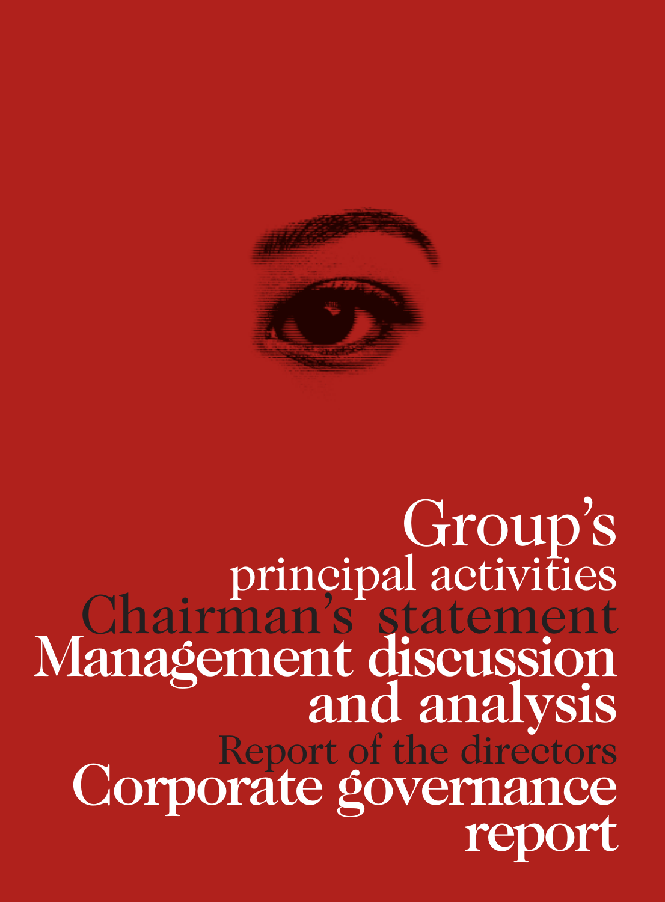

# Management discussion and analysis Group's principal activities Chairman's statement Report of the directors<br>Corporate governance<br>report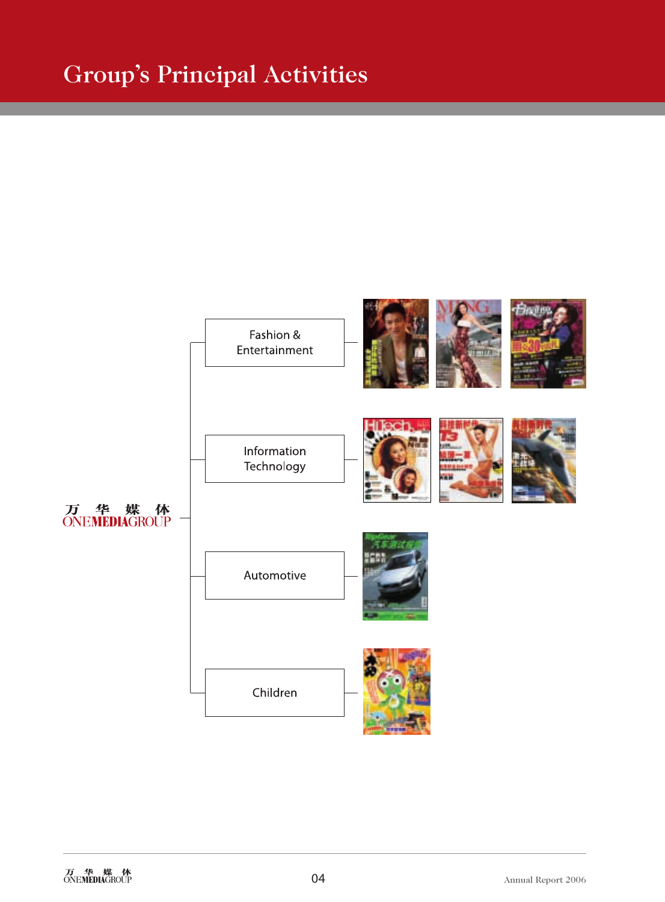# Group's Principal Activities

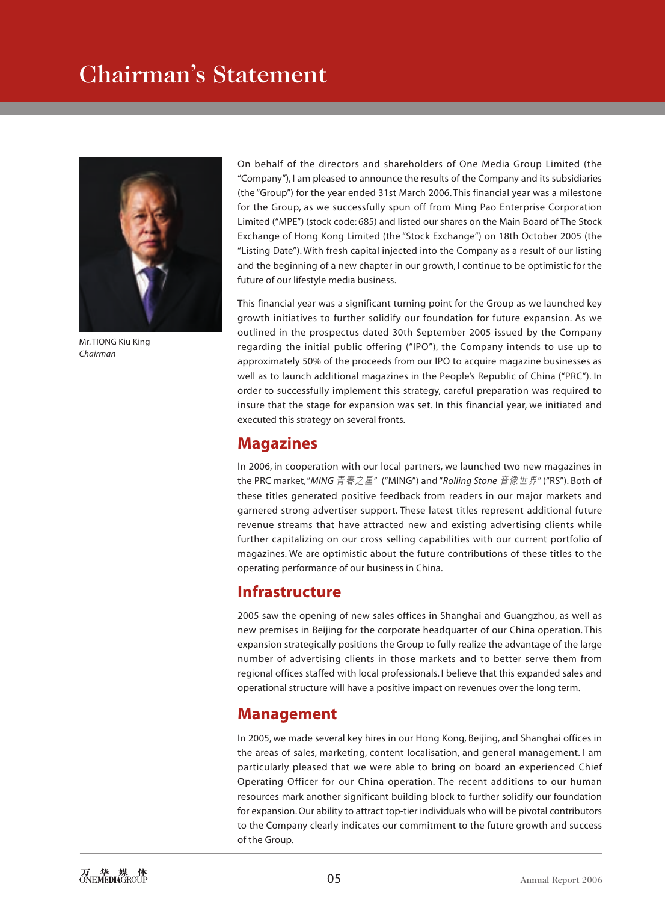# Chairman's Statement



Mr. TIONG Kiu King *Chairman*

On behalf of the directors and shareholders of One Media Group Limited (the "Company"), I am pleased to announce the results of the Company and its subsidiaries (the "Group") for the year ended 31st March 2006. This financial year was a milestone for the Group, as we successfully spun off from Ming Pao Enterprise Corporation Limited ("MPE") (stock code: 685) and listed our shares on the Main Board of The Stock Exchange of Hong Kong Limited (the "Stock Exchange") on 18th October 2005 (the "Listing Date"). With fresh capital injected into the Company as a result of our listing and the beginning of a new chapter in our growth, I continue to be optimistic for the future of our lifestyle media business.

This financial year was a significant turning point for the Group as we launched key growth initiatives to further solidify our foundation for future expansion. As we outlined in the prospectus dated 30th September 2005 issued by the Company regarding the initial public offering ("IPO"), the Company intends to use up to approximately 50% of the proceeds from our IPO to acquire magazine businesses as well as to launch additional magazines in the People's Republic of China ("PRC"). In order to successfully implement this strategy, careful preparation was required to insure that the stage for expansion was set. In this financial year, we initiated and executed this strategy on several fronts.

## **Magazines**

In 2006, in cooperation with our local partners, we launched two new magazines in the PRC market, "*MING* 青春之星" ("MING") and "*Rolling Stone* 音像世界" ("RS"). Both of these titles generated positive feedback from readers in our major markets and garnered strong advertiser support. These latest titles represent additional future revenue streams that have attracted new and existing advertising clients while further capitalizing on our cross selling capabilities with our current portfolio of magazines. We are optimistic about the future contributions of these titles to the operating performance of our business in China.

## **Infrastructure**

2005 saw the opening of new sales offices in Shanghai and Guangzhou, as well as new premises in Beijing for the corporate headquarter of our China operation. This expansion strategically positions the Group to fully realize the advantage of the large number of advertising clients in those markets and to better serve them from regional offices staffed with local professionals. I believe that this expanded sales and operational structure will have a positive impact on revenues over the long term.

## **Management**

In 2005, we made several key hires in our Hong Kong, Beijing, and Shanghai offices in the areas of sales, marketing, content localisation, and general management. I am particularly pleased that we were able to bring on board an experienced Chief Operating Officer for our China operation. The recent additions to our human resources mark another significant building block to further solidify our foundation for expansion. Our ability to attract top-tier individuals who will be pivotal contributors to the Company clearly indicates our commitment to the future growth and success of the Group.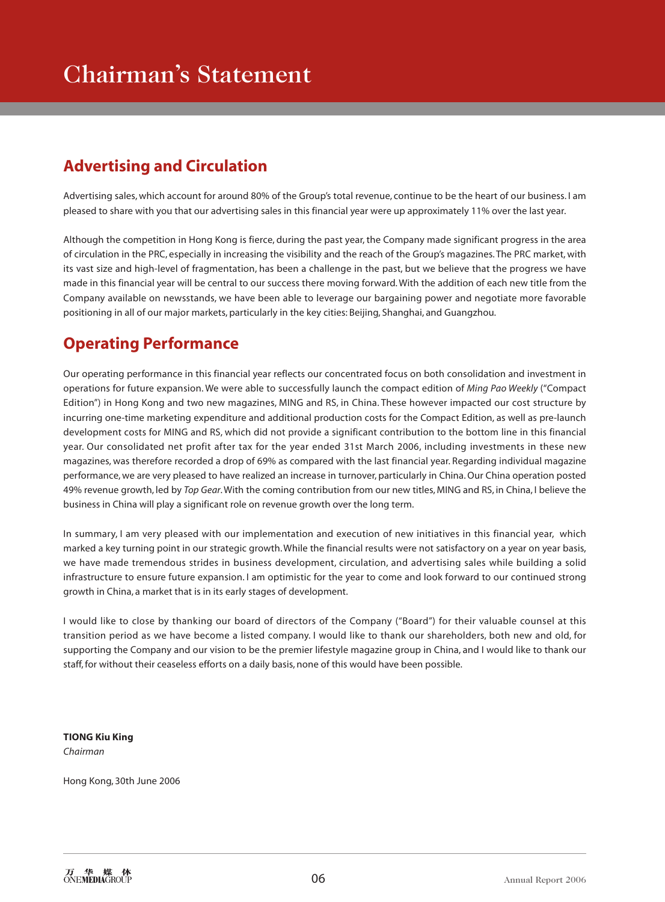# **Advertising and Circulation**

Advertising sales, which account for around 80% of the Group's total revenue, continue to be the heart of our business. I am pleased to share with you that our advertising sales in this financial year were up approximately 11% over the last year.

Although the competition in Hong Kong is fierce, during the past year, the Company made significant progress in the area of circulation in the PRC, especially in increasing the visibility and the reach of the Group's magazines. The PRC market, with its vast size and high-level of fragmentation, has been a challenge in the past, but we believe that the progress we have made in this financial year will be central to our success there moving forward. With the addition of each new title from the Company available on newsstands, we have been able to leverage our bargaining power and negotiate more favorable positioning in all of our major markets, particularly in the key cities: Beijing, Shanghai, and Guangzhou.

# **Operating Performance**

Our operating performance in this financial year reflects our concentrated focus on both consolidation and investment in operations for future expansion. We were able to successfully launch the compact edition of *Ming Pao Weekly* ("Compact Edition") in Hong Kong and two new magazines, MING and RS, in China. These however impacted our cost structure by incurring one-time marketing expenditure and additional production costs for the Compact Edition, as well as pre-launch development costs for MING and RS, which did not provide a significant contribution to the bottom line in this financial year. Our consolidated net profit after tax for the year ended 31st March 2006, including investments in these new magazines, was therefore recorded a drop of 69% as compared with the last financial year. Regarding individual magazine performance, we are very pleased to have realized an increase in turnover, particularly in China. Our China operation posted 49% revenue growth, led by *Top Gear*. With the coming contribution from our new titles, MING and RS, in China, I believe the business in China will play a significant role on revenue growth over the long term.

In summary, I am very pleased with our implementation and execution of new initiatives in this financial year, which marked a key turning point in our strategic growth. While the financial results were not satisfactory on a year on year basis, we have made tremendous strides in business development, circulation, and advertising sales while building a solid infrastructure to ensure future expansion. I am optimistic for the year to come and look forward to our continued strong growth in China, a market that is in its early stages of development.

I would like to close by thanking our board of directors of the Company ("Board") for their valuable counsel at this transition period as we have become a listed company. I would like to thank our shareholders, both new and old, for supporting the Company and our vision to be the premier lifestyle magazine group in China, and I would like to thank our staff, for without their ceaseless efforts on a daily basis, none of this would have been possible.

**TIONG Kiu King** *Chairman*

Hong Kong, 30th June 2006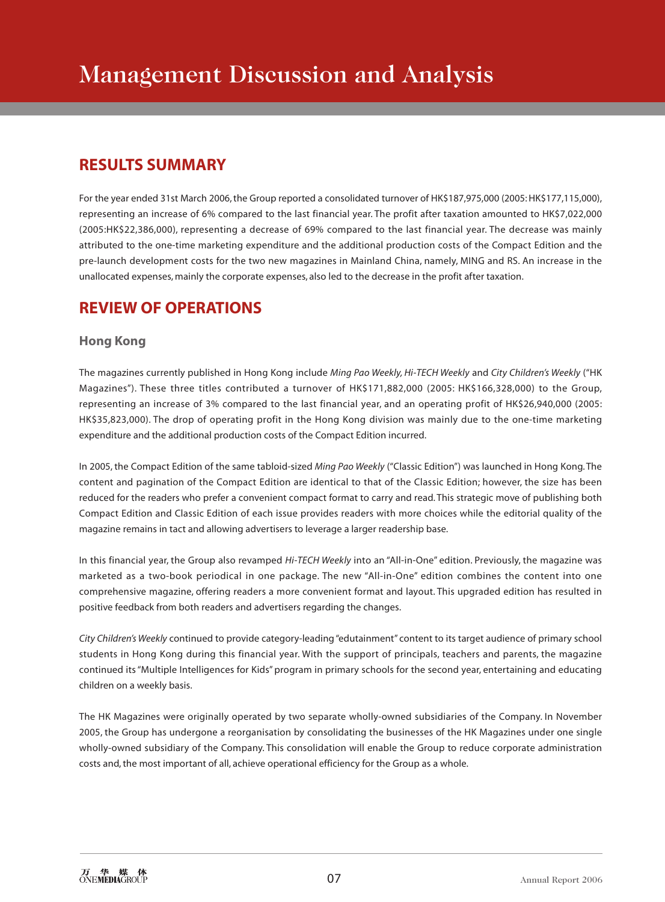## **RESULTS SUMMARY**

For the year ended 31st March 2006, the Group reported a consolidated turnover of HK\$187,975,000 (2005: HK\$177,115,000), representing an increase of 6% compared to the last financial year. The profit after taxation amounted to HK\$7,022,000 (2005:HK\$22,386,000), representing a decrease of 69% compared to the last financial year. The decrease was mainly attributed to the one-time marketing expenditure and the additional production costs of the Compact Edition and the pre-launch development costs for the two new magazines in Mainland China, namely, MING and RS. An increase in the unallocated expenses, mainly the corporate expenses, also led to the decrease in the profit after taxation.

# **REVIEW OF OPERATIONS**

## **Hong Kong**

The magazines currently published in Hong Kong include *Ming Pao Weekly, Hi-TECH Weekly* and *City Children's Weekly* ("HK Magazines"). These three titles contributed a turnover of HK\$171,882,000 (2005: HK\$166,328,000) to the Group, representing an increase of 3% compared to the last financial year, and an operating profit of HK\$26,940,000 (2005: HK\$35,823,000). The drop of operating profit in the Hong Kong division was mainly due to the one-time marketing expenditure and the additional production costs of the Compact Edition incurred.

In 2005, the Compact Edition of the same tabloid-sized *Ming Pao Weekly* ("Classic Edition") was launched in Hong Kong. The content and pagination of the Compact Edition are identical to that of the Classic Edition; however, the size has been reduced for the readers who prefer a convenient compact format to carry and read. This strategic move of publishing both Compact Edition and Classic Edition of each issue provides readers with more choices while the editorial quality of the magazine remains in tact and allowing advertisers to leverage a larger readership base.

In this financial year, the Group also revamped *Hi-TECH Weekly* into an "All-in-One" edition. Previously, the magazine was marketed as a two-book periodical in one package. The new "All-in-One" edition combines the content into one comprehensive magazine, offering readers a more convenient format and layout. This upgraded edition has resulted in positive feedback from both readers and advertisers regarding the changes.

*City Children's Weekly* continued to provide category-leading "edutainment" content to its target audience of primary school students in Hong Kong during this financial year. With the support of principals, teachers and parents, the magazine continued its "Multiple Intelligences for Kids" program in primary schools for the second year, entertaining and educating children on a weekly basis.

The HK Magazines were originally operated by two separate wholly-owned subsidiaries of the Company. In November 2005, the Group has undergone a reorganisation by consolidating the businesses of the HK Magazines under one single wholly-owned subsidiary of the Company. This consolidation will enable the Group to reduce corporate administration costs and, the most important of all, achieve operational efficiency for the Group as a whole.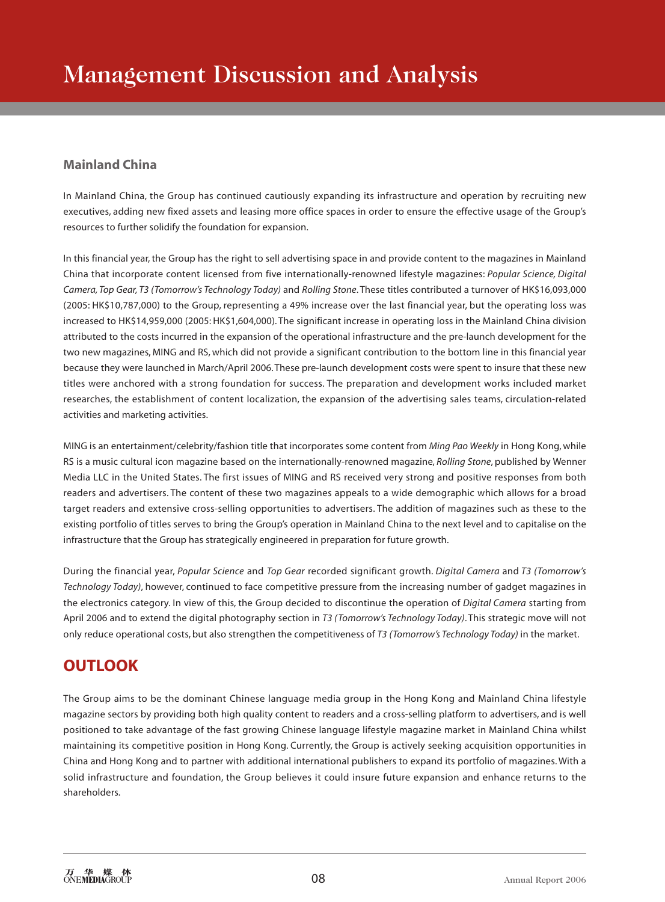## **Mainland China**

In Mainland China, the Group has continued cautiously expanding its infrastructure and operation by recruiting new executives, adding new fixed assets and leasing more office spaces in order to ensure the effective usage of the Group's resources to further solidify the foundation for expansion.

In this financial year, the Group has the right to sell advertising space in and provide content to the magazines in Mainland China that incorporate content licensed from five internationally-renowned lifestyle magazines: *Popular Science, Digital Camera, Top Gear, T3 (Tomorrow's Technology Today)* and *Rolling Stone*. These titles contributed a turnover of HK\$16,093,000 (2005: HK\$10,787,000) to the Group, representing a 49% increase over the last financial year, but the operating loss was increased to HK\$14,959,000 (2005: HK\$1,604,000). The significant increase in operating loss in the Mainland China division attributed to the costs incurred in the expansion of the operational infrastructure and the pre-launch development for the two new magazines, MING and RS, which did not provide a significant contribution to the bottom line in this financial year because they were launched in March/April 2006. These pre-launch development costs were spent to insure that these new titles were anchored with a strong foundation for success. The preparation and development works included market researches, the establishment of content localization, the expansion of the advertising sales teams, circulation-related activities and marketing activities.

MING is an entertainment/celebrity/fashion title that incorporates some content from *Ming Pao Weekly* in Hong Kong, while RS is a music cultural icon magazine based on the internationally-renowned magazine, *Rolling Stone*, published by Wenner Media LLC in the United States. The first issues of MING and RS received very strong and positive responses from both readers and advertisers. The content of these two magazines appeals to a wide demographic which allows for a broad target readers and extensive cross-selling opportunities to advertisers. The addition of magazines such as these to the existing portfolio of titles serves to bring the Group's operation in Mainland China to the next level and to capitalise on the infrastructure that the Group has strategically engineered in preparation for future growth.

During the financial year, *Popular Science* and *Top Gear* recorded significant growth. *Digital Camera* and *T3 (Tomorrow's Technology Today)*, however, continued to face competitive pressure from the increasing number of gadget magazines in the electronics category. In view of this, the Group decided to discontinue the operation of *Digital Camera* starting from April 2006 and to extend the digital photography section in *T3 (Tomorrow's Technology Today)*. This strategic move will not only reduce operational costs, but also strengthen the competitiveness of *T3 (Tomorrow's Technology Today)* in the market.

# **OUTLOOK**

The Group aims to be the dominant Chinese language media group in the Hong Kong and Mainland China lifestyle magazine sectors by providing both high quality content to readers and a cross-selling platform to advertisers, and is well positioned to take advantage of the fast growing Chinese language lifestyle magazine market in Mainland China whilst maintaining its competitive position in Hong Kong. Currently, the Group is actively seeking acquisition opportunities in China and Hong Kong and to partner with additional international publishers to expand its portfolio of magazines. With a solid infrastructure and foundation, the Group believes it could insure future expansion and enhance returns to the shareholders.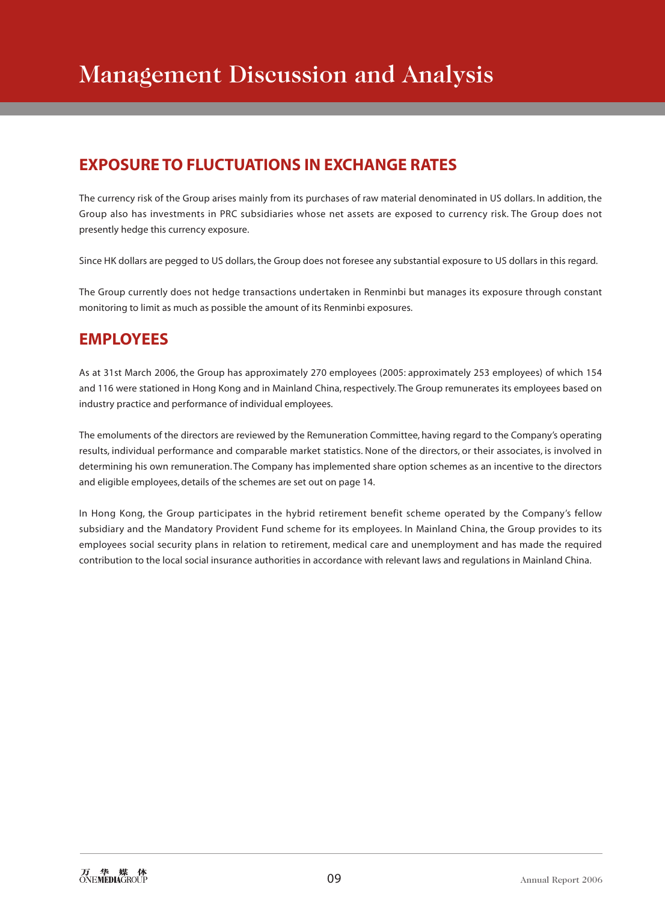# **EXPOSURE TO FLUCTUATIONS IN EXCHANGE RATES**

The currency risk of the Group arises mainly from its purchases of raw material denominated in US dollars. In addition, the Group also has investments in PRC subsidiaries whose net assets are exposed to currency risk. The Group does not presently hedge this currency exposure.

Since HK dollars are pegged to US dollars, the Group does not foresee any substantial exposure to US dollars in this regard.

The Group currently does not hedge transactions undertaken in Renminbi but manages its exposure through constant monitoring to limit as much as possible the amount of its Renminbi exposures.

# **EMPLOYEES**

As at 31st March 2006, the Group has approximately 270 employees (2005: approximately 253 employees) of which 154 and 116 were stationed in Hong Kong and in Mainland China, respectively. The Group remunerates its employees based on industry practice and performance of individual employees.

The emoluments of the directors are reviewed by the Remuneration Committee, having regard to the Company's operating results, individual performance and comparable market statistics. None of the directors, or their associates, is involved in determining his own remuneration. The Company has implemented share option schemes as an incentive to the directors and eligible employees, details of the schemes are set out on page 14.

In Hong Kong, the Group participates in the hybrid retirement benefit scheme operated by the Company's fellow subsidiary and the Mandatory Provident Fund scheme for its employees. In Mainland China, the Group provides to its employees social security plans in relation to retirement, medical care and unemployment and has made the required contribution to the local social insurance authorities in accordance with relevant laws and regulations in Mainland China.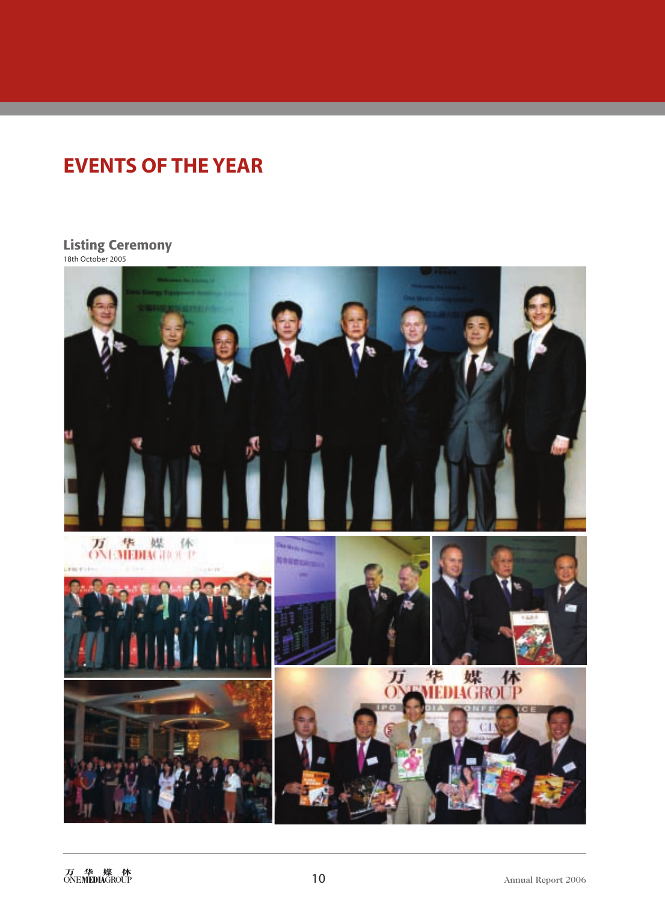# **EVENTS OF THE YEAR**

#### **Listing Ceremony** 18th October 2005

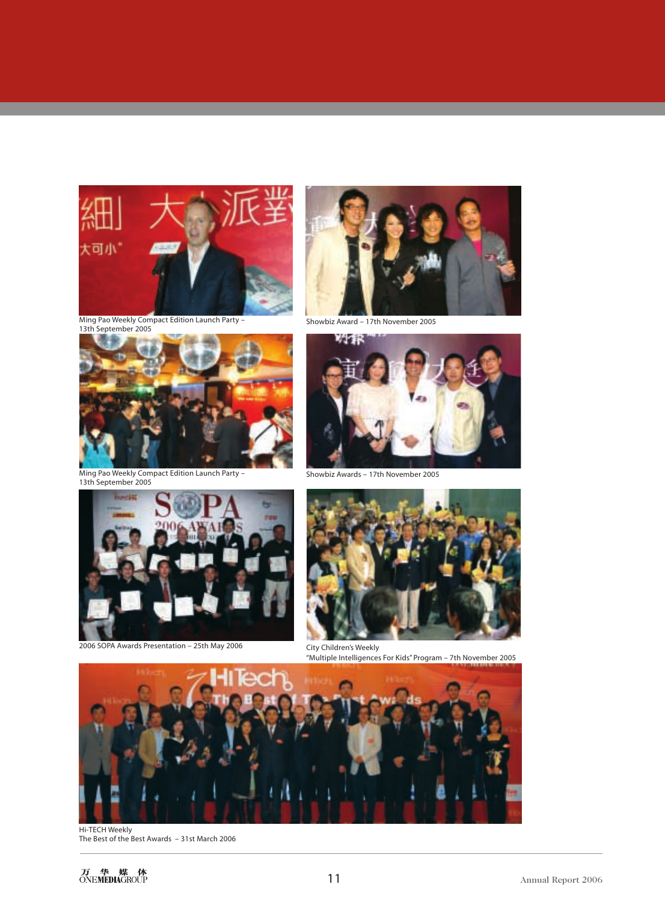

Ming Pao Weekly Compact Edition Launch Party – 13th September 2005



Ming Pao Weekly Compact Edition Launch Party – 13th September 2005



Showbiz Award – 17th November 2005



Showbiz Awards – 17th November 2005



2006 SOPA Awards Presentation – 25th May 2006



City Children's Weekly "Multiple Intelligences For Kids" Program – 7th November 2005



Hi-TECH Weekly The Best of the Best Awards – 31st March 2006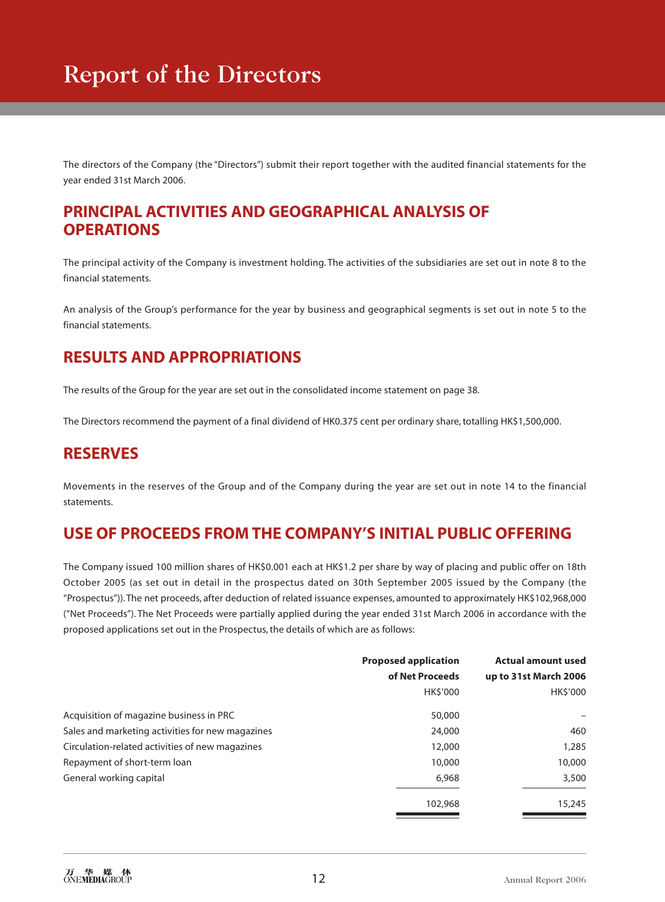The directors of the Company (the "Directors") submit their report together with the audited financial statements for the year ended 31st March 2006.

## **PRINCIPAL ACTIVITIES AND GEOGRAPHICAL ANALYSIS OF OPERATIONS**

The principal activity of the Company is investment holding. The activities of the subsidiaries are set out in note 8 to the financial statements.

An analysis of the Group's performance for the year by business and geographical segments is set out in note 5 to the financial statements.

## **RESULTS AND APPROPRIATIONS**

The results of the Group for the year are set out in the consolidated income statement on page 38.

The Directors recommend the payment of a final dividend of HK0.375 cent per ordinary share, totalling HK\$1,500,000.

## **RESERVES**

Movements in the reserves of the Group and of the Company during the year are set out in note 14 to the financial statements.

# **USE OF PROCEEDS FROM THE COMPANY'S INITIAL PUBLIC OFFERING**

The Company issued 100 million shares of HK\$0.001 each at HK\$1.2 per share by way of placing and public offer on 18th October 2005 (as set out in detail in the prospectus dated on 30th September 2005 issued by the Company (the "Prospectus")). The net proceeds, after deduction of related issuance expenses, amounted to approximately HK\$102,968,000 ("Net Proceeds"). The Net Proceeds were partially applied during the year ended 31st March 2006 in accordance with the proposed applications set out in the Prospectus, the details of which are as follows:

|                                                  | <b>Proposed application</b><br>of Net Proceeds | <b>Actual amount used</b><br>up to 31st March 2006 |
|--------------------------------------------------|------------------------------------------------|----------------------------------------------------|
|                                                  | <b>HKS'000</b>                                 | <b>HKS'000</b>                                     |
| Acquisition of magazine business in PRC          | 50,000                                         |                                                    |
| Sales and marketing activities for new magazines | 24,000                                         | 460                                                |
| Circulation-related activities of new magazines  | 12,000                                         | 1,285                                              |
| Repayment of short-term loan                     | 10,000                                         | 10,000                                             |
| General working capital                          | 6.968                                          | 3,500                                              |
|                                                  | 102,968                                        | 15,245                                             |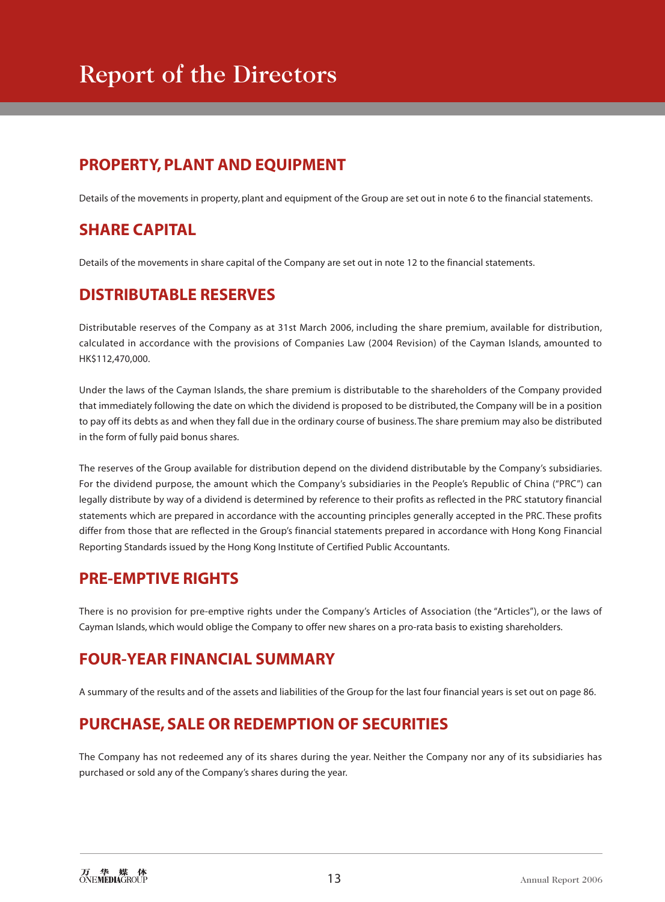# Report of the Directors

# **PROPERTY, PLANT AND EQUIPMENT**

Details of the movements in property, plant and equipment of the Group are set out in note 6 to the financial statements.

# **SHARE CAPITAL**

Details of the movements in share capital of the Company are set out in note 12 to the financial statements.

# **DISTRIBUTABLE RESERVES**

Distributable reserves of the Company as at 31st March 2006, including the share premium, available for distribution, calculated in accordance with the provisions of Companies Law (2004 Revision) of the Cayman Islands, amounted to HK\$112,470,000.

Under the laws of the Cayman Islands, the share premium is distributable to the shareholders of the Company provided that immediately following the date on which the dividend is proposed to be distributed, the Company will be in a position to pay off its debts as and when they fall due in the ordinary course of business. The share premium may also be distributed in the form of fully paid bonus shares.

The reserves of the Group available for distribution depend on the dividend distributable by the Company's subsidiaries. For the dividend purpose, the amount which the Company's subsidiaries in the People's Republic of China ("PRC") can legally distribute by way of a dividend is determined by reference to their profits as reflected in the PRC statutory financial statements which are prepared in accordance with the accounting principles generally accepted in the PRC. These profits differ from those that are reflected in the Group's financial statements prepared in accordance with Hong Kong Financial Reporting Standards issued by the Hong Kong Institute of Certified Public Accountants.

## **PRE-EMPTIVE RIGHTS**

There is no provision for pre-emptive rights under the Company's Articles of Association (the "Articles"), or the laws of Cayman Islands, which would oblige the Company to offer new shares on a pro-rata basis to existing shareholders.

## **FOUR-YEAR FINANCIAL SUMMARY**

A summary of the results and of the assets and liabilities of the Group for the last four financial years is set out on page 86.

# **PURCHASE, SALE OR REDEMPTION OF SECURITIES**

The Company has not redeemed any of its shares during the year. Neither the Company nor any of its subsidiaries has purchased or sold any of the Company's shares during the year.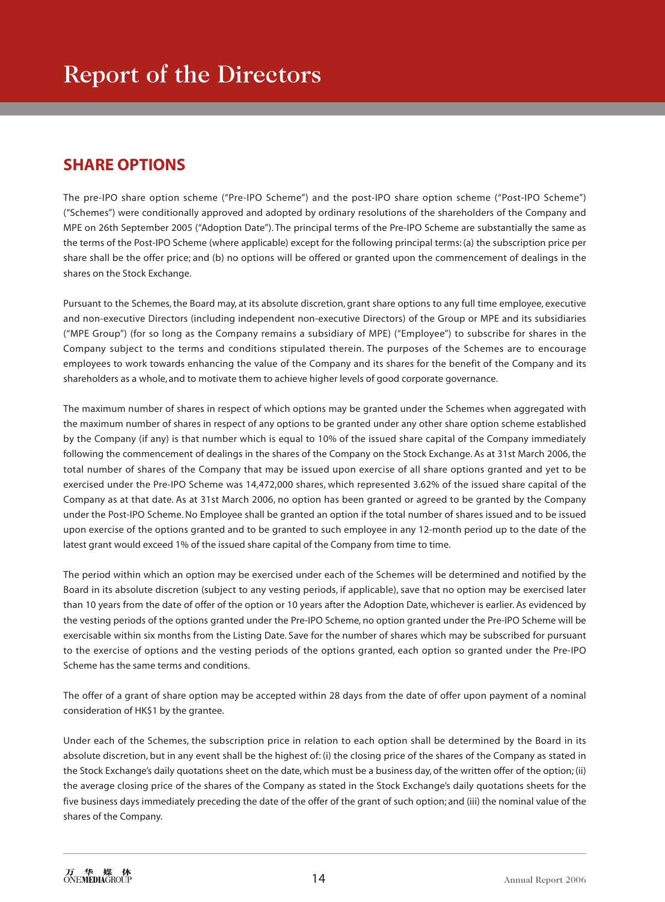# **SHARE OPTIONS**

The pre-IPO share option scheme ("Pre-IPO Scheme") and the post-IPO share option scheme ("Post-IPO Scheme") ("Schemes") were conditionally approved and adopted by ordinary resolutions of the shareholders of the Company and MPE on 26th September 2005 ("Adoption Date"). The principal terms of the Pre-IPO Scheme are substantially the same as the terms of the Post-IPO Scheme (where applicable) except for the following principal terms: (a) the subscription price per share shall be the offer price; and (b) no options will be offered or granted upon the commencement of dealings in the shares on the Stock Exchange.

Pursuant to the Schemes, the Board may, at its absolute discretion, grant share options to any full time employee, executive and non-executive Directors (including independent non-executive Directors) of the Group or MPE and its subsidiaries ("MPE Group") (for so long as the Company remains a subsidiary of MPE) ("Employee") to subscribe for shares in the Company subject to the terms and conditions stipulated therein. The purposes of the Schemes are to encourage employees to work towards enhancing the value of the Company and its shares for the benefit of the Company and its shareholders as a whole, and to motivate them to achieve higher levels of good corporate governance.

The maximum number of shares in respect of which options may be granted under the Schemes when aggregated with the maximum number of shares in respect of any options to be granted under any other share option scheme established by the Company (if any) is that number which is equal to 10% of the issued share capital of the Company immediately following the commencement of dealings in the shares of the Company on the Stock Exchange. As at 31st March 2006, the total number of shares of the Company that may be issued upon exercise of all share options granted and yet to be exercised under the Pre-IPO Scheme was 14,472,000 shares, which represented 3.62% of the issued share capital of the Company as at that date. As at 31st March 2006, no option has been granted or agreed to be granted by the Company under the Post-IPO Scheme. No Employee shall be granted an option if the total number of shares issued and to be issued upon exercise of the options granted and to be granted to such employee in any 12-month period up to the date of the latest grant would exceed 1% of the issued share capital of the Company from time to time.

The period within which an option may be exercised under each of the Schemes will be determined and notified by the Board in its absolute discretion (subject to any vesting periods, if applicable), save that no option may be exercised later than 10 years from the date of offer of the option or 10 years after the Adoption Date, whichever is earlier. As evidenced by the vesting periods of the options granted under the Pre-IPO Scheme, no option granted under the Pre-IPO Scheme will be exercisable within six months from the Listing Date. Save for the number of shares which may be subscribed for pursuant to the exercise of options and the vesting periods of the options granted, each option so granted under the Pre-IPO Scheme has the same terms and conditions.

The offer of a grant of share option may be accepted within 28 days from the date of offer upon payment of a nominal consideration of HK\$1 by the grantee.

Under each of the Schemes, the subscription price in relation to each option shall be determined by the Board in its absolute discretion, but in any event shall be the highest of: (i) the closing price of the shares of the Company as stated in the Stock Exchange's daily quotations sheet on the date, which must be a business day, of the written offer of the option; (ii) the average closing price of the shares of the Company as stated in the Stock Exchange's daily quotations sheets for the five business days immediately preceding the date of the offer of the grant of such option; and (iii) the nominal value of the shares of the Company.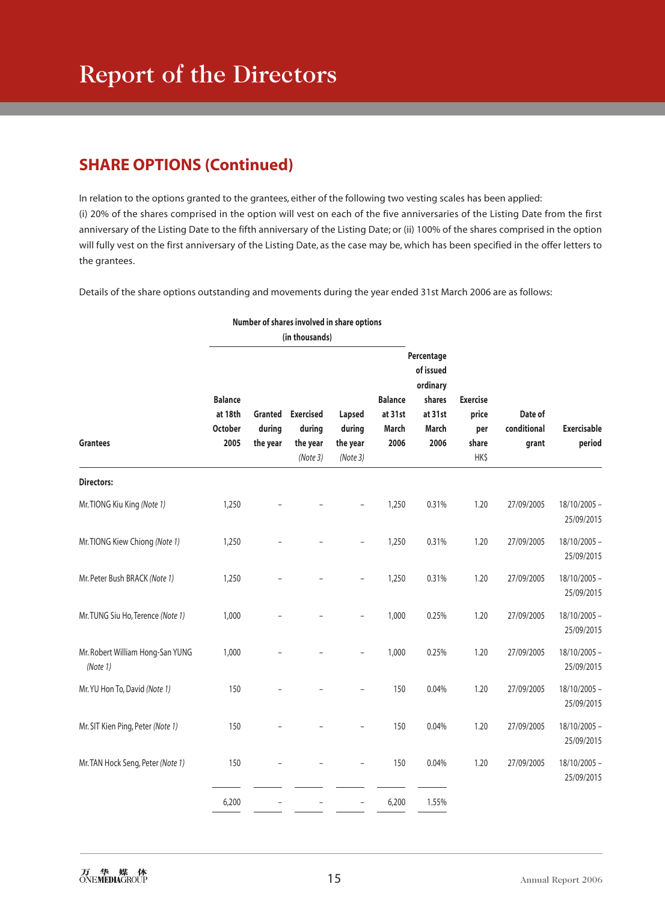# **SHARE OPTIONS (Continued)**

In relation to the options granted to the grantees, either of the following two vesting scales has been applied: (i) 20% of the shares comprised in the option will vest on each of the five anniversaries of the Listing Date from the first anniversary of the Listing Date to the fifth anniversary of the Listing Date; or (ii) 100% of the shares comprised in the option will fully vest on the first anniversary of the Listing Date, as the case may be, which has been specified in the offer letters to the grantees.

Details of the share options outstanding and movements during the year ended 31st March 2006 are as follows:

|                                              |                                                     |                               | Number of shares involved in share options        |                                          |                                            |                                                                           |                                                  |                                 |                              |
|----------------------------------------------|-----------------------------------------------------|-------------------------------|---------------------------------------------------|------------------------------------------|--------------------------------------------|---------------------------------------------------------------------------|--------------------------------------------------|---------------------------------|------------------------------|
|                                              |                                                     |                               | (in thousands)                                    |                                          |                                            |                                                                           |                                                  |                                 |                              |
| <b>Grantees</b>                              | <b>Balance</b><br>at 18th<br><b>October</b><br>2005 | Granted<br>during<br>the year | <b>Exercised</b><br>during<br>the year<br>(Note3) | Lapsed<br>during<br>the year<br>(Note 3) | <b>Balance</b><br>at 31st<br>March<br>2006 | Percentage<br>of issued<br>ordinary<br>shares<br>at 31st<br>March<br>2006 | <b>Exercise</b><br>price<br>per<br>share<br>HK\$ | Date of<br>conditional<br>grant | <b>Exercisable</b><br>period |
| <b>Directors:</b>                            |                                                     |                               |                                                   |                                          |                                            |                                                                           |                                                  |                                 |                              |
| Mr. TIONG Kiu King (Note 1)                  | 1,250                                               |                               |                                                   |                                          | 1,250                                      | 0.31%                                                                     | 1.20                                             | 27/09/2005                      | $18/10/2005 -$<br>25/09/2015 |
| Mr. TIONG Kiew Chiong (Note 1)               | 1,250                                               |                               |                                                   |                                          | 1,250                                      | 0.31%                                                                     | 1.20                                             | 27/09/2005                      | $18/10/2005 -$<br>25/09/2015 |
| Mr. Peter Bush BRACK (Note 1)                | 1,250                                               |                               |                                                   | L                                        | 1,250                                      | 0.31%                                                                     | 1.20                                             | 27/09/2005                      | $18/10/2005 -$<br>25/09/2015 |
| Mr. TUNG Siu Ho, Terence (Note 1)            | 1,000                                               |                               |                                                   |                                          | 1,000                                      | 0.25%                                                                     | 1.20                                             | 27/09/2005                      | $18/10/2005 -$<br>25/09/2015 |
| Mr. Robert William Hong-San YUNG<br>(Note 1) | 1,000                                               |                               |                                                   | $\overline{a}$                           | 1,000                                      | 0.25%                                                                     | 1.20                                             | 27/09/2005                      | $18/10/2005 -$<br>25/09/2015 |
| Mr. YU Hon To, David (Note 1)                | 150                                                 |                               |                                                   |                                          | 150                                        | 0.04%                                                                     | 1.20                                             | 27/09/2005                      | $18/10/2005 -$<br>25/09/2015 |
| Mr. SIT Kien Ping, Peter (Note 1)            | 150                                                 |                               |                                                   |                                          | 150                                        | 0.04%                                                                     | 1.20                                             | 27/09/2005                      | $18/10/2005 -$<br>25/09/2015 |
| Mr. TAN Hock Seng, Peter (Note 1)            | 150                                                 |                               |                                                   | $\overline{a}$                           | 150                                        | 0.04%                                                                     | 1.20                                             | 27/09/2005                      | $18/10/2005 -$<br>25/09/2015 |
|                                              | 6,200                                               |                               |                                                   | $\overline{\phantom{0}}$                 | 6,200                                      | 1.55%                                                                     |                                                  |                                 |                              |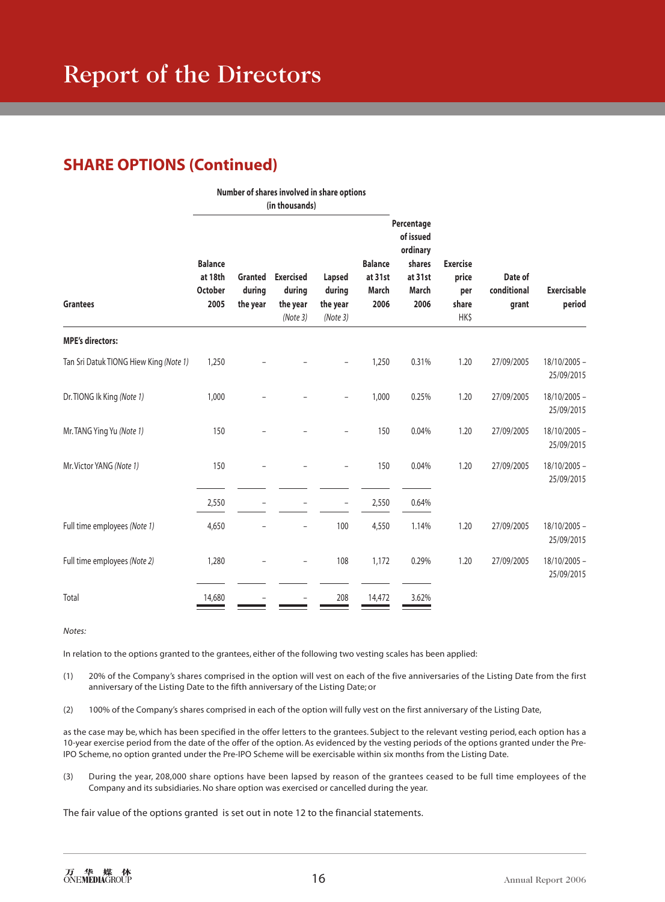# **SHARE OPTIONS (Continued)**

|                                        | Number of shares involved in share options<br>(in thousands) |                                      |                                                   |                                         |                                            |                                                                           |                                                  |                                 |                              |
|----------------------------------------|--------------------------------------------------------------|--------------------------------------|---------------------------------------------------|-----------------------------------------|--------------------------------------------|---------------------------------------------------------------------------|--------------------------------------------------|---------------------------------|------------------------------|
| <b>Grantees</b>                        | <b>Balance</b><br>at 18th<br><b>October</b><br>2005          | <b>Granted</b><br>during<br>the year | <b>Exercised</b><br>during<br>the year<br>(Note3) | Lapsed<br>during<br>the year<br>(Note3) | <b>Balance</b><br>at 31st<br>March<br>2006 | Percentage<br>of issued<br>ordinary<br>shares<br>at 31st<br>March<br>2006 | <b>Exercise</b><br>price<br>per<br>share<br>HK\$ | Date of<br>conditional<br>grant | <b>Exercisable</b><br>period |
| <b>MPE's directors:</b>                |                                                              |                                      |                                                   |                                         |                                            |                                                                           |                                                  |                                 |                              |
| Tan Sri Datuk TIONG Hiew King (Note 1) | 1,250                                                        |                                      |                                                   |                                         | 1,250                                      | 0.31%                                                                     | 1.20                                             | 27/09/2005                      | $18/10/2005 -$<br>25/09/2015 |
| Dr. TIONG Ik King (Note 1)             | 1,000                                                        |                                      |                                                   | ۰                                       | 1,000                                      | 0.25%                                                                     | 1.20                                             | 27/09/2005                      | 18/10/2005 -<br>25/09/2015   |
| Mr. TANG Ying Yu (Note 1)              | 150                                                          |                                      |                                                   |                                         | 150                                        | 0.04%                                                                     | 1.20                                             | 27/09/2005                      | $18/10/2005 -$<br>25/09/2015 |
| Mr. Victor YANG (Note 1)               | 150                                                          |                                      |                                                   |                                         | 150                                        | 0.04%                                                                     | 1.20                                             | 27/09/2005                      | $18/10/2005 -$<br>25/09/2015 |
|                                        | 2,550                                                        |                                      |                                                   | $\overline{\phantom{a}}$                | 2,550                                      | 0.64%                                                                     |                                                  |                                 |                              |
| Full time employees (Note 1)           | 4,650                                                        |                                      |                                                   | 100                                     | 4,550                                      | 1.14%                                                                     | 1.20                                             | 27/09/2005                      | $18/10/2005 -$<br>25/09/2015 |
| Full time employees (Note 2)           | 1,280                                                        |                                      | $\qquad \qquad -$                                 | 108                                     | 1,172                                      | 0.29%                                                                     | 1.20                                             | 27/09/2005                      | $18/10/2005 -$<br>25/09/2015 |
| Total                                  | 14,680                                                       |                                      |                                                   | 208                                     | 14,472                                     | 3.62%                                                                     |                                                  |                                 |                              |

*Notes:*

In relation to the options granted to the grantees, either of the following two vesting scales has been applied:

(1) 20% of the Company's shares comprised in the option will vest on each of the five anniversaries of the Listing Date from the first anniversary of the Listing Date to the fifth anniversary of the Listing Date; or

(2) 100% of the Company's shares comprised in each of the option will fully vest on the first anniversary of the Listing Date,

as the case may be, which has been specified in the offer letters to the grantees. Subject to the relevant vesting period, each option has a 10-year exercise period from the date of the offer of the option. As evidenced by the vesting periods of the options granted under the Pre-IPO Scheme, no option granted under the Pre-IPO Scheme will be exercisable within six months from the Listing Date.

(3) During the year, 208,000 share options have been lapsed by reason of the grantees ceased to be full time employees of the Company and its subsidiaries. No share option was exercised or cancelled during the year.

The fair value of the options granted is set out in note 12 to the financial statements.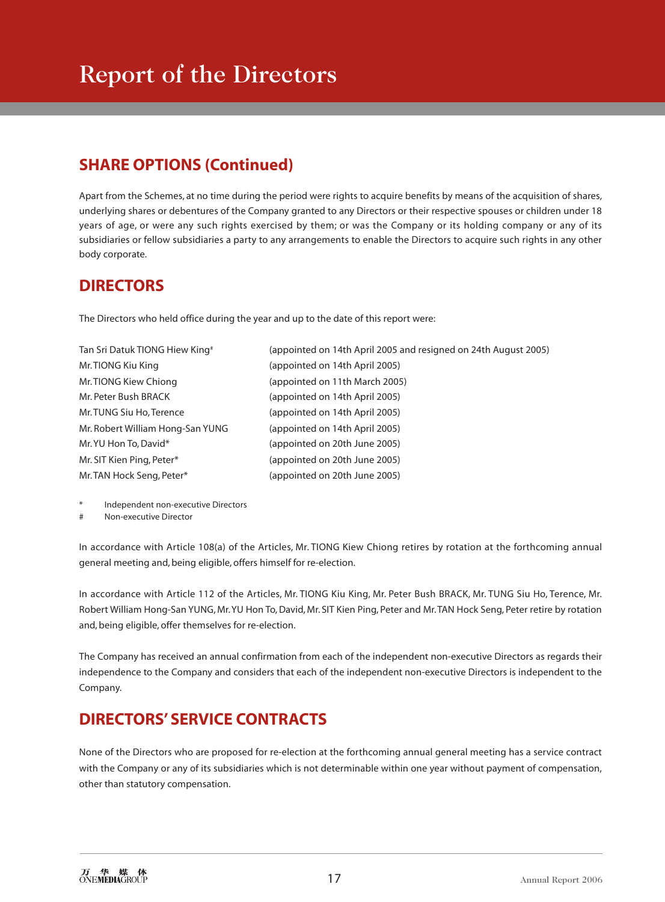# **SHARE OPTIONS (Continued)**

Apart from the Schemes, at no time during the period were rights to acquire benefits by means of the acquisition of shares, underlying shares or debentures of the Company granted to any Directors or their respective spouses or children under 18 years of age, or were any such rights exercised by them; or was the Company or its holding company or any of its subsidiaries or fellow subsidiaries a party to any arrangements to enable the Directors to acquire such rights in any other body corporate.

# **DIRECTORS**

The Directors who held office during the year and up to the date of this report were:

| Tan Sri Datuk TIONG Hiew King#   | (appointed on 14th April 2005 and resigned on 24th August 2005) |
|----------------------------------|-----------------------------------------------------------------|
| Mr. TIONG Kiu King               | (appointed on 14th April 2005)                                  |
| Mr. TIONG Kiew Chiong            | (appointed on 11th March 2005)                                  |
| Mr. Peter Bush BRACK             | (appointed on 14th April 2005)                                  |
| Mr. TUNG Siu Ho, Terence         | (appointed on 14th April 2005)                                  |
| Mr. Robert William Hong-San YUNG | (appointed on 14th April 2005)                                  |
| Mr. YU Hon To, David*            | (appointed on 20th June 2005)                                   |
| Mr. SIT Kien Ping, Peter*        | (appointed on 20th June 2005)                                   |
| Mr. TAN Hock Seng, Peter*        | (appointed on 20th June 2005)                                   |

- Independent non-executive Directors
- Non-executive Director

In accordance with Article 108(a) of the Articles, Mr. TIONG Kiew Chiong retires by rotation at the forthcoming annual general meeting and, being eligible, offers himself for re-election.

In accordance with Article 112 of the Articles, Mr. TIONG Kiu King, Mr. Peter Bush BRACK, Mr. TUNG Siu Ho, Terence, Mr. Robert William Hong-San YUNG, Mr. YU Hon To, David, Mr. SIT Kien Ping, Peter and Mr. TAN Hock Seng, Peter retire by rotation and, being eligible, offer themselves for re-election.

The Company has received an annual confirmation from each of the independent non-executive Directors as regards their independence to the Company and considers that each of the independent non-executive Directors is independent to the Company.

# **DIRECTORS' SERVICE CONTRACTS**

None of the Directors who are proposed for re-election at the forthcoming annual general meeting has a service contract with the Company or any of its subsidiaries which is not determinable within one year without payment of compensation, other than statutory compensation.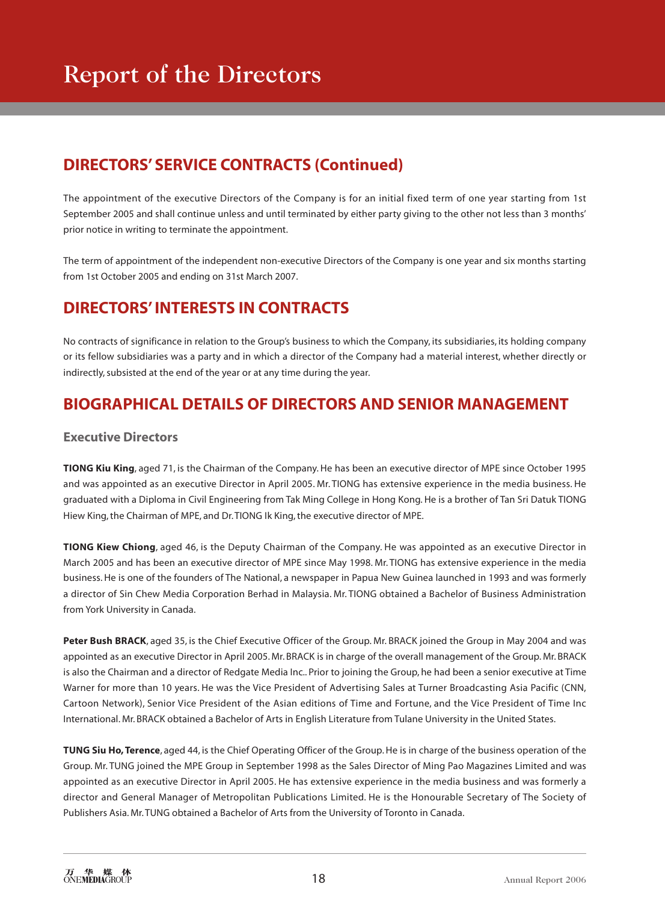# **DIRECTORS' SERVICE CONTRACTS (Continued)**

The appointment of the executive Directors of the Company is for an initial fixed term of one year starting from 1st September 2005 and shall continue unless and until terminated by either party giving to the other not less than 3 months' prior notice in writing to terminate the appointment.

The term of appointment of the independent non-executive Directors of the Company is one year and six months starting from 1st October 2005 and ending on 31st March 2007.

# **DIRECTORS' INTERESTS IN CONTRACTS**

No contracts of significance in relation to the Group's business to which the Company, its subsidiaries, its holding company or its fellow subsidiaries was a party and in which a director of the Company had a material interest, whether directly or indirectly, subsisted at the end of the year or at any time during the year.

## **BIOGRAPHICAL DETAILS OF DIRECTORS AND SENIOR MANAGEMENT**

#### **Executive Directors**

**TIONG Kiu King**, aged 71, is the Chairman of the Company. He has been an executive director of MPE since October 1995 and was appointed as an executive Director in April 2005. Mr. TIONG has extensive experience in the media business. He graduated with a Diploma in Civil Engineering from Tak Ming College in Hong Kong. He is a brother of Tan Sri Datuk TIONG Hiew King, the Chairman of MPE, and Dr. TIONG Ik King, the executive director of MPE.

**TIONG Kiew Chiong**, aged 46, is the Deputy Chairman of the Company. He was appointed as an executive Director in March 2005 and has been an executive director of MPE since May 1998. Mr. TIONG has extensive experience in the media business. He is one of the founders of The National, a newspaper in Papua New Guinea launched in 1993 and was formerly a director of Sin Chew Media Corporation Berhad in Malaysia. Mr. TIONG obtained a Bachelor of Business Administration from York University in Canada.

Peter Bush BRACK, aged 35, is the Chief Executive Officer of the Group. Mr. BRACK joined the Group in May 2004 and was appointed as an executive Director in April 2005. Mr. BRACK is in charge of the overall management of the Group. Mr. BRACK is also the Chairman and a director of Redgate Media Inc.. Prior to joining the Group, he had been a senior executive at Time Warner for more than 10 years. He was the Vice President of Advertising Sales at Turner Broadcasting Asia Pacific (CNN, Cartoon Network), Senior Vice President of the Asian editions of Time and Fortune, and the Vice President of Time Inc International. Mr. BRACK obtained a Bachelor of Arts in English Literature from Tulane University in the United States.

**TUNG Siu Ho, Terence**, aged 44, is the Chief Operating Officer of the Group. He is in charge of the business operation of the Group. Mr. TUNG joined the MPE Group in September 1998 as the Sales Director of Ming Pao Magazines Limited and was appointed as an executive Director in April 2005. He has extensive experience in the media business and was formerly a director and General Manager of Metropolitan Publications Limited. He is the Honourable Secretary of The Society of Publishers Asia. Mr. TUNG obtained a Bachelor of Arts from the University of Toronto in Canada.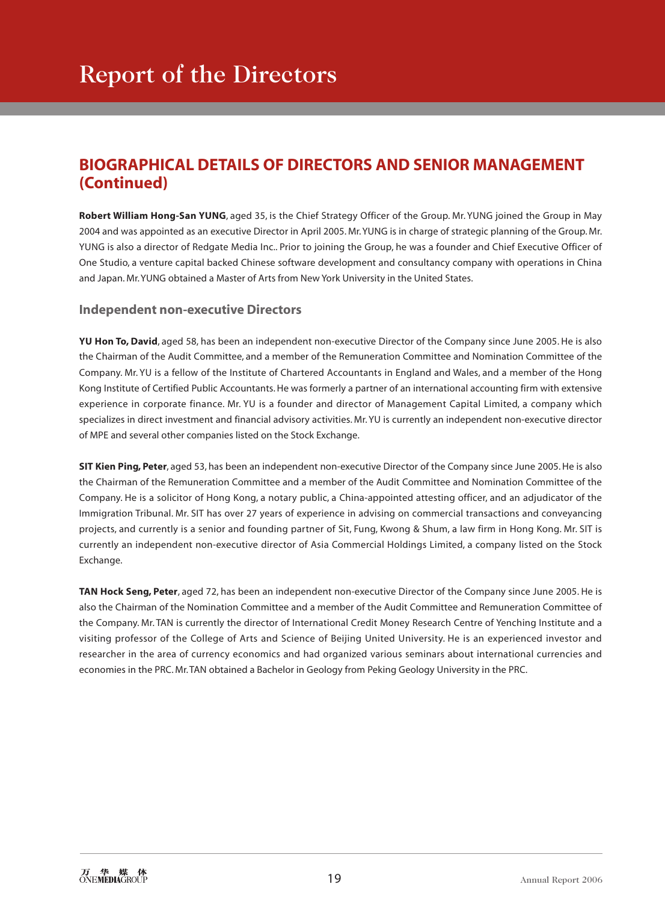# **BIOGRAPHICAL DETAILS OF DIRECTORS AND SENIOR MANAGEMENT (Continued)**

**Robert William Hong-San YUNG**, aged 35, is the Chief Strategy Officer of the Group. Mr. YUNG joined the Group in May 2004 and was appointed as an executive Director in April 2005. Mr. YUNG is in charge of strategic planning of the Group. Mr. YUNG is also a director of Redgate Media Inc.. Prior to joining the Group, he was a founder and Chief Executive Officer of One Studio, a venture capital backed Chinese software development and consultancy company with operations in China and Japan. Mr. YUNG obtained a Master of Arts from New York University in the United States.

## **Independent non-executive Directors**

**YU Hon To, David**, aged 58, has been an independent non-executive Director of the Company since June 2005. He is also the Chairman of the Audit Committee, and a member of the Remuneration Committee and Nomination Committee of the Company. Mr. YU is a fellow of the Institute of Chartered Accountants in England and Wales, and a member of the Hong Kong Institute of Certified Public Accountants. He was formerly a partner of an international accounting firm with extensive experience in corporate finance. Mr. YU is a founder and director of Management Capital Limited, a company which specializes in direct investment and financial advisory activities. Mr. YU is currently an independent non-executive director of MPE and several other companies listed on the Stock Exchange.

**SIT Kien Ping, Peter**, aged 53, has been an independent non-executive Director of the Company since June 2005. He is also the Chairman of the Remuneration Committee and a member of the Audit Committee and Nomination Committee of the Company. He is a solicitor of Hong Kong, a notary public, a China-appointed attesting officer, and an adjudicator of the Immigration Tribunal. Mr. SIT has over 27 years of experience in advising on commercial transactions and conveyancing projects, and currently is a senior and founding partner of Sit, Fung, Kwong & Shum, a law firm in Hong Kong. Mr. SIT is currently an independent non-executive director of Asia Commercial Holdings Limited, a company listed on the Stock Exchange.

**TAN Hock Seng, Peter**, aged 72, has been an independent non-executive Director of the Company since June 2005. He is also the Chairman of the Nomination Committee and a member of the Audit Committee and Remuneration Committee of the Company. Mr. TAN is currently the director of International Credit Money Research Centre of Yenching Institute and a visiting professor of the College of Arts and Science of Beijing United University. He is an experienced investor and researcher in the area of currency economics and had organized various seminars about international currencies and economies in the PRC. Mr. TAN obtained a Bachelor in Geology from Peking Geology University in the PRC.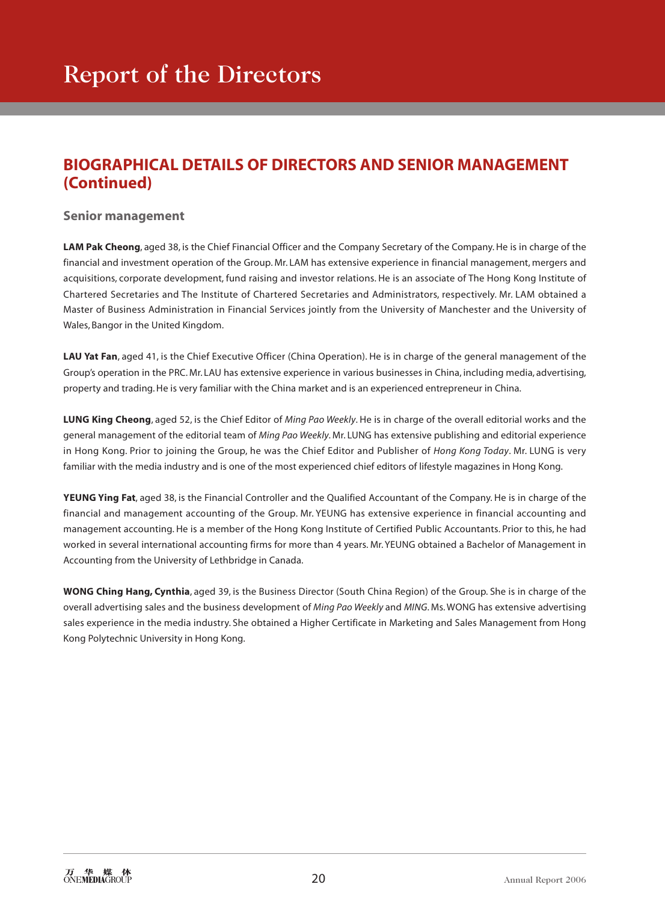# **BIOGRAPHICAL DETAILS OF DIRECTORS AND SENIOR MANAGEMENT (Continued)**

## **Senior management**

**LAM Pak Cheong**, aged 38, is the Chief Financial Officer and the Company Secretary of the Company. He is in charge of the financial and investment operation of the Group. Mr. LAM has extensive experience in financial management, mergers and acquisitions, corporate development, fund raising and investor relations. He is an associate of The Hong Kong Institute of Chartered Secretaries and The Institute of Chartered Secretaries and Administrators, respectively. Mr. LAM obtained a Master of Business Administration in Financial Services jointly from the University of Manchester and the University of Wales, Bangor in the United Kingdom.

**LAU Yat Fan**, aged 41, is the Chief Executive Officer (China Operation). He is in charge of the general management of the Group's operation in the PRC. Mr. LAU has extensive experience in various businesses in China, including media, advertising, property and trading. He is very familiar with the China market and is an experienced entrepreneur in China.

**LUNG King Cheong**, aged 52, is the Chief Editor of *Ming Pao Weekly*. He is in charge of the overall editorial works and the general management of the editorial team of *Ming Pao Weekly*. Mr. LUNG has extensive publishing and editorial experience in Hong Kong. Prior to joining the Group, he was the Chief Editor and Publisher of *Hong Kong Today*. Mr. LUNG is very familiar with the media industry and is one of the most experienced chief editors of lifestyle magazines in Hong Kong.

**YEUNG Ying Fat**, aged 38, is the Financial Controller and the Qualified Accountant of the Company. He is in charge of the financial and management accounting of the Group. Mr. YEUNG has extensive experience in financial accounting and management accounting. He is a member of the Hong Kong Institute of Certified Public Accountants. Prior to this, he had worked in several international accounting firms for more than 4 years. Mr. YEUNG obtained a Bachelor of Management in Accounting from the University of Lethbridge in Canada.

**WONG Ching Hang, Cynthia**, aged 39, is the Business Director (South China Region) of the Group. She is in charge of the overall advertising sales and the business development of *Ming Pao Weekly* and *MING*. Ms. WONG has extensive advertising sales experience in the media industry. She obtained a Higher Certificate in Marketing and Sales Management from Hong Kong Polytechnic University in Hong Kong.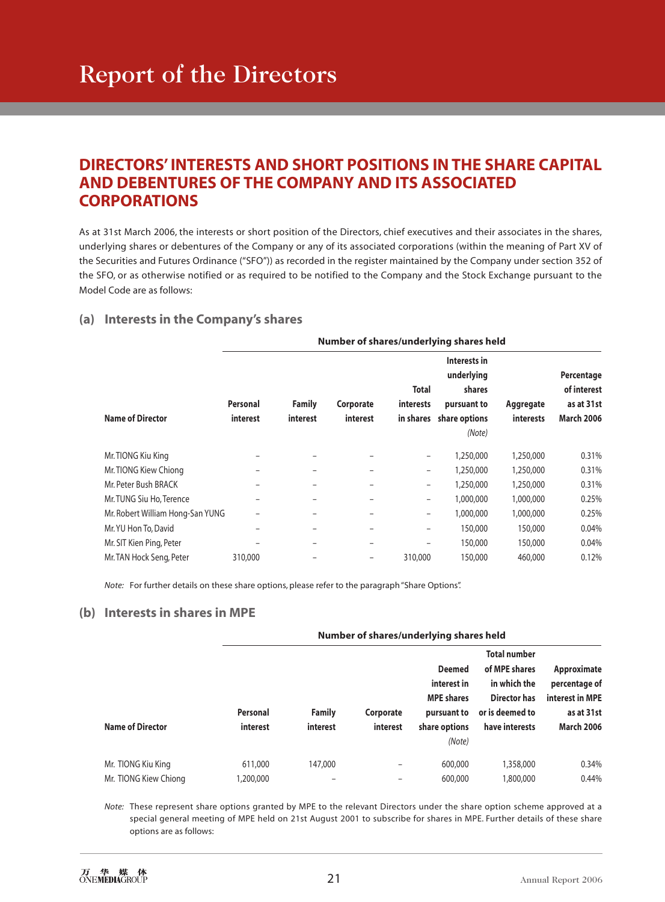# Report of the Directors

## **DIRECTORS' INTERESTS AND SHORT POSITIONS IN THE SHARE CAPITAL AND DEBENTURES OF THE COMPANY AND ITS ASSOCIATED CORPORATIONS**

As at 31st March 2006, the interests or short position of the Directors, chief executives and their associates in the shares, underlying shares or debentures of the Company or any of its associated corporations (within the meaning of Part XV of the Securities and Futures Ordinance ("SFO")) as recorded in the register maintained by the Company under section 352 of the SFO, or as otherwise notified or as required to be notified to the Company and the Stock Exchange pursuant to the Model Code are as follows:

#### **(a) Interests in the Company's shares**

|                                  | Number of shares/underlying shares held |                    |                       |                                               |                                                                                |                               |                                                              |  |  |
|----------------------------------|-----------------------------------------|--------------------|-----------------------|-----------------------------------------------|--------------------------------------------------------------------------------|-------------------------------|--------------------------------------------------------------|--|--|
| <b>Name of Director</b>          | Personal<br>interest                    | Family<br>interest | Corporate<br>interest | <b>Total</b><br><i>interests</i><br>in shares | Interests in<br>underlying<br>shares<br>pursuant to<br>share options<br>(Note) | Aggregate<br><i>interests</i> | Percentage<br>of interest<br>as at 31st<br><b>March 2006</b> |  |  |
| Mr. TIONG Kiu King               | -                                       |                    | -                     | $\overline{\phantom{m}}$                      | 1,250,000                                                                      | 1,250,000                     | 0.31%                                                        |  |  |
| Mr. TIONG Kiew Chiong            |                                         |                    |                       | $\qquad \qquad$                               | 1,250,000                                                                      | 1,250,000                     | 0.31%                                                        |  |  |
| Mr. Peter Bush BRACK             |                                         |                    | -                     | -                                             | 1,250,000                                                                      | 1,250,000                     | 0.31%                                                        |  |  |
| Mr. TUNG Siu Ho, Terence         |                                         |                    |                       | -                                             | 1,000,000                                                                      | 1,000,000                     | 0.25%                                                        |  |  |
| Mr. Robert William Hong-San YUNG |                                         |                    | -                     | $\qquad \qquad -$                             | 1,000,000                                                                      | 1,000,000                     | 0.25%                                                        |  |  |
| Mr. YU Hon To, David             |                                         |                    | -                     | -                                             | 150,000                                                                        | 150,000                       | 0.04%                                                        |  |  |
| Mr. SIT Kien Ping, Peter         |                                         |                    | -                     | $\overline{\phantom{0}}$                      | 150,000                                                                        | 150,000                       | 0.04%                                                        |  |  |
| Mr. TAN Hock Seng, Peter         | 310,000                                 |                    | -                     | 310,000                                       | 150,000                                                                        | 460,000                       | 0.12%                                                        |  |  |

*Note:* For further details on these share options, please refer to the paragraph "Share Options".

#### **(b) Interests in shares in MPE**

|                                             | Number of shares/underlying shares held |                           |                       |                                                                                   |                                                                                                                  |                                                                                    |  |
|---------------------------------------------|-----------------------------------------|---------------------------|-----------------------|-----------------------------------------------------------------------------------|------------------------------------------------------------------------------------------------------------------|------------------------------------------------------------------------------------|--|
| <b>Name of Director</b>                     | Personal<br>interest                    | <b>Family</b><br>interest | Corporate<br>interest | <b>Deemed</b><br>interest in<br><b>MPE</b> shares<br>pursuant to<br>share options | <b>Total number</b><br>of MPE shares<br>in which the<br><b>Director has</b><br>or is deemed to<br>have interests | Approximate<br>percentage of<br>interest in MPE<br>as at 31st<br><b>March 2006</b> |  |
|                                             |                                         |                           |                       | (Note)<br>600,000                                                                 |                                                                                                                  | 0.34%                                                                              |  |
| Mr. TIONG Kiu King<br>Mr. TIONG Kiew Chiong | 611,000<br>1,200,000                    | 147,000<br>-              | ۰<br>-                | 600,000                                                                           | 1,358,000<br>1,800,000                                                                                           | 0.44%                                                                              |  |

*Note:* These represent share options granted by MPE to the relevant Directors under the share option scheme approved at a special general meeting of MPE held on 21st August 2001 to subscribe for shares in MPE. Further details of these share options are as follows: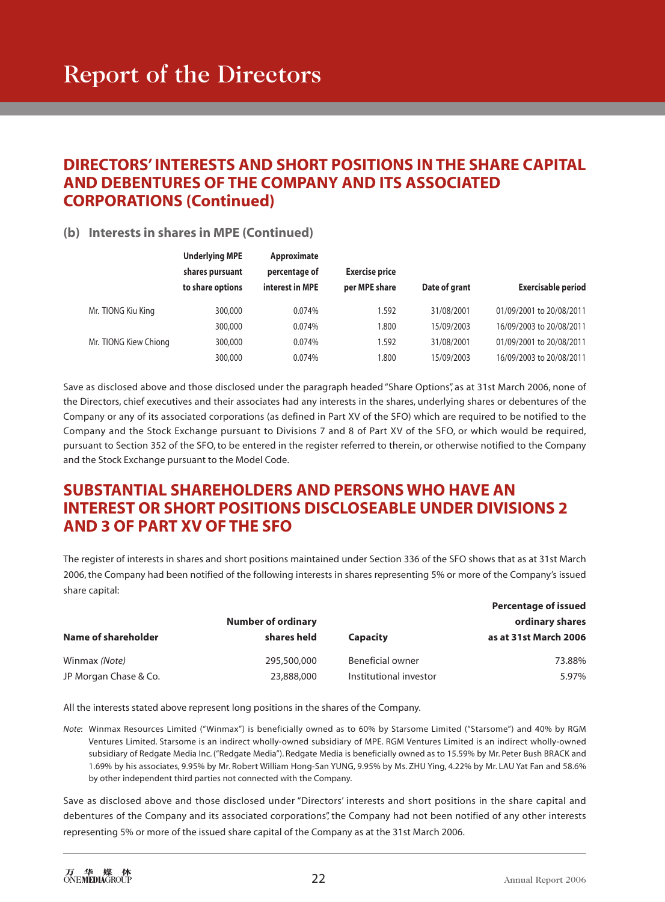# Report of the Directors

## **DIRECTORS' INTERESTS AND SHORT POSITIONS IN THE SHARE CAPITAL AND DEBENTURES OF THE COMPANY AND ITS ASSOCIATED CORPORATIONS (Continued)**

## **(b) Interests in shares in MPE (Continued)**

|                       | <b>Underlying MPE</b> | Approximate     |                       |               |                           |
|-----------------------|-----------------------|-----------------|-----------------------|---------------|---------------------------|
|                       | shares pursuant       | percentage of   | <b>Exercise price</b> |               |                           |
|                       | to share options      | interest in MPE | per MPE share         | Date of grant | <b>Exercisable period</b> |
| Mr. TIONG Kiu King    | 300,000               | 0.074%          | 1.592                 | 31/08/2001    | 01/09/2001 to 20/08/2011  |
|                       | 300,000               | 0.074%          | 1.800                 | 15/09/2003    | 16/09/2003 to 20/08/2011  |
| Mr. TIONG Kiew Chiong | 300,000               | 0.074%          | 1.592                 | 31/08/2001    | 01/09/2001 to 20/08/2011  |
|                       | 300,000               | 0.074%          | 1.800                 | 15/09/2003    | 16/09/2003 to 20/08/2011  |

Save as disclosed above and those disclosed under the paragraph headed "Share Options", as at 31st March 2006, none of the Directors, chief executives and their associates had any interests in the shares, underlying shares or debentures of the Company or any of its associated corporations (as defined in Part XV of the SFO) which are required to be notified to the Company and the Stock Exchange pursuant to Divisions 7 and 8 of Part XV of the SFO, or which would be required, pursuant to Section 352 of the SFO, to be entered in the register referred to therein, or otherwise notified to the Company and the Stock Exchange pursuant to the Model Code.

## **SUBSTANTIAL SHAREHOLDERS AND PERSONS WHO HAVE AN INTEREST OR SHORT POSITIONS DISCLOSEABLE UNDER DIVISIONS 2 AND 3 OF PART XV OF THE SFO**

The register of interests in shares and short positions maintained under Section 336 of the SFO shows that as at 31st March 2006, the Company had been notified of the following interests in shares representing 5% or more of the Company's issued share capital:

|                       |                           |                        | <b>Percentage of issued</b> |
|-----------------------|---------------------------|------------------------|-----------------------------|
|                       | <b>Number of ordinary</b> |                        | ordinary shares             |
| Name of shareholder   | shares held               | <b>Capacity</b>        | as at 31st March 2006       |
| Winmax (Note)         | 295,500,000               | Beneficial owner       | 73.88%                      |
| JP Morgan Chase & Co. | 23,888,000                | Institutional investor | 5.97%                       |

All the interests stated above represent long positions in the shares of the Company.

*Note*: Winmax Resources Limited ("Winmax") is beneficially owned as to 60% by Starsome Limited ("Starsome") and 40% by RGM Ventures Limited. Starsome is an indirect wholly-owned subsidiary of MPE. RGM Ventures Limited is an indirect wholly-owned subsidiary of Redgate Media Inc. ("Redgate Media"). Redgate Media is beneficially owned as to 15.59% by Mr. Peter Bush BRACK and 1.69% by his associates, 9.95% by Mr. Robert William Hong-San YUNG, 9.95% by Ms. ZHU Ying, 4.22% by Mr. LAU Yat Fan and 58.6% by other independent third parties not connected with the Company.

Save as disclosed above and those disclosed under "Directors' interests and short positions in the share capital and debentures of the Company and its associated corporations", the Company had not been notified of any other interests representing 5% or more of the issued share capital of the Company as at the 31st March 2006.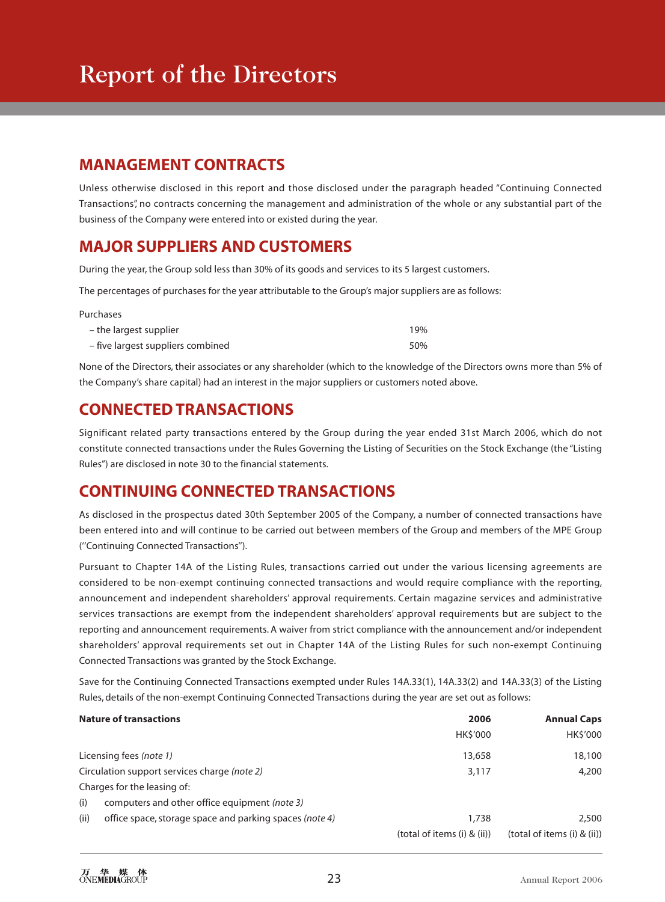# **MANAGEMENT CONTRACTS**

Unless otherwise disclosed in this report and those disclosed under the paragraph headed "Continuing Connected Transactions", no contracts concerning the management and administration of the whole or any substantial part of the business of the Company were entered into or existed during the year.

## **MAJOR SUPPLIERS AND CUSTOMERS**

During the year, the Group sold less than 30% of its goods and services to its 5 largest customers.

The percentages of purchases for the year attributable to the Group's major suppliers are as follows:

| Purchases                         |     |
|-----------------------------------|-----|
| – the largest supplier            | 19% |
| - five largest suppliers combined | 50% |

None of the Directors, their associates or any shareholder (which to the knowledge of the Directors owns more than 5% of the Company's share capital) had an interest in the major suppliers or customers noted above.

# **CONNECTED TRANSACTIONS**

Significant related party transactions entered by the Group during the year ended 31st March 2006, which do not constitute connected transactions under the Rules Governing the Listing of Securities on the Stock Exchange (the "Listing Rules") are disclosed in note 30 to the financial statements.

## **CONTINUING CONNECTED TRANSACTIONS**

As disclosed in the prospectus dated 30th September 2005 of the Company, a number of connected transactions have been entered into and will continue to be carried out between members of the Group and members of the MPE Group (''Continuing Connected Transactions'').

Pursuant to Chapter 14A of the Listing Rules, transactions carried out under the various licensing agreements are considered to be non-exempt continuing connected transactions and would require compliance with the reporting, announcement and independent shareholders' approval requirements. Certain magazine services and administrative services transactions are exempt from the independent shareholders' approval requirements but are subject to the reporting and announcement requirements. A waiver from strict compliance with the announcement and/or independent shareholders' approval requirements set out in Chapter 14A of the Listing Rules for such non-exempt Continuing Connected Transactions was granted by the Stock Exchange.

Save for the Continuing Connected Transactions exempted under Rules 14A.33(1), 14A.33(2) and 14A.33(3) of the Listing Rules, details of the non-exempt Continuing Connected Transactions during the year are set out as follows:

| <b>Nature of transactions</b>                                   | 2006                        | <b>Annual Caps</b>          |  |
|-----------------------------------------------------------------|-----------------------------|-----------------------------|--|
|                                                                 | <b>HKS'000</b>              | <b>HK\$'000</b>             |  |
| Licensing fees (note 1)                                         | 13,658                      | 18,100                      |  |
| Circulation support services charge (note 2)                    | 3,117                       | 4,200                       |  |
| Charges for the leasing of:                                     |                             |                             |  |
| computers and other office equipment (note 3)<br>(i)            |                             |                             |  |
| (ii)<br>office space, storage space and parking spaces (note 4) | 1,738                       | 2,500                       |  |
|                                                                 | (total of items (i) & (ii)) | (total of items (i) & (ii)) |  |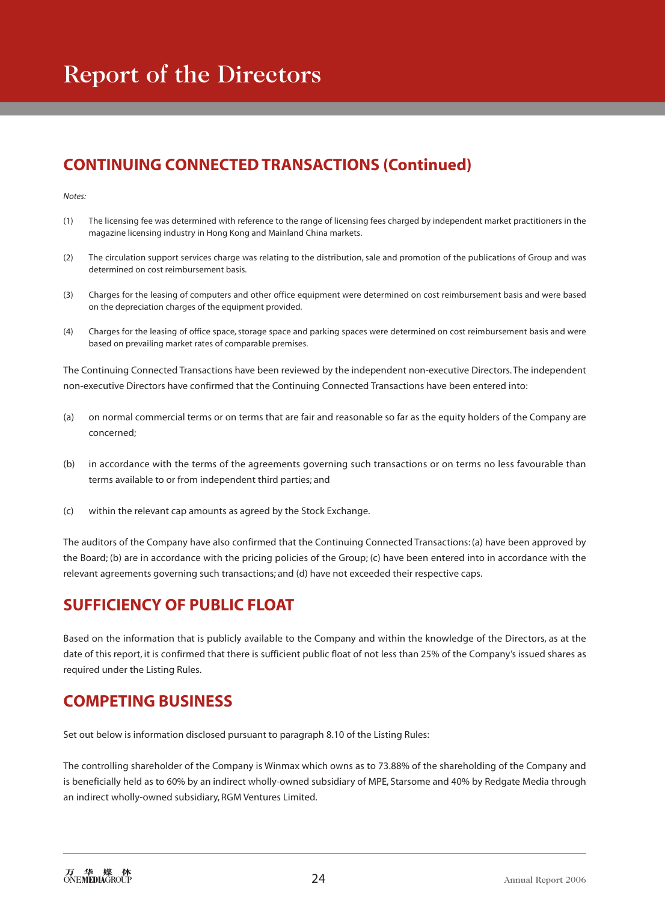# Report of the Directors

# **CONTINUING CONNECTED TRANSACTIONS (Continued)**

#### *Notes:*

- (1) The licensing fee was determined with reference to the range of licensing fees charged by independent market practitioners in the magazine licensing industry in Hong Kong and Mainland China markets.
- (2) The circulation support services charge was relating to the distribution, sale and promotion of the publications of Group and was determined on cost reimbursement basis.
- (3) Charges for the leasing of computers and other office equipment were determined on cost reimbursement basis and were based on the depreciation charges of the equipment provided.
- (4) Charges for the leasing of office space, storage space and parking spaces were determined on cost reimbursement basis and were based on prevailing market rates of comparable premises.

The Continuing Connected Transactions have been reviewed by the independent non-executive Directors. The independent non-executive Directors have confirmed that the Continuing Connected Transactions have been entered into:

- (a) on normal commercial terms or on terms that are fair and reasonable so far as the equity holders of the Company are concerned;
- (b) in accordance with the terms of the agreements governing such transactions or on terms no less favourable than terms available to or from independent third parties; and
- (c) within the relevant cap amounts as agreed by the Stock Exchange.

The auditors of the Company have also confirmed that the Continuing Connected Transactions: (a) have been approved by the Board; (b) are in accordance with the pricing policies of the Group; (c) have been entered into in accordance with the relevant agreements governing such transactions; and (d) have not exceeded their respective caps.

# **SUFFICIENCY OF PUBLIC FLOAT**

Based on the information that is publicly available to the Company and within the knowledge of the Directors, as at the date of this report, it is confirmed that there is sufficient public float of not less than 25% of the Company's issued shares as required under the Listing Rules.

## **COMPETING BUSINESS**

Set out below is information disclosed pursuant to paragraph 8.10 of the Listing Rules:

The controlling shareholder of the Company is Winmax which owns as to 73.88% of the shareholding of the Company and is beneficially held as to 60% by an indirect wholly-owned subsidiary of MPE, Starsome and 40% by Redgate Media through an indirect wholly-owned subsidiary, RGM Ventures Limited.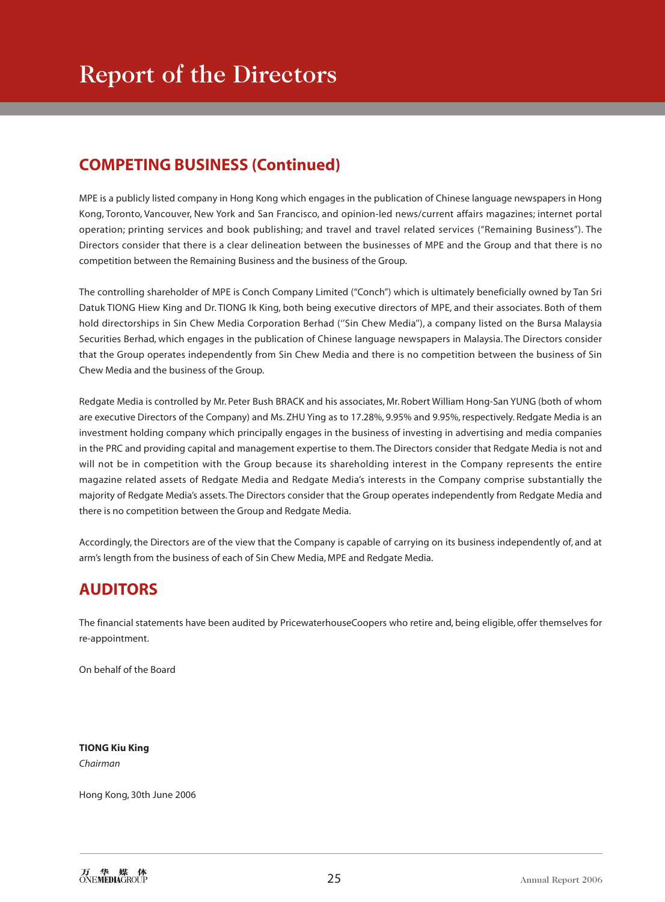# **COMPETING BUSINESS (Continued)**

MPE is a publicly listed company in Hong Kong which engages in the publication of Chinese language newspapers in Hong Kong, Toronto, Vancouver, New York and San Francisco, and opinion-led news/current affairs magazines; internet portal operation; printing services and book publishing; and travel and travel related services ("Remaining Business"). The Directors consider that there is a clear delineation between the businesses of MPE and the Group and that there is no competition between the Remaining Business and the business of the Group.

The controlling shareholder of MPE is Conch Company Limited ("Conch") which is ultimately beneficially owned by Tan Sri Datuk TIONG Hiew King and Dr. TIONG Ik King, both being executive directors of MPE, and their associates. Both of them hold directorships in Sin Chew Media Corporation Berhad (''Sin Chew Media''), a company listed on the Bursa Malaysia Securities Berhad, which engages in the publication of Chinese language newspapers in Malaysia. The Directors consider that the Group operates independently from Sin Chew Media and there is no competition between the business of Sin Chew Media and the business of the Group.

Redgate Media is controlled by Mr. Peter Bush BRACK and his associates, Mr. Robert William Hong-San YUNG (both of whom are executive Directors of the Company) and Ms. ZHU Ying as to 17.28%, 9.95% and 9.95%, respectively. Redgate Media is an investment holding company which principally engages in the business of investing in advertising and media companies in the PRC and providing capital and management expertise to them. The Directors consider that Redgate Media is not and will not be in competition with the Group because its shareholding interest in the Company represents the entire magazine related assets of Redgate Media and Redgate Media's interests in the Company comprise substantially the majority of Redgate Media's assets. The Directors consider that the Group operates independently from Redgate Media and there is no competition between the Group and Redgate Media.

Accordingly, the Directors are of the view that the Company is capable of carrying on its business independently of, and at arm's length from the business of each of Sin Chew Media, MPE and Redgate Media.

# **AUDITORS**

The financial statements have been audited by PricewaterhouseCoopers who retire and, being eligible, offer themselves for re-appointment.

On behalf of the Board

**TIONG Kiu King** *Chairman*

Hong Kong, 30th June 2006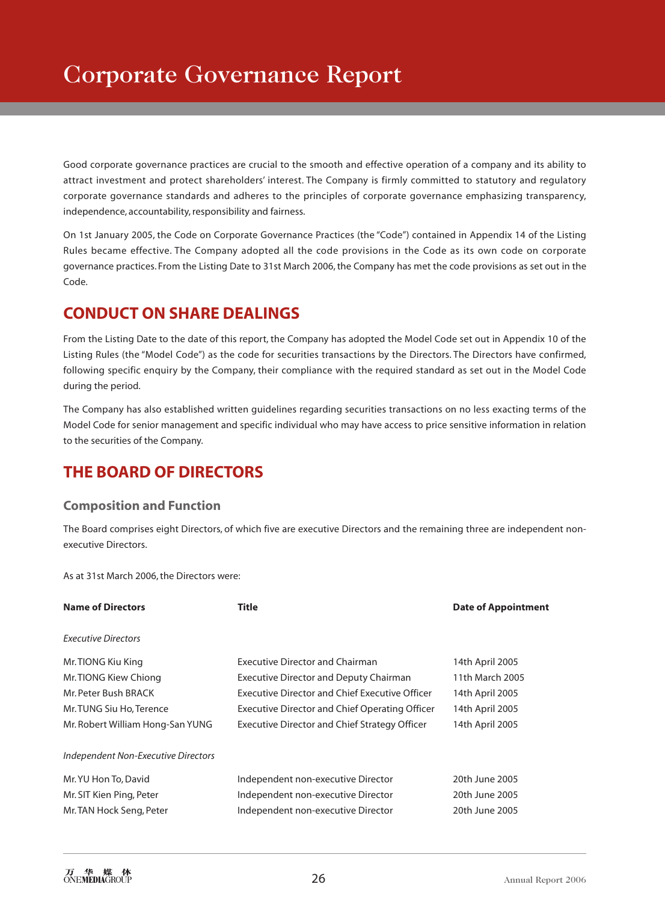Good corporate governance practices are crucial to the smooth and effective operation of a company and its ability to attract investment and protect shareholders' interest. The Company is firmly committed to statutory and regulatory corporate governance standards and adheres to the principles of corporate governance emphasizing transparency, independence, accountability, responsibility and fairness.

On 1st January 2005, the Code on Corporate Governance Practices (the "Code") contained in Appendix 14 of the Listing Rules became effective. The Company adopted all the code provisions in the Code as its own code on corporate governance practices. From the Listing Date to 31st March 2006, the Company has met the code provisions as set out in the Code.

# **CONDUCT ON SHARE DEALINGS**

From the Listing Date to the date of this report, the Company has adopted the Model Code set out in Appendix 10 of the Listing Rules (the "Model Code") as the code for securities transactions by the Directors. The Directors have confirmed, following specific enquiry by the Company, their compliance with the required standard as set out in the Model Code during the period.

The Company has also established written guidelines regarding securities transactions on no less exacting terms of the Model Code for senior management and specific individual who may have access to price sensitive information in relation to the securities of the Company.

# **THE BOARD OF DIRECTORS**

## **Composition and Function**

The Board comprises eight Directors, of which five are executive Directors and the remaining three are independent nonexecutive Directors.

As at 31st March 2006, the Directors were:

| <b>Name of Directors</b>            | Title                                                 | <b>Date of Appointment</b> |
|-------------------------------------|-------------------------------------------------------|----------------------------|
| <b>Executive Directors</b>          |                                                       |                            |
| Mr. TIONG Kiu King                  | <b>Executive Director and Chairman</b>                | 14th April 2005            |
| Mr. TIONG Kiew Chiong               | <b>Executive Director and Deputy Chairman</b>         | 11th March 2005            |
| Mr. Peter Bush BRACK                | <b>Executive Director and Chief Executive Officer</b> | 14th April 2005            |
| Mr. TUNG Siu Ho, Terence            | <b>Executive Director and Chief Operating Officer</b> | 14th April 2005            |
| Mr. Robert William Hong-San YUNG    | Executive Director and Chief Strategy Officer         | 14th April 2005            |
| Independent Non-Executive Directors |                                                       |                            |
| Mr. YU Hon To, David                | Independent non-executive Director                    | 20th June 2005             |
| Mr. SIT Kien Ping, Peter            | Independent non-executive Director                    | 20th June 2005             |
| Mr. TAN Hock Seng, Peter            | Independent non-executive Director                    | 20th June 2005             |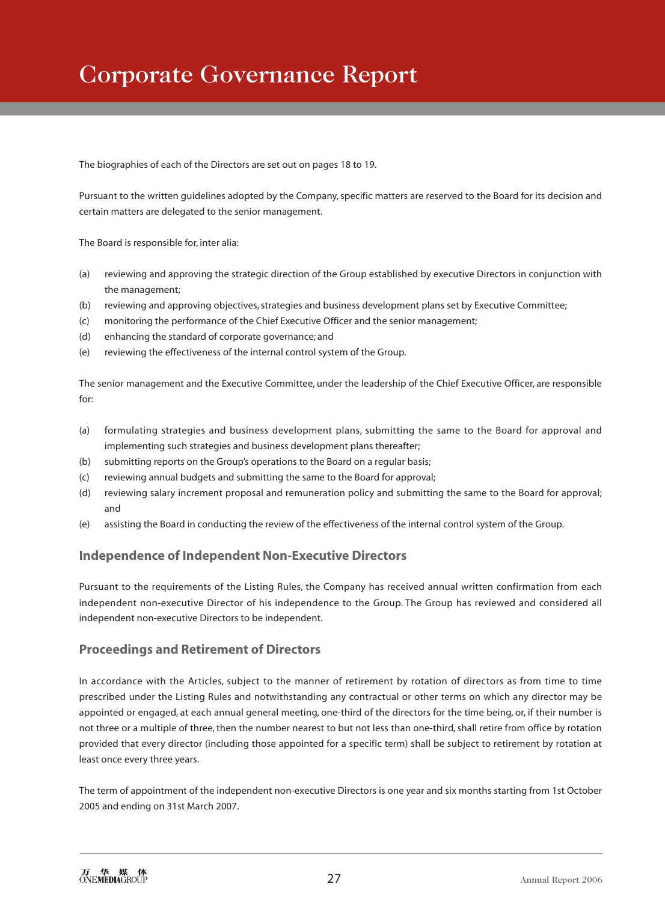# Corporate Governance Report

The biographies of each of the Directors are set out on pages 18 to 19.

Pursuant to the written guidelines adopted by the Company, specific matters are reserved to the Board for its decision and certain matters are delegated to the senior management.

The Board is responsible for, inter alia:

- (a) reviewing and approving the strategic direction of the Group established by executive Directors in conjunction with the management;
- (b) reviewing and approving objectives, strategies and business development plans set by Executive Committee;
- (c) monitoring the performance of the Chief Executive Officer and the senior management;
- (d) enhancing the standard of corporate governance; and
- (e) reviewing the effectiveness of the internal control system of the Group.

The senior management and the Executive Committee, under the leadership of the Chief Executive Officer, are responsible for:

- (a) formulating strategies and business development plans, submitting the same to the Board for approval and implementing such strategies and business development plans thereafter;
- (b) submitting reports on the Group's operations to the Board on a regular basis;
- (c) reviewing annual budgets and submitting the same to the Board for approval;
- (d) reviewing salary increment proposal and remuneration policy and submitting the same to the Board for approval; and
- (e) assisting the Board in conducting the review of the effectiveness of the internal control system of the Group.

#### **Independence of Independent Non-Executive Directors**

Pursuant to the requirements of the Listing Rules, the Company has received annual written confirmation from each independent non-executive Director of his independence to the Group. The Group has reviewed and considered all independent non-executive Directors to be independent.

#### **Proceedings and Retirement of Directors**

In accordance with the Articles, subject to the manner of retirement by rotation of directors as from time to time prescribed under the Listing Rules and notwithstanding any contractual or other terms on which any director may be appointed or engaged, at each annual general meeting, one-third of the directors for the time being, or, if their number is not three or a multiple of three, then the number nearest to but not less than one-third, shall retire from office by rotation provided that every director (including those appointed for a specific term) shall be subject to retirement by rotation at least once every three years.

The term of appointment of the independent non-executive Directors is one year and six months starting from 1st October 2005 and ending on 31st March 2007.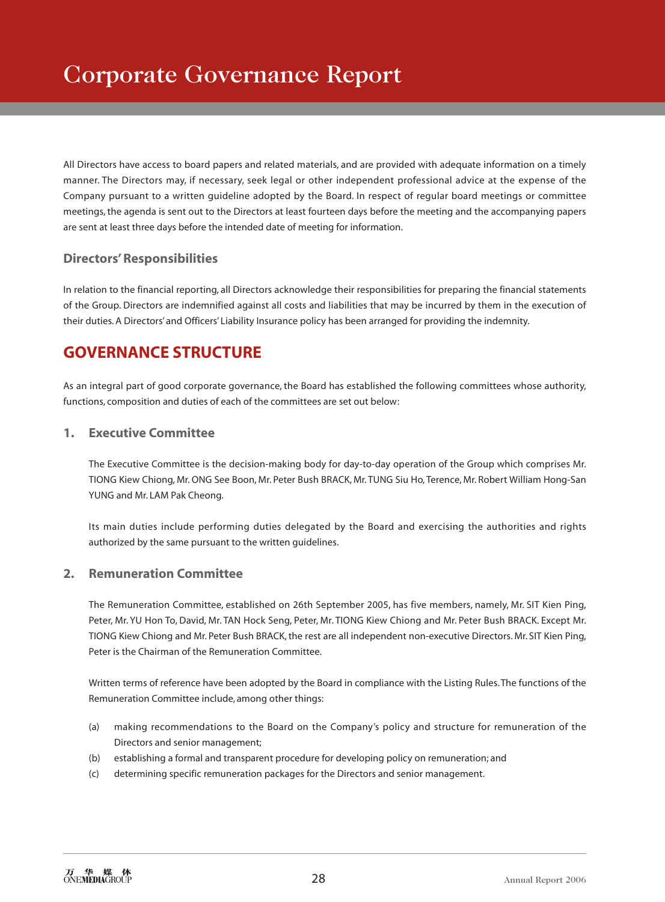All Directors have access to board papers and related materials, and are provided with adequate information on a timely manner. The Directors may, if necessary, seek legal or other independent professional advice at the expense of the Company pursuant to a written guideline adopted by the Board. In respect of regular board meetings or committee meetings, the agenda is sent out to the Directors at least fourteen days before the meeting and the accompanying papers are sent at least three days before the intended date of meeting for information.

## **Directors' Responsibilities**

In relation to the financial reporting, all Directors acknowledge their responsibilities for preparing the financial statements of the Group. Directors are indemnified against all costs and liabilities that may be incurred by them in the execution of their duties. A Directors' and Officers' Liability Insurance policy has been arranged for providing the indemnity.

# **GOVERNANCE STRUCTURE**

As an integral part of good corporate governance, the Board has established the following committees whose authority, functions, composition and duties of each of the committees are set out below:

## **1. Executive Committee**

The Executive Committee is the decision-making body for day-to-day operation of the Group which comprises Mr. TIONG Kiew Chiong, Mr. ONG See Boon, Mr. Peter Bush BRACK, Mr. TUNG Siu Ho, Terence, Mr. Robert William Hong-San YUNG and Mr. LAM Pak Cheong.

Its main duties include performing duties delegated by the Board and exercising the authorities and rights authorized by the same pursuant to the written guidelines.

## **2. Remuneration Committee**

The Remuneration Committee, established on 26th September 2005, has five members, namely, Mr. SIT Kien Ping, Peter, Mr. YU Hon To, David, Mr. TAN Hock Seng, Peter, Mr. TIONG Kiew Chiong and Mr. Peter Bush BRACK. Except Mr. TIONG Kiew Chiong and Mr. Peter Bush BRACK, the rest are all independent non-executive Directors. Mr. SIT Kien Ping, Peter is the Chairman of the Remuneration Committee.

Written terms of reference have been adopted by the Board in compliance with the Listing Rules. The functions of the Remuneration Committee include, among other things:

- (a) making recommendations to the Board on the Company's policy and structure for remuneration of the Directors and senior management;
- (b) establishing a formal and transparent procedure for developing policy on remuneration; and
- (c) determining specific remuneration packages for the Directors and senior management.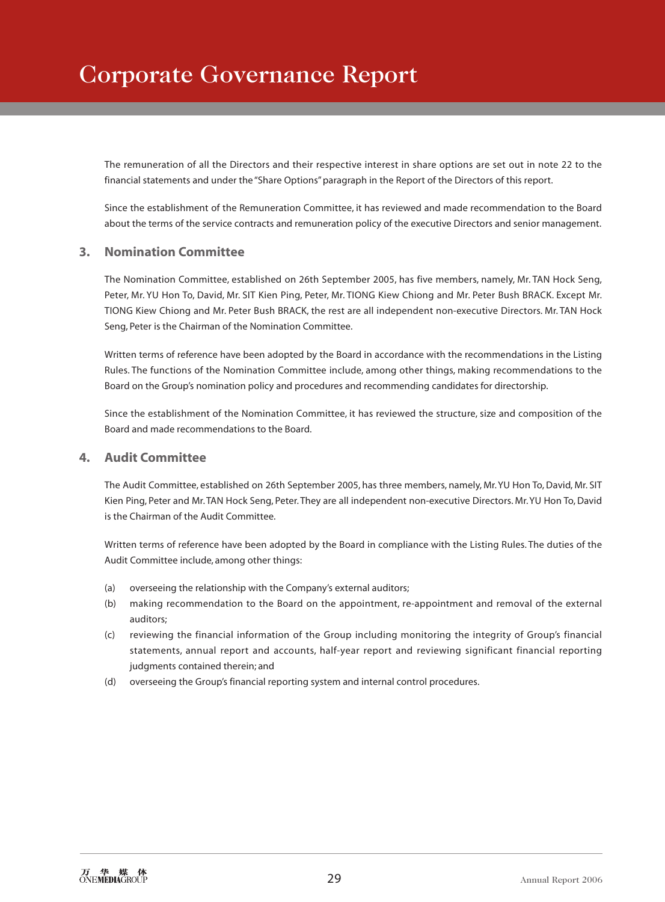The remuneration of all the Directors and their respective interest in share options are set out in note 22 to the financial statements and under the "Share Options" paragraph in the Report of the Directors of this report.

Since the establishment of the Remuneration Committee, it has reviewed and made recommendation to the Board about the terms of the service contracts and remuneration policy of the executive Directors and senior management.

## **3. Nomination Committee**

The Nomination Committee, established on 26th September 2005, has five members, namely, Mr. TAN Hock Seng, Peter, Mr. YU Hon To, David, Mr. SIT Kien Ping, Peter, Mr. TIONG Kiew Chiong and Mr. Peter Bush BRACK. Except Mr. TIONG Kiew Chiong and Mr. Peter Bush BRACK, the rest are all independent non-executive Directors. Mr. TAN Hock Seng, Peter is the Chairman of the Nomination Committee.

Written terms of reference have been adopted by the Board in accordance with the recommendations in the Listing Rules. The functions of the Nomination Committee include, among other things, making recommendations to the Board on the Group's nomination policy and procedures and recommending candidates for directorship.

Since the establishment of the Nomination Committee, it has reviewed the structure, size and composition of the Board and made recommendations to the Board.

## **4. Audit Committee**

The Audit Committee, established on 26th September 2005, has three members, namely, Mr. YU Hon To, David, Mr. SIT Kien Ping, Peter and Mr. TAN Hock Seng, Peter. They are all independent non-executive Directors. Mr. YU Hon To, David is the Chairman of the Audit Committee.

Written terms of reference have been adopted by the Board in compliance with the Listing Rules. The duties of the Audit Committee include, among other things:

- (a) overseeing the relationship with the Company's external auditors;
- (b) making recommendation to the Board on the appointment, re-appointment and removal of the external auditors;
- (c) reviewing the financial information of the Group including monitoring the integrity of Group's financial statements, annual report and accounts, half-year report and reviewing significant financial reporting judgments contained therein; and
- (d) overseeing the Group's financial reporting system and internal control procedures.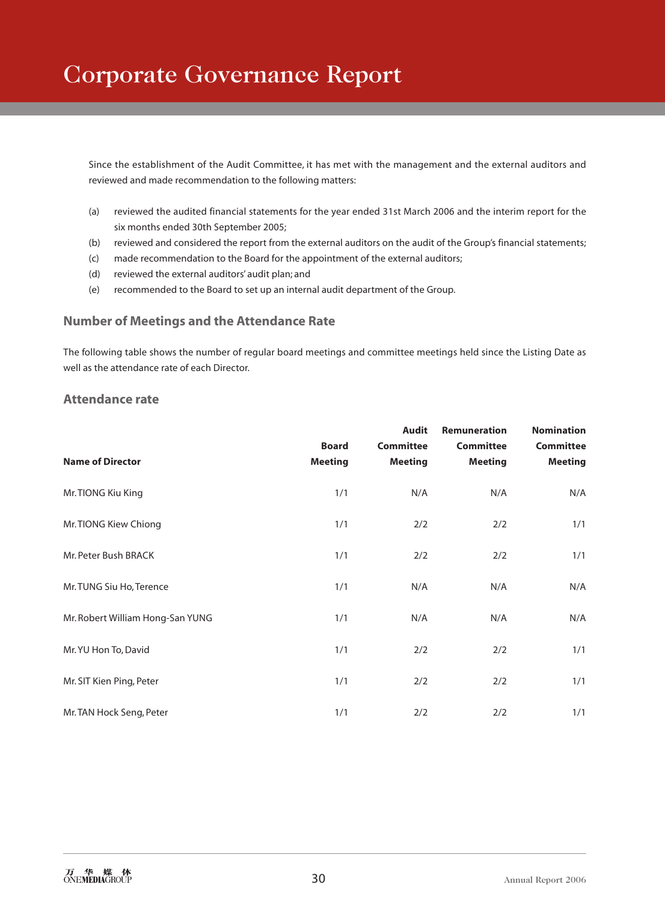Since the establishment of the Audit Committee, it has met with the management and the external auditors and reviewed and made recommendation to the following matters:

- (a) reviewed the audited financial statements for the year ended 31st March 2006 and the interim report for the six months ended 30th September 2005;
- (b) reviewed and considered the report from the external auditors on the audit of the Group's financial statements;
- (c) made recommendation to the Board for the appointment of the external auditors;
- (d) reviewed the external auditors' audit plan; and
- (e) recommended to the Board to set up an internal audit department of the Group.

### **Number of Meetings and the Attendance Rate**

The following table shows the number of regular board meetings and committee meetings held since the Listing Date as well as the attendance rate of each Director.

## **Attendance rate**

| <b>Name of Director</b>          | <b>Board</b><br><b>Meeting</b> | <b>Audit</b><br><b>Committee</b><br><b>Meeting</b> | <b>Remuneration</b><br><b>Committee</b><br><b>Meeting</b> | <b>Nomination</b><br><b>Committee</b><br><b>Meeting</b> |
|----------------------------------|--------------------------------|----------------------------------------------------|-----------------------------------------------------------|---------------------------------------------------------|
| Mr. TIONG Kiu King               | 1/1                            | N/A                                                | N/A                                                       | N/A                                                     |
| Mr. TIONG Kiew Chiong            | 1/1                            | 2/2                                                | 2/2                                                       | 1/1                                                     |
| Mr. Peter Bush BRACK             | 1/1                            | 2/2                                                | 2/2                                                       | 1/1                                                     |
| Mr. TUNG Siu Ho, Terence         | 1/1                            | N/A                                                | N/A                                                       | N/A                                                     |
| Mr. Robert William Hong-San YUNG | 1/1                            | N/A                                                | N/A                                                       | N/A                                                     |
| Mr. YU Hon To, David             | 1/1                            | 2/2                                                | 2/2                                                       | 1/1                                                     |
| Mr. SIT Kien Ping, Peter         | 1/1                            | 2/2                                                | 2/2                                                       | 1/1                                                     |
| Mr. TAN Hock Seng, Peter         | 1/1                            | 2/2                                                | 2/2                                                       | 1/1                                                     |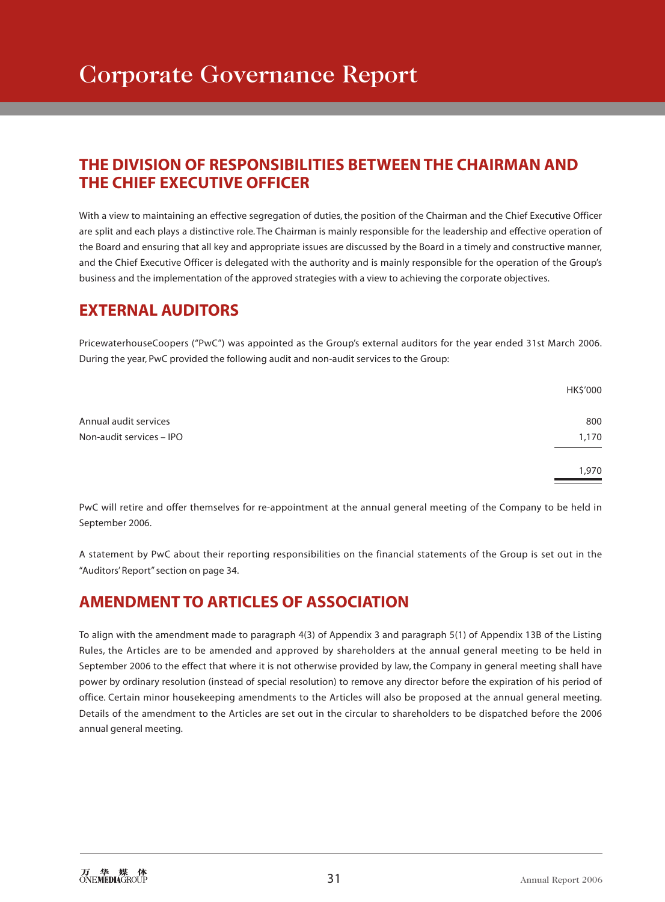# **THE DIVISION OF RESPONSIBILITIES BETWEEN THE CHAIRMAN AND THE CHIEF EXECUTIVE OFFICER**

With a view to maintaining an effective segregation of duties, the position of the Chairman and the Chief Executive Officer are split and each plays a distinctive role. The Chairman is mainly responsible for the leadership and effective operation of the Board and ensuring that all key and appropriate issues are discussed by the Board in a timely and constructive manner, and the Chief Executive Officer is delegated with the authority and is mainly responsible for the operation of the Group's business and the implementation of the approved strategies with a view to achieving the corporate objectives.

## **EXTERNAL AUDITORS**

PricewaterhouseCoopers ("PwC") was appointed as the Group's external auditors for the year ended 31st March 2006. During the year, PwC provided the following audit and non-audit services to the Group:

|                          | HK\$'000 |
|--------------------------|----------|
| Annual audit services    | 800      |
| Non-audit services - IPO | 1,170    |
|                          | 1,970    |

PwC will retire and offer themselves for re-appointment at the annual general meeting of the Company to be held in September 2006.

A statement by PwC about their reporting responsibilities on the financial statements of the Group is set out in the "Auditors' Report" section on page 34.

# **AMENDMENT TO ARTICLES OF ASSOCIATION**

To align with the amendment made to paragraph 4(3) of Appendix 3 and paragraph 5(1) of Appendix 13B of the Listing Rules, the Articles are to be amended and approved by shareholders at the annual general meeting to be held in September 2006 to the effect that where it is not otherwise provided by law, the Company in general meeting shall have power by ordinary resolution (instead of special resolution) to remove any director before the expiration of his period of office. Certain minor housekeeping amendments to the Articles will also be proposed at the annual general meeting. Details of the amendment to the Articles are set out in the circular to shareholders to be dispatched before the 2006 annual general meeting.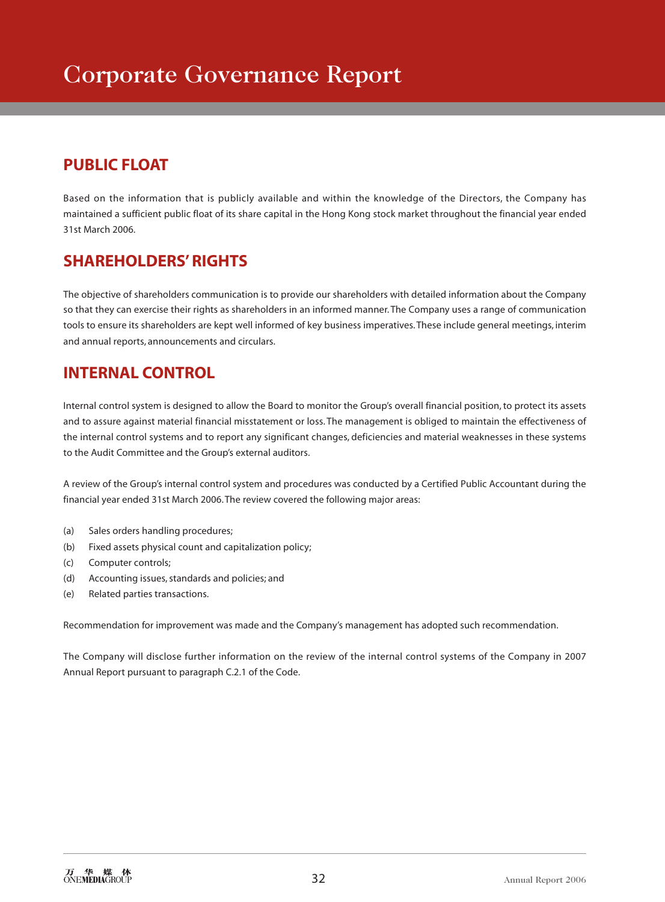# **PUBLIC FLOAT**

Based on the information that is publicly available and within the knowledge of the Directors, the Company has maintained a sufficient public float of its share capital in the Hong Kong stock market throughout the financial year ended 31st March 2006.

# **SHAREHOLDERS' RIGHTS**

The objective of shareholders communication is to provide our shareholders with detailed information about the Company so that they can exercise their rights as shareholders in an informed manner. The Company uses a range of communication tools to ensure its shareholders are kept well informed of key business imperatives. These include general meetings, interim and annual reports, announcements and circulars.

# **INTERNAL CONTROL**

Internal control system is designed to allow the Board to monitor the Group's overall financial position, to protect its assets and to assure against material financial misstatement or loss. The management is obliged to maintain the effectiveness of the internal control systems and to report any significant changes, deficiencies and material weaknesses in these systems to the Audit Committee and the Group's external auditors.

A review of the Group's internal control system and procedures was conducted by a Certified Public Accountant during the financial year ended 31st March 2006. The review covered the following major areas:

- (a) Sales orders handling procedures;
- (b) Fixed assets physical count and capitalization policy;
- (c) Computer controls;
- (d) Accounting issues, standards and policies; and
- (e) Related parties transactions.

Recommendation for improvement was made and the Company's management has adopted such recommendation.

The Company will disclose further information on the review of the internal control systems of the Company in 2007 Annual Report pursuant to paragraph C.2.1 of the Code.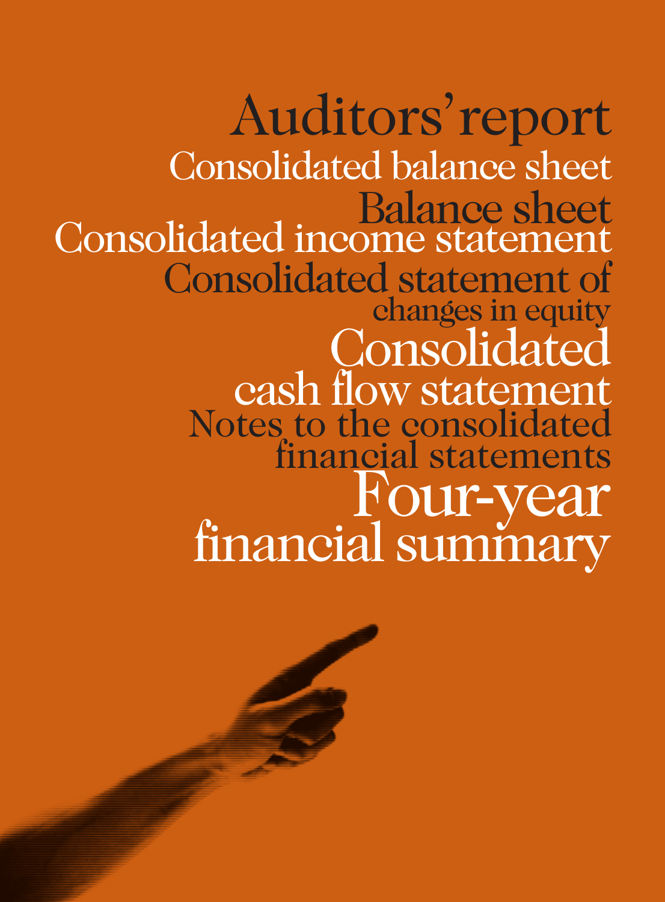Auditors'report Notes to the consolidated financial statements Consolidated balance sheet Balance sheet Consolidated statement of changes in equity Consolidated cash flow statement Four-year financial summary Consolidated income statement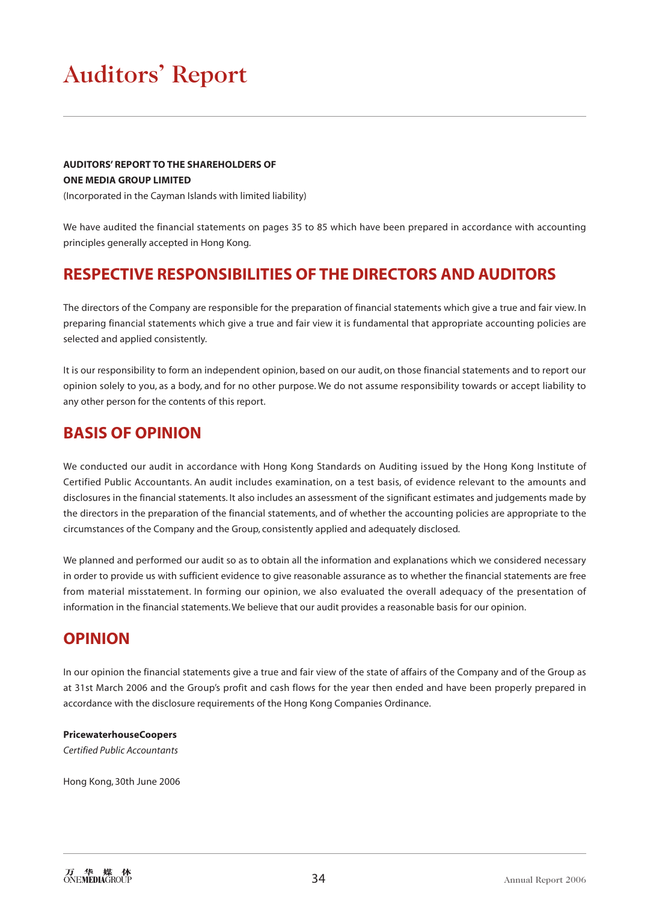# Auditors' Report

## **AUDITORS' REPORT TO THE SHAREHOLDERS OF ONE MEDIA GROUP LIMITED**

(Incorporated in the Cayman Islands with limited liability)

We have audited the financial statements on pages 35 to 85 which have been prepared in accordance with accounting principles generally accepted in Hong Kong.

## **RESPECTIVE RESPONSIBILITIES OF THE DIRECTORS AND AUDITORS**

The directors of the Company are responsible for the preparation of financial statements which give a true and fair view. In preparing financial statements which give a true and fair view it is fundamental that appropriate accounting policies are selected and applied consistently.

It is our responsibility to form an independent opinion, based on our audit, on those financial statements and to report our opinion solely to you, as a body, and for no other purpose. We do not assume responsibility towards or accept liability to any other person for the contents of this report.

## **BASIS OF OPINION**

We conducted our audit in accordance with Hong Kong Standards on Auditing issued by the Hong Kong Institute of Certified Public Accountants. An audit includes examination, on a test basis, of evidence relevant to the amounts and disclosures in the financial statements. It also includes an assessment of the significant estimates and judgements made by the directors in the preparation of the financial statements, and of whether the accounting policies are appropriate to the circumstances of the Company and the Group, consistently applied and adequately disclosed.

We planned and performed our audit so as to obtain all the information and explanations which we considered necessary in order to provide us with sufficient evidence to give reasonable assurance as to whether the financial statements are free from material misstatement. In forming our opinion, we also evaluated the overall adequacy of the presentation of information in the financial statements. We believe that our audit provides a reasonable basis for our opinion.

## **OPINION**

In our opinion the financial statements give a true and fair view of the state of affairs of the Company and of the Group as at 31st March 2006 and the Group's profit and cash flows for the year then ended and have been properly prepared in accordance with the disclosure requirements of the Hong Kong Companies Ordinance.

#### **PricewaterhouseCoopers**

*Certified Public Accountants*

Hong Kong, 30th June 2006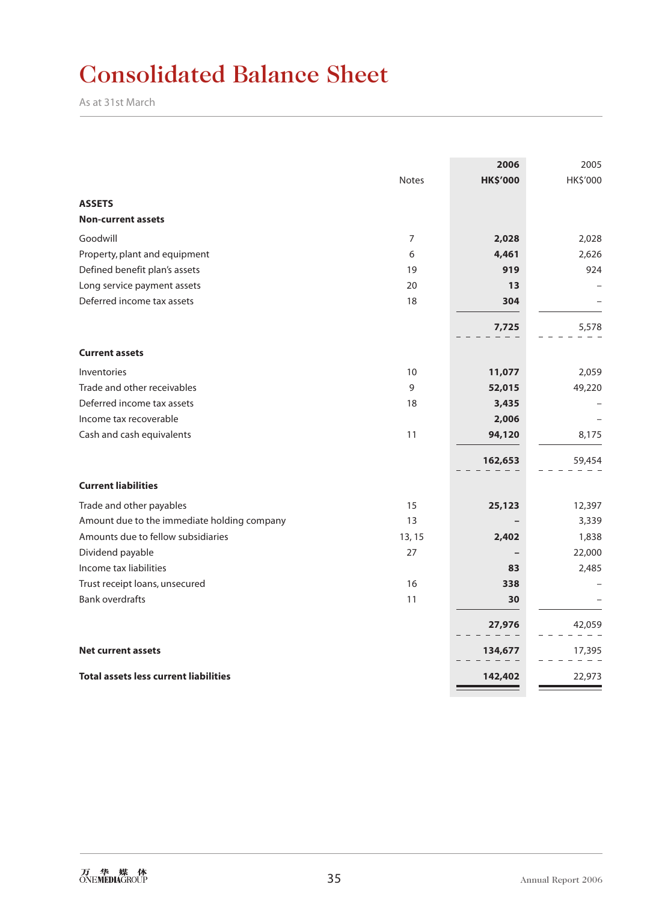# Consolidated Balance Sheet

As at 31st March

|                                              |                | 2006            | 2005     |
|----------------------------------------------|----------------|-----------------|----------|
|                                              | <b>Notes</b>   | <b>HK\$'000</b> | HK\$'000 |
| <b>ASSETS</b>                                |                |                 |          |
| <b>Non-current assets</b>                    |                |                 |          |
| Goodwill                                     | $\overline{7}$ | 2,028           | 2,028    |
| Property, plant and equipment                | 6              | 4,461           | 2,626    |
| Defined benefit plan's assets                | 19             | 919             | 924      |
| Long service payment assets                  | 20             | 13              |          |
| Deferred income tax assets                   | 18             | 304             |          |
|                                              |                | 7,725           | 5,578    |
| <b>Current assets</b>                        |                |                 |          |
|                                              |                |                 |          |
| Inventories                                  | 10             | 11,077          | 2,059    |
| Trade and other receivables                  | 9              | 52,015          | 49,220   |
| Deferred income tax assets                   | 18             | 3,435           |          |
| Income tax recoverable                       |                | 2,006           |          |
| Cash and cash equivalents                    | 11             | 94,120          | 8,175    |
|                                              |                | 162,653         | 59,454   |
| <b>Current liabilities</b>                   |                |                 |          |
| Trade and other payables                     | 15             | 25,123          | 12,397   |
| Amount due to the immediate holding company  | 13             |                 | 3,339    |
| Amounts due to fellow subsidiaries           | 13, 15         | 2,402           | 1,838    |
| Dividend payable                             | 27             |                 | 22,000   |
| Income tax liabilities                       |                | 83              | 2,485    |
| Trust receipt loans, unsecured               | 16             | 338             |          |
| <b>Bank overdrafts</b>                       | 11             | 30              |          |
|                                              |                | 27,976          | 42,059   |
| <b>Net current assets</b>                    |                | 134,677         | 17,395   |
| <b>Total assets less current liabilities</b> |                | 142,402         | 22,973   |
|                                              |                |                 |          |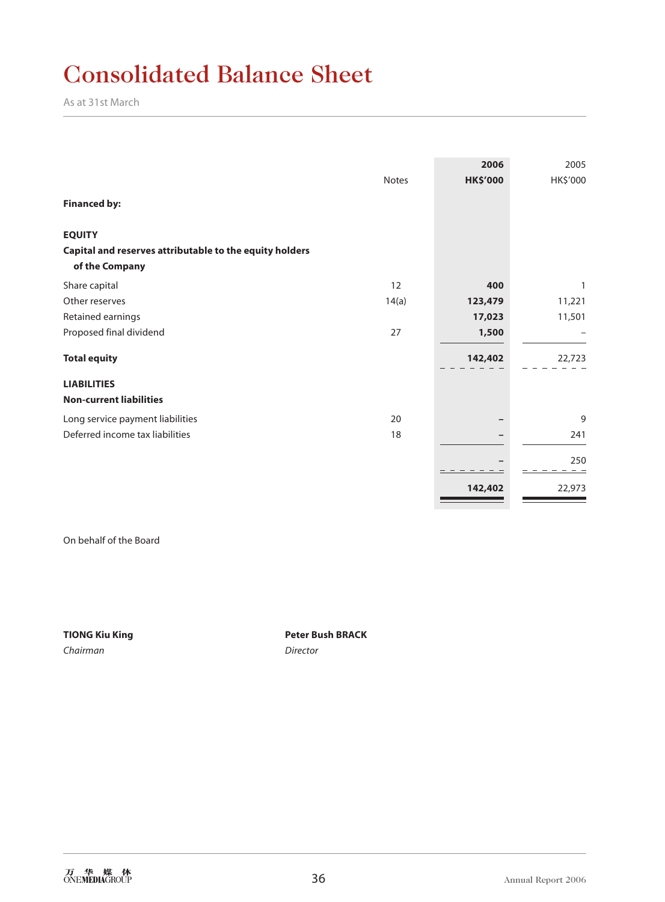# Consolidated Balance Sheet

As at 31st March

|                                                                           | <b>Notes</b> | 2006<br><b>HK\$'000</b> | 2005<br>HK\$'000 |
|---------------------------------------------------------------------------|--------------|-------------------------|------------------|
| <b>Financed by:</b>                                                       |              |                         |                  |
| <b>EQUITY</b>                                                             |              |                         |                  |
| Capital and reserves attributable to the equity holders<br>of the Company |              |                         |                  |
| Share capital                                                             | 12           | 400                     | 1                |
| Other reserves                                                            | 14(a)        | 123,479                 | 11,221           |
| Retained earnings                                                         |              | 17,023                  | 11,501           |
| Proposed final dividend                                                   | 27           | 1,500                   |                  |
| <b>Total equity</b>                                                       |              | 142,402                 | 22,723           |
| <b>LIABILITIES</b>                                                        |              |                         |                  |
| <b>Non-current liabilities</b>                                            |              |                         |                  |
| Long service payment liabilities                                          | 20           |                         | 9                |
| Deferred income tax liabilities                                           | 18           |                         | 241              |
|                                                                           |              |                         | 250              |
|                                                                           |              |                         |                  |
|                                                                           |              | 142,402                 | 22,973           |

On behalf of the Board

*Chairman Director*

**TIONG Kiu King Peter Bush BRACK**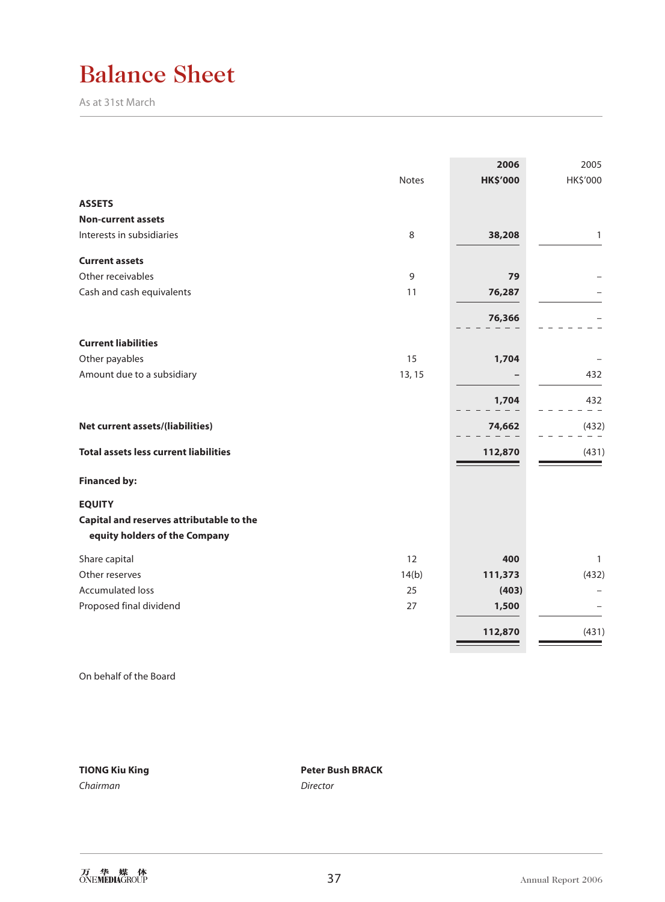# Balance Sheet

As at 31st March

|                                                                           | <b>Notes</b> | 2006<br><b>HK\$'000</b> | 2005<br>HK\$'000 |
|---------------------------------------------------------------------------|--------------|-------------------------|------------------|
|                                                                           |              |                         |                  |
| <b>ASSETS</b>                                                             |              |                         |                  |
| <b>Non-current assets</b>                                                 |              |                         |                  |
| Interests in subsidiaries                                                 | 8            | 38,208                  | 1                |
| <b>Current assets</b>                                                     |              |                         |                  |
| Other receivables                                                         | 9            | 79                      |                  |
| Cash and cash equivalents                                                 | 11           | 76,287                  |                  |
|                                                                           |              | 76,366                  |                  |
| <b>Current liabilities</b>                                                |              |                         |                  |
| Other payables                                                            | 15           | 1,704                   |                  |
| Amount due to a subsidiary                                                | 13, 15       |                         | 432              |
|                                                                           |              | 1,704                   | 432              |
|                                                                           |              |                         |                  |
| Net current assets/(liabilities)                                          |              | 74,662                  | (432)            |
| <b>Total assets less current liabilities</b>                              |              | 112,870                 | (431)            |
| <b>Financed by:</b>                                                       |              |                         |                  |
| <b>EQUITY</b>                                                             |              |                         |                  |
| Capital and reserves attributable to the<br>equity holders of the Company |              |                         |                  |
| Share capital                                                             | 12           | 400                     | $\mathbf{1}$     |
| Other reserves                                                            | 14(b)        | 111,373                 | (432)            |
| <b>Accumulated loss</b>                                                   | 25           | (403)                   |                  |
| Proposed final dividend                                                   | 27           | 1,500                   |                  |
|                                                                           |              | 112,870                 | (431)            |
|                                                                           |              |                         |                  |

On behalf of the Board

**TIONG Kiu King Peter Bush BRACK** *Chairman Director*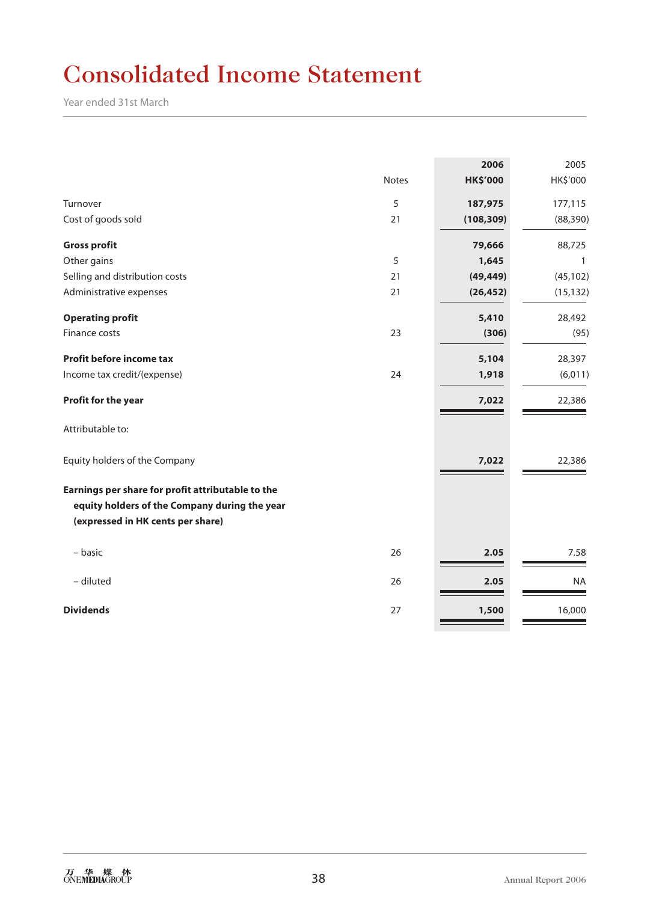# Consolidated Income Statement

Year ended 31st March

|                                                                                                                                         | <b>Notes</b> | 2006<br><b>HK\$'000</b> | 2005<br>HK\$'000 |
|-----------------------------------------------------------------------------------------------------------------------------------------|--------------|-------------------------|------------------|
| Turnover                                                                                                                                | 5            | 187,975                 | 177,115          |
| Cost of goods sold                                                                                                                      | 21           | (108, 309)              | (88, 390)        |
| <b>Gross profit</b>                                                                                                                     |              | 79,666                  | 88,725           |
| Other gains                                                                                                                             | 5            | 1,645                   | $\mathbf{1}$     |
| Selling and distribution costs                                                                                                          | 21           | (49, 449)               | (45, 102)        |
| Administrative expenses                                                                                                                 | 21           | (26, 452)               | (15, 132)        |
| <b>Operating profit</b>                                                                                                                 |              | 5,410                   | 28,492           |
| Finance costs                                                                                                                           | 23           | (306)                   | (95)             |
| <b>Profit before income tax</b>                                                                                                         |              | 5,104                   | 28,397           |
| Income tax credit/(expense)                                                                                                             | 24           | 1,918                   | (6,011)          |
| Profit for the year                                                                                                                     |              | 7,022                   | 22,386           |
| Attributable to:                                                                                                                        |              |                         |                  |
| Equity holders of the Company                                                                                                           |              | 7,022                   | 22,386           |
| Earnings per share for profit attributable to the<br>equity holders of the Company during the year<br>(expressed in HK cents per share) |              |                         |                  |
| – basic                                                                                                                                 | 26           | 2.05                    | 7.58             |
| - diluted                                                                                                                               | 26           | 2.05                    | <b>NA</b>        |
| <b>Dividends</b>                                                                                                                        | 27           | 1,500                   | 16,000           |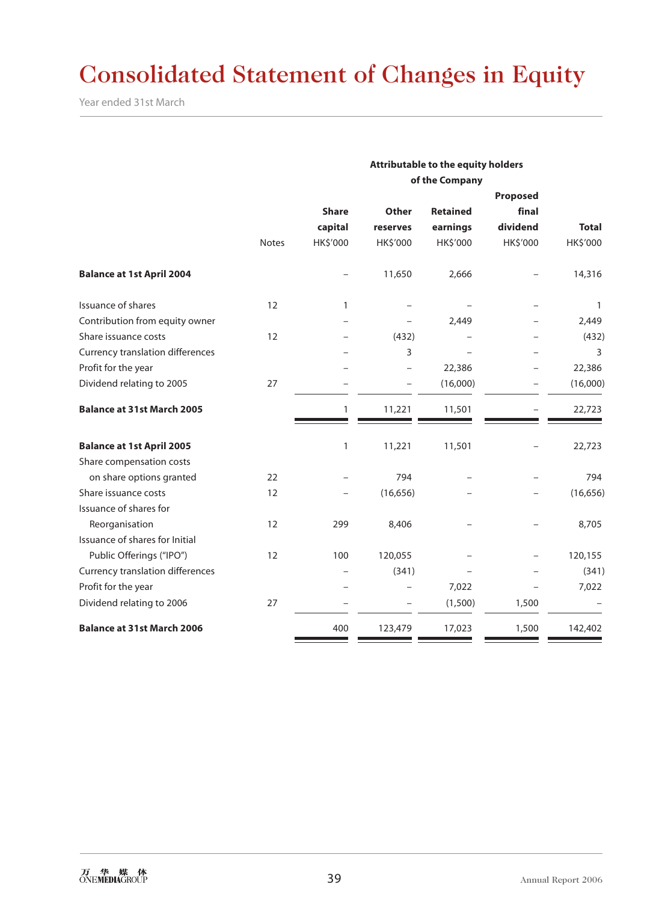# Consolidated Statement of Changes in Equity

Year ended 31st March

|                                   |              | Attributable to the equity holders |           |                 |          |              |  |  |
|-----------------------------------|--------------|------------------------------------|-----------|-----------------|----------|--------------|--|--|
|                                   |              | of the Company                     |           |                 |          |              |  |  |
|                                   |              | Proposed                           |           |                 |          |              |  |  |
|                                   |              | <b>Share</b>                       | Other     | <b>Retained</b> | final    |              |  |  |
|                                   |              | capital                            | reserves  | earnings        | dividend | <b>Total</b> |  |  |
|                                   | <b>Notes</b> | HK\$'000                           | HK\$'000  | HK\$'000        | HK\$'000 | HK\$'000     |  |  |
| <b>Balance at 1st April 2004</b>  |              |                                    | 11,650    | 2,666           |          | 14,316       |  |  |
| Issuance of shares                | 12           | 1                                  |           |                 |          | $\mathbf{1}$ |  |  |
| Contribution from equity owner    |              |                                    |           | 2,449           |          | 2,449        |  |  |
| Share issuance costs              | 12           |                                    | (432)     |                 |          | (432)        |  |  |
| Currency translation differences  |              |                                    | 3         |                 |          | 3            |  |  |
| Profit for the year               |              |                                    |           | 22,386          |          | 22,386       |  |  |
| Dividend relating to 2005         | 27           |                                    |           | (16,000)        |          | (16,000)     |  |  |
| <b>Balance at 31st March 2005</b> |              | 1                                  | 11,221    | 11,501          |          | 22,723       |  |  |
| <b>Balance at 1st April 2005</b>  |              | $\mathbf{1}$                       | 11,221    | 11,501          |          | 22,723       |  |  |
| Share compensation costs          |              |                                    |           |                 |          |              |  |  |
| on share options granted          | 22           |                                    | 794       |                 |          | 794          |  |  |
| Share issuance costs              | 12           |                                    | (16, 656) |                 |          | (16, 656)    |  |  |
| Issuance of shares for            |              |                                    |           |                 |          |              |  |  |
| Reorganisation                    | 12           | 299                                | 8,406     |                 |          | 8,705        |  |  |
| Issuance of shares for Initial    |              |                                    |           |                 |          |              |  |  |
| Public Offerings ("IPO")          | 12           | 100                                | 120,055   |                 |          | 120,155      |  |  |
| Currency translation differences  |              |                                    | (341)     |                 |          | (341)        |  |  |
| Profit for the year               |              |                                    |           | 7,022           |          | 7,022        |  |  |
| Dividend relating to 2006         | 27           |                                    |           | (1,500)         | 1,500    |              |  |  |
| <b>Balance at 31st March 2006</b> |              | 400                                | 123,479   | 17,023          | 1,500    | 142,402      |  |  |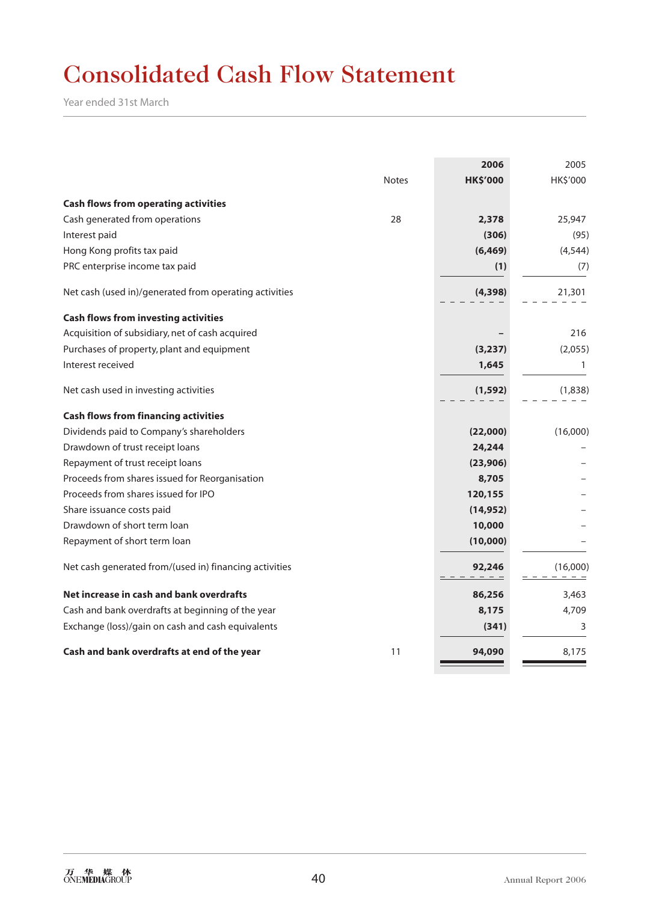# Consolidated Cash Flow Statement

Year ended 31st March

|                                                        |              | 2006            | 2005     |
|--------------------------------------------------------|--------------|-----------------|----------|
|                                                        | <b>Notes</b> | <b>HK\$'000</b> | HK\$'000 |
| <b>Cash flows from operating activities</b>            |              |                 |          |
| Cash generated from operations                         | 28           | 2,378           | 25,947   |
| Interest paid                                          |              | (306)           | (95)     |
| Hong Kong profits tax paid                             |              | (6, 469)        | (4, 544) |
| PRC enterprise income tax paid                         |              | (1)             | (7)      |
| Net cash (used in)/generated from operating activities |              | (4,398)         | 21,301   |
| <b>Cash flows from investing activities</b>            |              |                 |          |
| Acquisition of subsidiary, net of cash acquired        |              |                 | 216      |
| Purchases of property, plant and equipment             |              | (3, 237)        | (2,055)  |
| Interest received                                      |              | 1,645           | 1        |
| Net cash used in investing activities                  |              | (1, 592)        | (1,838)  |
| <b>Cash flows from financing activities</b>            |              |                 |          |
| Dividends paid to Company's shareholders               |              | (22,000)        | (16,000) |
| Drawdown of trust receipt loans                        |              | 24,244          |          |
| Repayment of trust receipt loans                       |              | (23,906)        |          |
| Proceeds from shares issued for Reorganisation         |              | 8,705           |          |
| Proceeds from shares issued for IPO                    |              | 120,155         |          |
| Share issuance costs paid                              |              | (14, 952)       |          |
| Drawdown of short term loan                            |              | 10,000          |          |
| Repayment of short term loan                           |              | (10,000)        |          |
| Net cash generated from/(used in) financing activities |              | 92,246          | (16,000) |
| Net increase in cash and bank overdrafts               |              | 86,256          | 3,463    |
| Cash and bank overdrafts at beginning of the year      |              | 8,175           | 4,709    |
| Exchange (loss)/gain on cash and cash equivalents      |              | (341)           | 3        |
| Cash and bank overdrafts at end of the year            | 11           | 94,090          | 8,175    |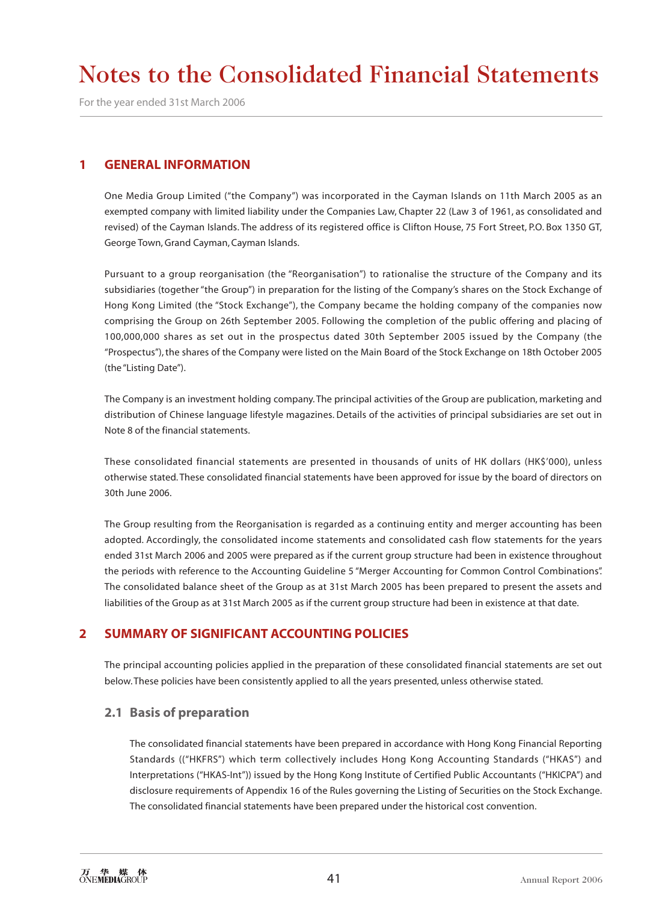For the year ended 31st March 2006

### **1 GENERAL INFORMATION**

One Media Group Limited ("the Company") was incorporated in the Cayman Islands on 11th March 2005 as an exempted company with limited liability under the Companies Law, Chapter 22 (Law 3 of 1961, as consolidated and revised) of the Cayman Islands. The address of its registered office is Clifton House, 75 Fort Street, P.O. Box 1350 GT, George Town, Grand Cayman, Cayman Islands.

Pursuant to a group reorganisation (the "Reorganisation") to rationalise the structure of the Company and its subsidiaries (together "the Group") in preparation for the listing of the Company's shares on the Stock Exchange of Hong Kong Limited (the "Stock Exchange"), the Company became the holding company of the companies now comprising the Group on 26th September 2005. Following the completion of the public offering and placing of 100,000,000 shares as set out in the prospectus dated 30th September 2005 issued by the Company (the "Prospectus"), the shares of the Company were listed on the Main Board of the Stock Exchange on 18th October 2005 (the "Listing Date").

The Company is an investment holding company. The principal activities of the Group are publication, marketing and distribution of Chinese language lifestyle magazines. Details of the activities of principal subsidiaries are set out in Note 8 of the financial statements.

These consolidated financial statements are presented in thousands of units of HK dollars (HK\$'000), unless otherwise stated. These consolidated financial statements have been approved for issue by the board of directors on 30th June 2006.

The Group resulting from the Reorganisation is regarded as a continuing entity and merger accounting has been adopted. Accordingly, the consolidated income statements and consolidated cash flow statements for the years ended 31st March 2006 and 2005 were prepared as if the current group structure had been in existence throughout the periods with reference to the Accounting Guideline 5 "Merger Accounting for Common Control Combinations". The consolidated balance sheet of the Group as at 31st March 2005 has been prepared to present the assets and liabilities of the Group as at 31st March 2005 as if the current group structure had been in existence at that date.

## **2 SUMMARY OF SIGNIFICANT ACCOUNTING POLICIES**

The principal accounting policies applied in the preparation of these consolidated financial statements are set out below. These policies have been consistently applied to all the years presented, unless otherwise stated.

### **2.1 Basis of preparation**

The consolidated financial statements have been prepared in accordance with Hong Kong Financial Reporting Standards (("HKFRS") which term collectively includes Hong Kong Accounting Standards ("HKAS") and Interpretations ("HKAS-Int")) issued by the Hong Kong Institute of Certified Public Accountants ("HKICPA") and disclosure requirements of Appendix 16 of the Rules governing the Listing of Securities on the Stock Exchange. The consolidated financial statements have been prepared under the historical cost convention.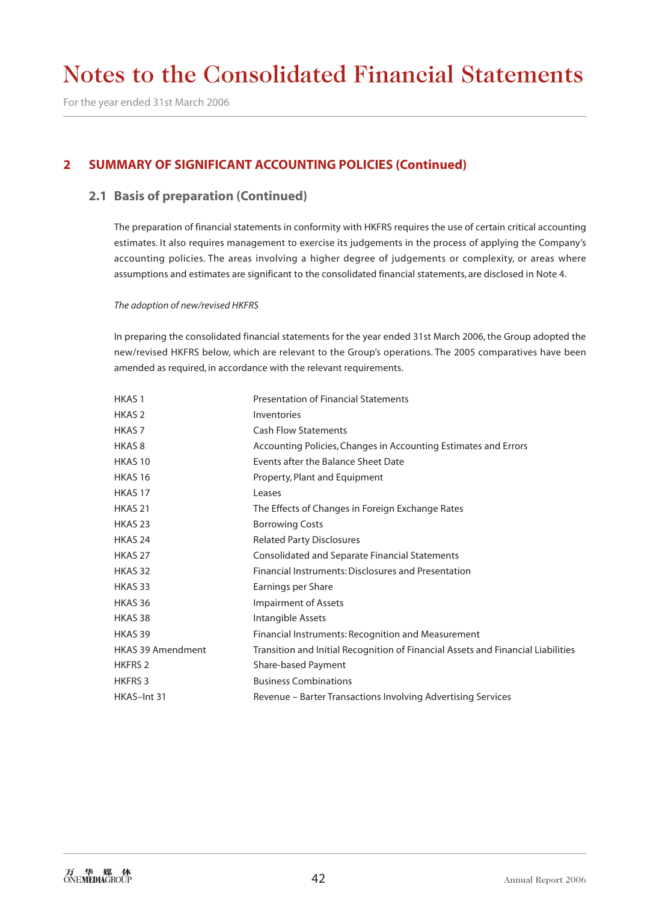For the year ended 31st March 2006

# **2 SUMMARY OF SIGNIFICANT ACCOUNTING POLICIES (Continued)**

### **2.1 Basis of preparation (Continued)**

The preparation of financial statements in conformity with HKFRS requires the use of certain critical accounting estimates. It also requires management to exercise its judgements in the process of applying the Company's accounting policies. The areas involving a higher degree of judgements or complexity, or areas where assumptions and estimates are significant to the consolidated financial statements, are disclosed in Note 4.

#### *The adoption of new/revised HKFRS*

In preparing the consolidated financial statements for the year ended 31st March 2006, the Group adopted the new/revised HKFRS below, which are relevant to the Group's operations. The 2005 comparatives have been amended as required, in accordance with the relevant requirements.

| <b>HKAS1</b>             | <b>Presentation of Financial Statements</b>                                      |
|--------------------------|----------------------------------------------------------------------------------|
| HKAS <sub>2</sub>        | Inventories                                                                      |
| HKAS 7                   | <b>Cash Flow Statements</b>                                                      |
| HKAS <sub>8</sub>        | Accounting Policies, Changes in Accounting Estimates and Errors                  |
| HKAS <sub>10</sub>       | Events after the Balance Sheet Date                                              |
| <b>HKAS 16</b>           | Property, Plant and Equipment                                                    |
| HKAS <sub>17</sub>       | Leases                                                                           |
| HKAS <sub>21</sub>       | The Effects of Changes in Foreign Exchange Rates                                 |
| HKAS <sub>23</sub>       | <b>Borrowing Costs</b>                                                           |
| HKAS <sub>24</sub>       | <b>Related Party Disclosures</b>                                                 |
| HKAS <sub>27</sub>       | Consolidated and Separate Financial Statements                                   |
| HKAS 32                  | Financial Instruments: Disclosures and Presentation                              |
| HKAS 33                  | Earnings per Share                                                               |
| HKAS 36                  | <b>Impairment of Assets</b>                                                      |
| HKAS 38                  | Intangible Assets                                                                |
| HKAS 39                  | Financial Instruments: Recognition and Measurement                               |
| <b>HKAS 39 Amendment</b> | Transition and Initial Recognition of Financial Assets and Financial Liabilities |
| <b>HKFRS 2</b>           | Share-based Payment                                                              |
| <b>HKFRS 3</b>           | <b>Business Combinations</b>                                                     |
| HKAS-Int 31              | Revenue – Barter Transactions Involving Advertising Services                     |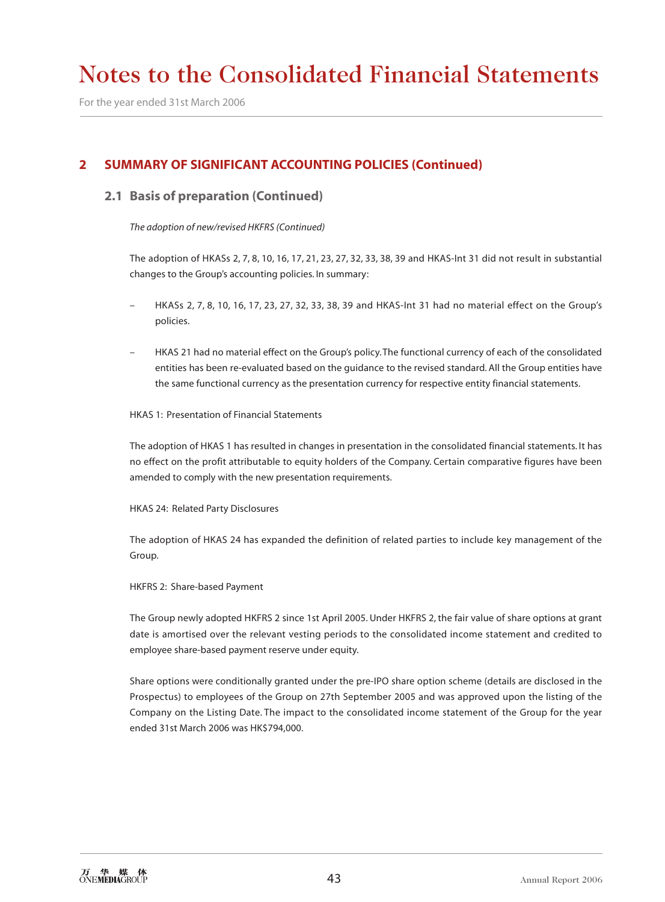For the year ended 31st March 2006

### **2 SUMMARY OF SIGNIFICANT ACCOUNTING POLICIES (Continued)**

#### **2.1 Basis of preparation (Continued)**

*The adoption of new/revised HKFRS (Continued)*

The adoption of HKASs 2, 7, 8, 10, 16, 17, 21, 23, 27, 32, 33, 38, 39 and HKAS-Int 31 did not result in substantial changes to the Group's accounting policies. In summary:

- HKASs 2, 7, 8, 10, 16, 17, 23, 27, 32, 33, 38, 39 and HKAS-Int 31 had no material effect on the Group's policies.
- HKAS 21 had no material effect on the Group's policy. The functional currency of each of the consolidated entities has been re-evaluated based on the guidance to the revised standard. All the Group entities have the same functional currency as the presentation currency for respective entity financial statements.

#### HKAS 1: Presentation of Financial Statements

The adoption of HKAS 1 has resulted in changes in presentation in the consolidated financial statements. It has no effect on the profit attributable to equity holders of the Company. Certain comparative figures have been amended to comply with the new presentation requirements.

HKAS 24: Related Party Disclosures

The adoption of HKAS 24 has expanded the definition of related parties to include key management of the Group.

HKFRS 2: Share-based Payment

The Group newly adopted HKFRS 2 since 1st April 2005. Under HKFRS 2, the fair value of share options at grant date is amortised over the relevant vesting periods to the consolidated income statement and credited to employee share-based payment reserve under equity.

Share options were conditionally granted under the pre-IPO share option scheme (details are disclosed in the Prospectus) to employees of the Group on 27th September 2005 and was approved upon the listing of the Company on the Listing Date. The impact to the consolidated income statement of the Group for the year ended 31st March 2006 was HK\$794,000.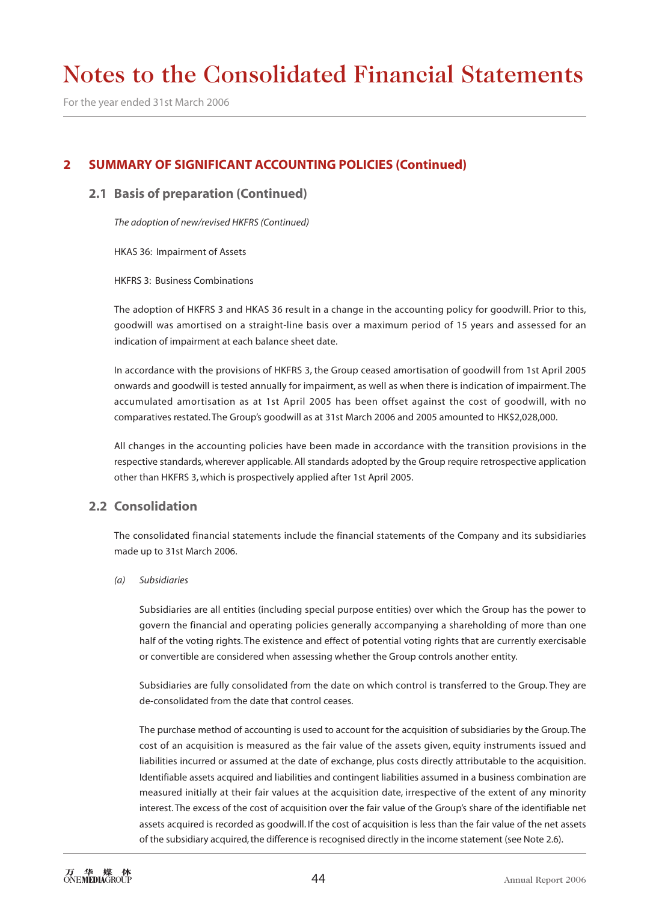For the year ended 31st March 2006

# **2 SUMMARY OF SIGNIFICANT ACCOUNTING POLICIES (Continued)**

#### **2.1 Basis of preparation (Continued)**

*The adoption of new/revised HKFRS (Continued)*

HKAS 36: Impairment of Assets

HKFRS 3: Business Combinations

The adoption of HKFRS 3 and HKAS 36 result in a change in the accounting policy for goodwill. Prior to this, goodwill was amortised on a straight-line basis over a maximum period of 15 years and assessed for an indication of impairment at each balance sheet date.

In accordance with the provisions of HKFRS 3, the Group ceased amortisation of goodwill from 1st April 2005 onwards and goodwill is tested annually for impairment, as well as when there is indication of impairment. The accumulated amortisation as at 1st April 2005 has been offset against the cost of goodwill, with no comparatives restated. The Group's goodwill as at 31st March 2006 and 2005 amounted to HK\$2,028,000.

All changes in the accounting policies have been made in accordance with the transition provisions in the respective standards, wherever applicable. All standards adopted by the Group require retrospective application other than HKFRS 3, which is prospectively applied after 1st April 2005.

### **2.2 Consolidation**

The consolidated financial statements include the financial statements of the Company and its subsidiaries made up to 31st March 2006.

#### *(a) Subsidiaries*

Subsidiaries are all entities (including special purpose entities) over which the Group has the power to govern the financial and operating policies generally accompanying a shareholding of more than one half of the voting rights. The existence and effect of potential voting rights that are currently exercisable or convertible are considered when assessing whether the Group controls another entity.

Subsidiaries are fully consolidated from the date on which control is transferred to the Group. They are de-consolidated from the date that control ceases.

The purchase method of accounting is used to account for the acquisition of subsidiaries by the Group. The cost of an acquisition is measured as the fair value of the assets given, equity instruments issued and liabilities incurred or assumed at the date of exchange, plus costs directly attributable to the acquisition. Identifiable assets acquired and liabilities and contingent liabilities assumed in a business combination are measured initially at their fair values at the acquisition date, irrespective of the extent of any minority interest. The excess of the cost of acquisition over the fair value of the Group's share of the identifiable net assets acquired is recorded as goodwill. If the cost of acquisition is less than the fair value of the net assets of the subsidiary acquired, the difference is recognised directly in the income statement (see Note 2.6).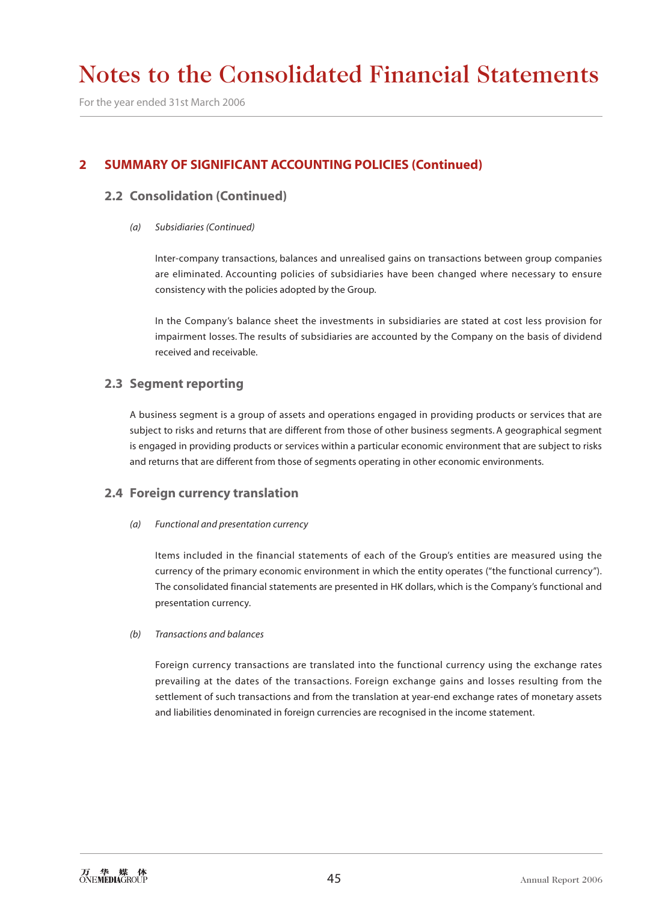For the year ended 31st March 2006

## **2 SUMMARY OF SIGNIFICANT ACCOUNTING POLICIES (Continued)**

### **2.2 Consolidation (Continued)**

#### *(a) Subsidiaries (Continued)*

Inter-company transactions, balances and unrealised gains on transactions between group companies are eliminated. Accounting policies of subsidiaries have been changed where necessary to ensure consistency with the policies adopted by the Group.

In the Company's balance sheet the investments in subsidiaries are stated at cost less provision for impairment losses. The results of subsidiaries are accounted by the Company on the basis of dividend received and receivable.

#### **2.3 Segment reporting**

A business segment is a group of assets and operations engaged in providing products or services that are subject to risks and returns that are different from those of other business segments. A geographical segment is engaged in providing products or services within a particular economic environment that are subject to risks and returns that are different from those of segments operating in other economic environments.

#### **2.4 Foreign currency translation**

*(a) Functional and presentation currency*

Items included in the financial statements of each of the Group's entities are measured using the currency of the primary economic environment in which the entity operates ("the functional currency"). The consolidated financial statements are presented in HK dollars, which is the Company's functional and presentation currency.

#### *(b) Transactions and balances*

Foreign currency transactions are translated into the functional currency using the exchange rates prevailing at the dates of the transactions. Foreign exchange gains and losses resulting from the settlement of such transactions and from the translation at year-end exchange rates of monetary assets and liabilities denominated in foreign currencies are recognised in the income statement.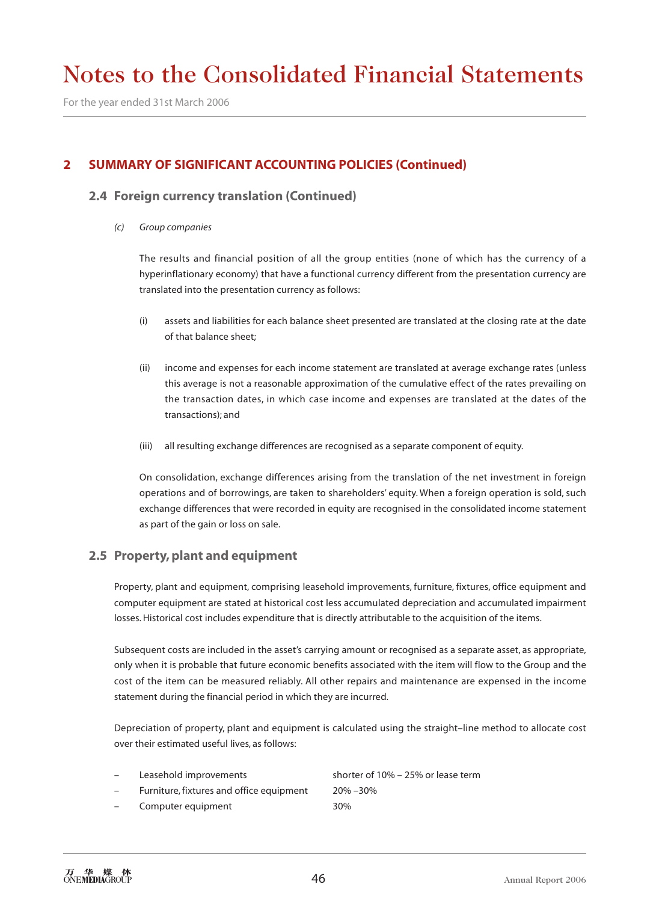For the year ended 31st March 2006

# **2 SUMMARY OF SIGNIFICANT ACCOUNTING POLICIES (Continued)**

#### **2.4 Foreign currency translation (Continued)**

*(c) Group companies*

The results and financial position of all the group entities (none of which has the currency of a hyperinflationary economy) that have a functional currency different from the presentation currency are translated into the presentation currency as follows:

- (i) assets and liabilities for each balance sheet presented are translated at the closing rate at the date of that balance sheet;
- (ii) income and expenses for each income statement are translated at average exchange rates (unless this average is not a reasonable approximation of the cumulative effect of the rates prevailing on the transaction dates, in which case income and expenses are translated at the dates of the transactions); and
- (iii) all resulting exchange differences are recognised as a separate component of equity.

On consolidation, exchange differences arising from the translation of the net investment in foreign operations and of borrowings, are taken to shareholders' equity. When a foreign operation is sold, such exchange differences that were recorded in equity are recognised in the consolidated income statement as part of the gain or loss on sale.

#### **2.5 Property, plant and equipment**

Property, plant and equipment, comprising leasehold improvements, furniture, fixtures, office equipment and computer equipment are stated at historical cost less accumulated depreciation and accumulated impairment losses. Historical cost includes expenditure that is directly attributable to the acquisition of the items.

Subsequent costs are included in the asset's carrying amount or recognised as a separate asset, as appropriate, only when it is probable that future economic benefits associated with the item will flow to the Group and the cost of the item can be measured reliably. All other repairs and maintenance are expensed in the income statement during the financial period in which they are incurred.

Depreciation of property, plant and equipment is calculated using the straight–line method to allocate cost over their estimated useful lives, as follows:

- Leasehold improvements shorter of 10% 25% or lease term
- Furniture, fixtures and office equipment 20% –30%
- Computer equipment 30%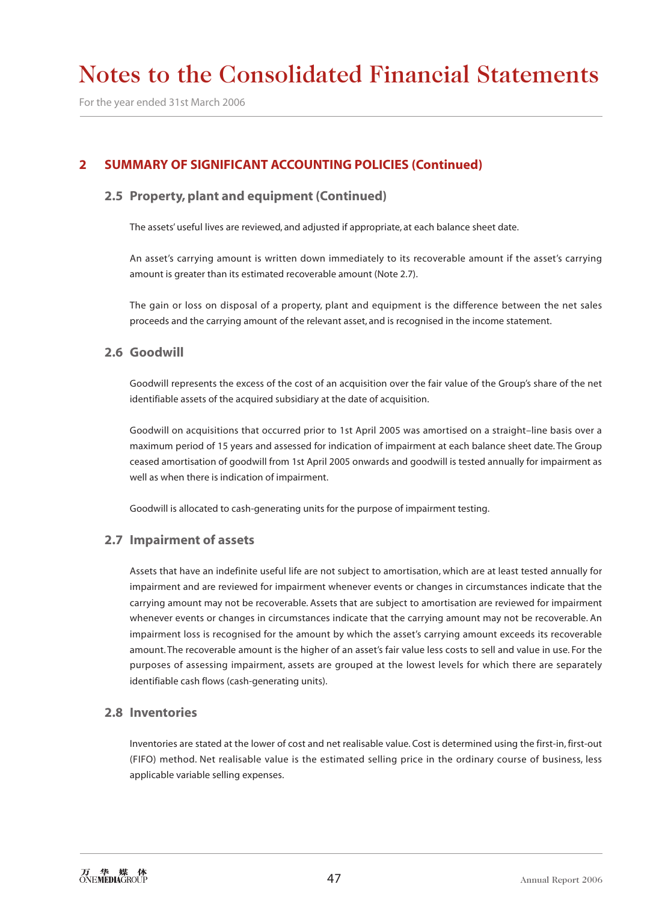For the year ended 31st March 2006

# **2 SUMMARY OF SIGNIFICANT ACCOUNTING POLICIES (Continued)**

### **2.5 Property, plant and equipment (Continued)**

The assets' useful lives are reviewed, and adjusted if appropriate, at each balance sheet date.

An asset's carrying amount is written down immediately to its recoverable amount if the asset's carrying amount is greater than its estimated recoverable amount (Note 2.7).

The gain or loss on disposal of a property, plant and equipment is the difference between the net sales proceeds and the carrying amount of the relevant asset, and is recognised in the income statement.

#### **2.6 Goodwill**

Goodwill represents the excess of the cost of an acquisition over the fair value of the Group's share of the net identifiable assets of the acquired subsidiary at the date of acquisition.

Goodwill on acquisitions that occurred prior to 1st April 2005 was amortised on a straight–line basis over a maximum period of 15 years and assessed for indication of impairment at each balance sheet date. The Group ceased amortisation of goodwill from 1st April 2005 onwards and goodwill is tested annually for impairment as well as when there is indication of impairment.

Goodwill is allocated to cash-generating units for the purpose of impairment testing.

### **2.7 Impairment of assets**

Assets that have an indefinite useful life are not subject to amortisation, which are at least tested annually for impairment and are reviewed for impairment whenever events or changes in circumstances indicate that the carrying amount may not be recoverable. Assets that are subject to amortisation are reviewed for impairment whenever events or changes in circumstances indicate that the carrying amount may not be recoverable. An impairment loss is recognised for the amount by which the asset's carrying amount exceeds its recoverable amount. The recoverable amount is the higher of an asset's fair value less costs to sell and value in use. For the purposes of assessing impairment, assets are grouped at the lowest levels for which there are separately identifiable cash flows (cash-generating units).

#### **2.8 Inventories**

Inventories are stated at the lower of cost and net realisable value. Cost is determined using the first-in, first-out (FIFO) method. Net realisable value is the estimated selling price in the ordinary course of business, less applicable variable selling expenses.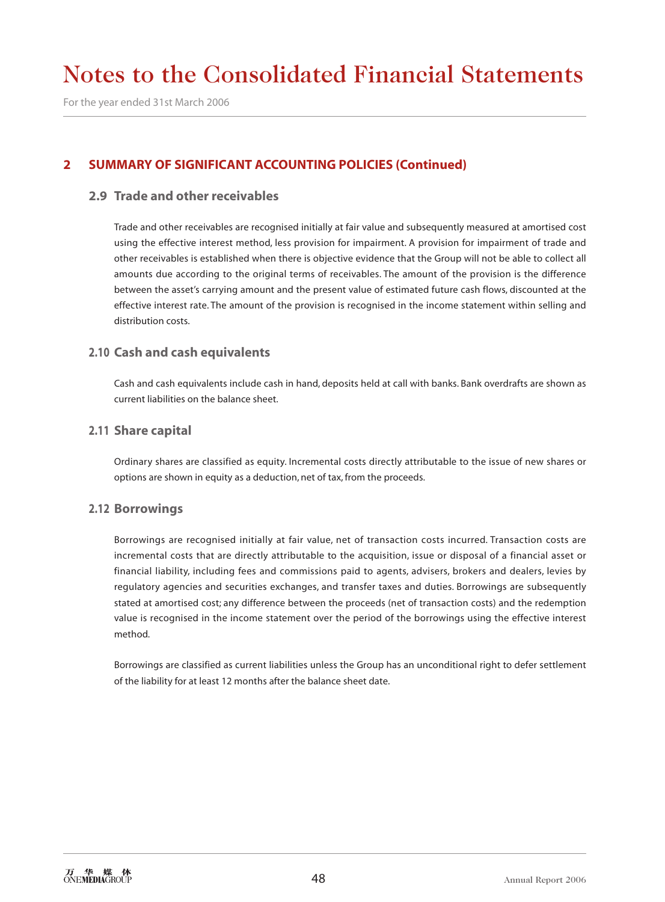For the year ended 31st March 2006

# **2 SUMMARY OF SIGNIFICANT ACCOUNTING POLICIES (Continued)**

### **2.9 Trade and other receivables**

Trade and other receivables are recognised initially at fair value and subsequently measured at amortised cost using the effective interest method, less provision for impairment. A provision for impairment of trade and other receivables is established when there is objective evidence that the Group will not be able to collect all amounts due according to the original terms of receivables. The amount of the provision is the difference between the asset's carrying amount and the present value of estimated future cash flows, discounted at the effective interest rate. The amount of the provision is recognised in the income statement within selling and distribution costs.

#### **2.10 Cash and cash equivalents**

Cash and cash equivalents include cash in hand, deposits held at call with banks. Bank overdrafts are shown as current liabilities on the balance sheet.

#### **2.11 Share capital**

Ordinary shares are classified as equity. Incremental costs directly attributable to the issue of new shares or options are shown in equity as a deduction, net of tax, from the proceeds.

#### **2.12 Borrowings**

Borrowings are recognised initially at fair value, net of transaction costs incurred. Transaction costs are incremental costs that are directly attributable to the acquisition, issue or disposal of a financial asset or financial liability, including fees and commissions paid to agents, advisers, brokers and dealers, levies by regulatory agencies and securities exchanges, and transfer taxes and duties. Borrowings are subsequently stated at amortised cost; any difference between the proceeds (net of transaction costs) and the redemption value is recognised in the income statement over the period of the borrowings using the effective interest method.

Borrowings are classified as current liabilities unless the Group has an unconditional right to defer settlement of the liability for at least 12 months after the balance sheet date.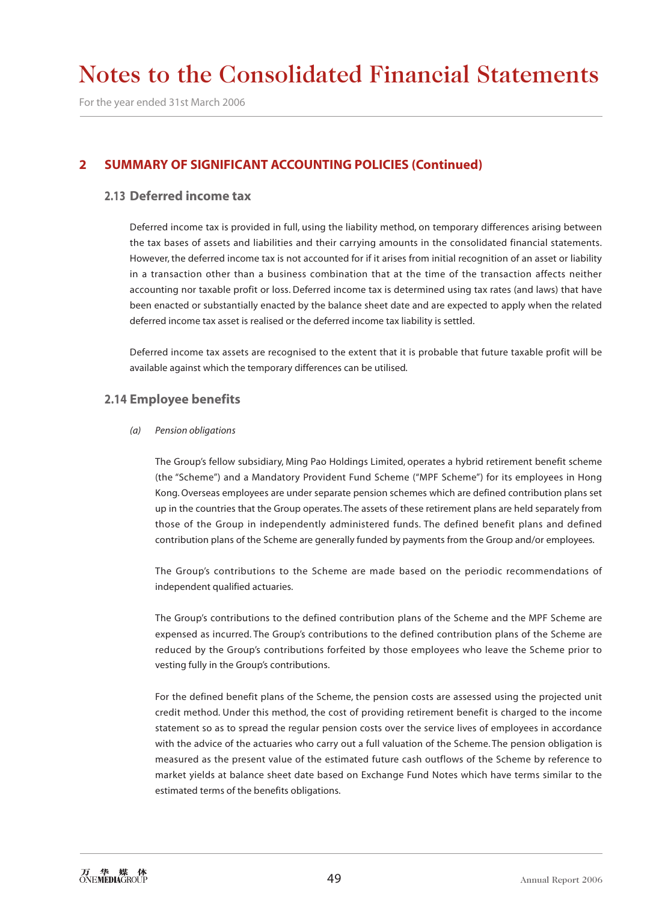For the year ended 31st March 2006

### **2 SUMMARY OF SIGNIFICANT ACCOUNTING POLICIES (Continued)**

#### **2.13 Deferred income tax**

Deferred income tax is provided in full, using the liability method, on temporary differences arising between the tax bases of assets and liabilities and their carrying amounts in the consolidated financial statements. However, the deferred income tax is not accounted for if it arises from initial recognition of an asset or liability in a transaction other than a business combination that at the time of the transaction affects neither accounting nor taxable profit or loss. Deferred income tax is determined using tax rates (and laws) that have been enacted or substantially enacted by the balance sheet date and are expected to apply when the related deferred income tax asset is realised or the deferred income tax liability is settled.

Deferred income tax assets are recognised to the extent that it is probable that future taxable profit will be available against which the temporary differences can be utilised.

#### **2.14 Employee benefits**

#### *(a) Pension obligations*

The Group's fellow subsidiary, Ming Pao Holdings Limited, operates a hybrid retirement benefit scheme (the "Scheme") and a Mandatory Provident Fund Scheme ("MPF Scheme") for its employees in Hong Kong. Overseas employees are under separate pension schemes which are defined contribution plans set up in the countries that the Group operates. The assets of these retirement plans are held separately from those of the Group in independently administered funds. The defined benefit plans and defined contribution plans of the Scheme are generally funded by payments from the Group and/or employees.

The Group's contributions to the Scheme are made based on the periodic recommendations of independent qualified actuaries.

The Group's contributions to the defined contribution plans of the Scheme and the MPF Scheme are expensed as incurred. The Group's contributions to the defined contribution plans of the Scheme are reduced by the Group's contributions forfeited by those employees who leave the Scheme prior to vesting fully in the Group's contributions.

For the defined benefit plans of the Scheme, the pension costs are assessed using the projected unit credit method. Under this method, the cost of providing retirement benefit is charged to the income statement so as to spread the regular pension costs over the service lives of employees in accordance with the advice of the actuaries who carry out a full valuation of the Scheme. The pension obligation is measured as the present value of the estimated future cash outflows of the Scheme by reference to market yields at balance sheet date based on Exchange Fund Notes which have terms similar to the estimated terms of the benefits obligations.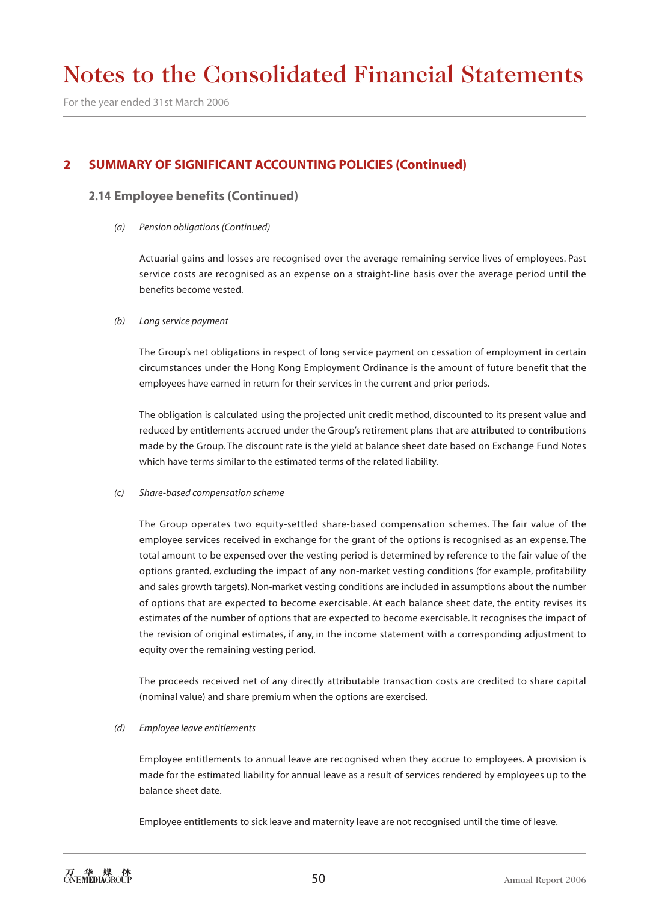For the year ended 31st March 2006

## **2 SUMMARY OF SIGNIFICANT ACCOUNTING POLICIES (Continued)**

### **2.14 Employee benefits (Continued)**

*(a) Pension obligations (Continued)*

Actuarial gains and losses are recognised over the average remaining service lives of employees. Past service costs are recognised as an expense on a straight-line basis over the average period until the benefits become vested.

#### *(b) Long service payment*

The Group's net obligations in respect of long service payment on cessation of employment in certain circumstances under the Hong Kong Employment Ordinance is the amount of future benefit that the employees have earned in return for their services in the current and prior periods.

The obligation is calculated using the projected unit credit method, discounted to its present value and reduced by entitlements accrued under the Group's retirement plans that are attributed to contributions made by the Group. The discount rate is the yield at balance sheet date based on Exchange Fund Notes which have terms similar to the estimated terms of the related liability.

#### *(c) Share-based compensation scheme*

The Group operates two equity-settled share-based compensation schemes. The fair value of the employee services received in exchange for the grant of the options is recognised as an expense. The total amount to be expensed over the vesting period is determined by reference to the fair value of the options granted, excluding the impact of any non-market vesting conditions (for example, profitability and sales growth targets). Non-market vesting conditions are included in assumptions about the number of options that are expected to become exercisable. At each balance sheet date, the entity revises its estimates of the number of options that are expected to become exercisable. It recognises the impact of the revision of original estimates, if any, in the income statement with a corresponding adjustment to equity over the remaining vesting period.

The proceeds received net of any directly attributable transaction costs are credited to share capital (nominal value) and share premium when the options are exercised.

#### *(d) Employee leave entitlements*

Employee entitlements to annual leave are recognised when they accrue to employees. A provision is made for the estimated liability for annual leave as a result of services rendered by employees up to the balance sheet date.

Employee entitlements to sick leave and maternity leave are not recognised until the time of leave.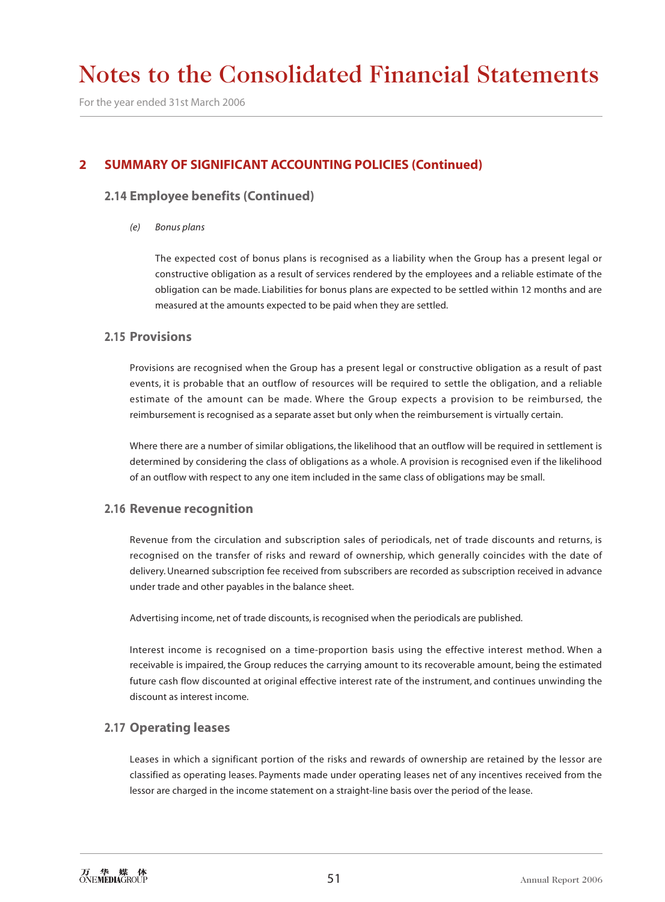For the year ended 31st March 2006

# **2 SUMMARY OF SIGNIFICANT ACCOUNTING POLICIES (Continued)**

### **2.14 Employee benefits (Continued)**

#### *(e) Bonus plans*

The expected cost of bonus plans is recognised as a liability when the Group has a present legal or constructive obligation as a result of services rendered by the employees and a reliable estimate of the obligation can be made. Liabilities for bonus plans are expected to be settled within 12 months and are measured at the amounts expected to be paid when they are settled.

#### **2.15 Provisions**

Provisions are recognised when the Group has a present legal or constructive obligation as a result of past events, it is probable that an outflow of resources will be required to settle the obligation, and a reliable estimate of the amount can be made. Where the Group expects a provision to be reimbursed, the reimbursement is recognised as a separate asset but only when the reimbursement is virtually certain.

Where there are a number of similar obligations, the likelihood that an outflow will be required in settlement is determined by considering the class of obligations as a whole. A provision is recognised even if the likelihood of an outflow with respect to any one item included in the same class of obligations may be small.

#### **2.16 Revenue recognition**

Revenue from the circulation and subscription sales of periodicals, net of trade discounts and returns, is recognised on the transfer of risks and reward of ownership, which generally coincides with the date of delivery. Unearned subscription fee received from subscribers are recorded as subscription received in advance under trade and other payables in the balance sheet.

Advertising income, net of trade discounts, is recognised when the periodicals are published.

Interest income is recognised on a time-proportion basis using the effective interest method. When a receivable is impaired, the Group reduces the carrying amount to its recoverable amount, being the estimated future cash flow discounted at original effective interest rate of the instrument, and continues unwinding the discount as interest income.

### **2.17 Operating leases**

Leases in which a significant portion of the risks and rewards of ownership are retained by the lessor are classified as operating leases. Payments made under operating leases net of any incentives received from the lessor are charged in the income statement on a straight-line basis over the period of the lease.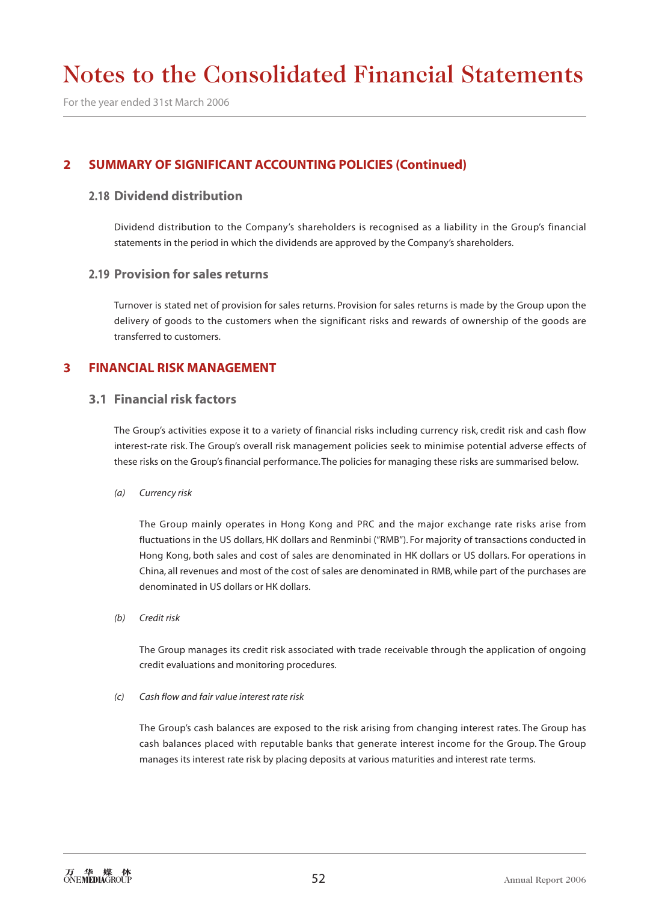For the year ended 31st March 2006

## **2 SUMMARY OF SIGNIFICANT ACCOUNTING POLICIES (Continued)**

#### **2.18 Dividend distribution**

Dividend distribution to the Company's shareholders is recognised as a liability in the Group's financial statements in the period in which the dividends are approved by the Company's shareholders.

#### **2.19 Provision for sales returns**

Turnover is stated net of provision for sales returns. Provision for sales returns is made by the Group upon the delivery of goods to the customers when the significant risks and rewards of ownership of the goods are transferred to customers.

### **3 FINANCIAL RISK MANAGEMENT**

#### **3.1 Financial risk factors**

The Group's activities expose it to a variety of financial risks including currency risk, credit risk and cash flow interest-rate risk. The Group's overall risk management policies seek to minimise potential adverse effects of these risks on the Group's financial performance. The policies for managing these risks are summarised below.

*(a) Currency risk*

The Group mainly operates in Hong Kong and PRC and the major exchange rate risks arise from fluctuations in the US dollars, HK dollars and Renminbi ("RMB"). For majority of transactions conducted in Hong Kong, both sales and cost of sales are denominated in HK dollars or US dollars. For operations in China, all revenues and most of the cost of sales are denominated in RMB, while part of the purchases are denominated in US dollars or HK dollars.

*(b) Credit risk*

The Group manages its credit risk associated with trade receivable through the application of ongoing credit evaluations and monitoring procedures.

#### *(c) Cash flow and fair value interest rate risk*

The Group's cash balances are exposed to the risk arising from changing interest rates. The Group has cash balances placed with reputable banks that generate interest income for the Group. The Group manages its interest rate risk by placing deposits at various maturities and interest rate terms.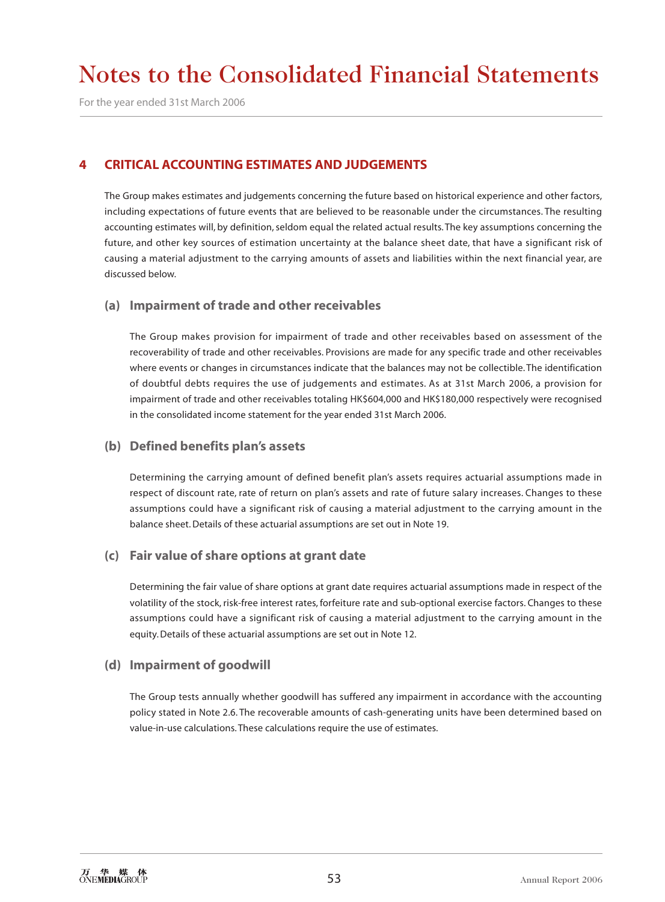For the year ended 31st March 2006

# **4 CRITICAL ACCOUNTING ESTIMATES AND JUDGEMENTS**

The Group makes estimates and judgements concerning the future based on historical experience and other factors, including expectations of future events that are believed to be reasonable under the circumstances. The resulting accounting estimates will, by definition, seldom equal the related actual results. The key assumptions concerning the future, and other key sources of estimation uncertainty at the balance sheet date, that have a significant risk of causing a material adjustment to the carrying amounts of assets and liabilities within the next financial year, are discussed below.

### **(a) Impairment of trade and other receivables**

The Group makes provision for impairment of trade and other receivables based on assessment of the recoverability of trade and other receivables. Provisions are made for any specific trade and other receivables where events or changes in circumstances indicate that the balances may not be collectible. The identification of doubtful debts requires the use of judgements and estimates. As at 31st March 2006, a provision for impairment of trade and other receivables totaling HK\$604,000 and HK\$180,000 respectively were recognised in the consolidated income statement for the year ended 31st March 2006.

### **(b) Defined benefits plan's assets**

Determining the carrying amount of defined benefit plan's assets requires actuarial assumptions made in respect of discount rate, rate of return on plan's assets and rate of future salary increases. Changes to these assumptions could have a significant risk of causing a material adjustment to the carrying amount in the balance sheet. Details of these actuarial assumptions are set out in Note 19.

### **(c) Fair value of share options at grant date**

Determining the fair value of share options at grant date requires actuarial assumptions made in respect of the volatility of the stock, risk-free interest rates, forfeiture rate and sub-optional exercise factors. Changes to these assumptions could have a significant risk of causing a material adjustment to the carrying amount in the equity. Details of these actuarial assumptions are set out in Note 12.

### **(d) Impairment of goodwill**

The Group tests annually whether goodwill has suffered any impairment in accordance with the accounting policy stated in Note 2.6. The recoverable amounts of cash-generating units have been determined based on value-in-use calculations. These calculations require the use of estimates.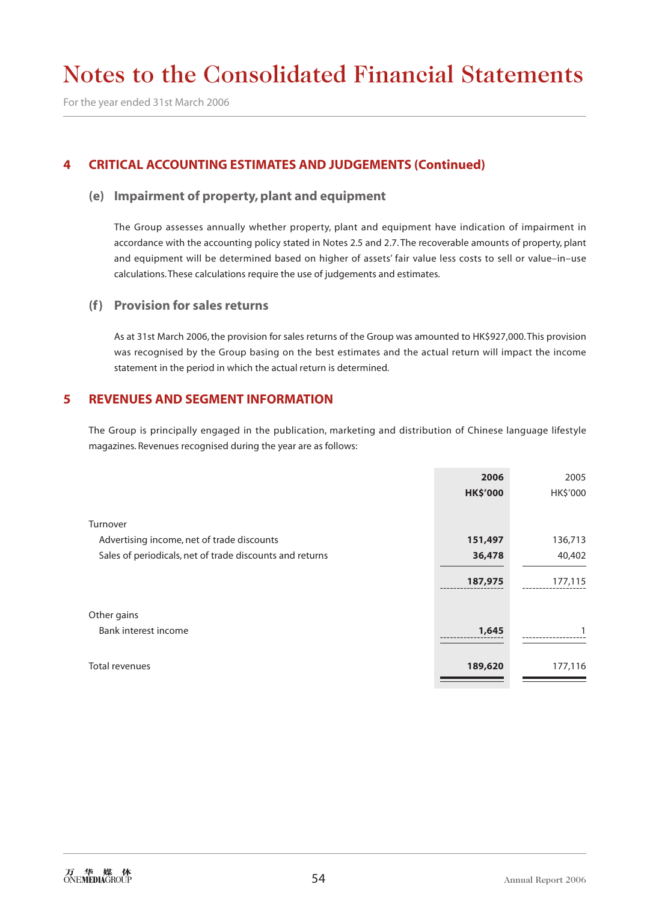For the year ended 31st March 2006

## **4 CRITICAL ACCOUNTING ESTIMATES AND JUDGEMENTS (Continued)**

#### **(e) Impairment of property, plant and equipment**

The Group assesses annually whether property, plant and equipment have indication of impairment in accordance with the accounting policy stated in Notes 2.5 and 2.7. The recoverable amounts of property, plant and equipment will be determined based on higher of assets' fair value less costs to sell or value–in–use calculations. These calculations require the use of judgements and estimates.

#### **(f) Provision for sales returns**

As at 31st March 2006, the provision for sales returns of the Group was amounted to HK\$927,000. This provision was recognised by the Group basing on the best estimates and the actual return will impact the income statement in the period in which the actual return is determined.

### **5 REVENUES AND SEGMENT INFORMATION**

The Group is principally engaged in the publication, marketing and distribution of Chinese language lifestyle magazines. Revenues recognised during the year are as follows:

|                                                          | 2006            | 2005     |
|----------------------------------------------------------|-----------------|----------|
|                                                          | <b>HK\$'000</b> | HK\$'000 |
|                                                          |                 |          |
| Turnover                                                 |                 |          |
| Advertising income, net of trade discounts               | 151,497         | 136,713  |
| Sales of periodicals, net of trade discounts and returns | 36,478          | 40,402   |
|                                                          | 187,975         | 177,115  |
| Other gains                                              |                 |          |
| Bank interest income                                     | 1,645           |          |
| Total revenues                                           | 189,620         | 177,116  |
|                                                          |                 |          |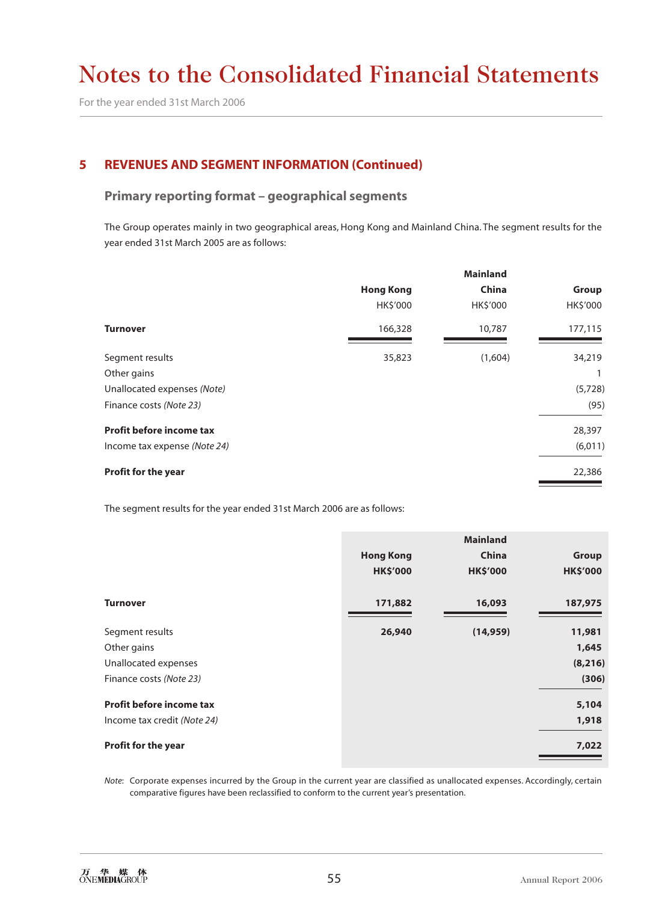For the year ended 31st March 2006

# **5 REVENUES AND SEGMENT INFORMATION (Continued)**

### **Primary reporting format – geographical segments**

The Group operates mainly in two geographical areas, Hong Kong and Mainland China. The segment results for the year ended 31st March 2005 are as follows:

|                                 | <b>Mainland</b>  |          |          |  |
|---------------------------------|------------------|----------|----------|--|
|                                 | <b>Hong Kong</b> | China    | Group    |  |
|                                 | HK\$'000         | HK\$'000 | HK\$'000 |  |
| <b>Turnover</b>                 | 166,328          | 10,787   | 177,115  |  |
| Segment results                 | 35,823           | (1,604)  | 34,219   |  |
| Other gains                     |                  |          |          |  |
| Unallocated expenses (Note)     |                  |          | (5,728)  |  |
| Finance costs (Note 23)         |                  |          | (95)     |  |
| <b>Profit before income tax</b> |                  |          | 28,397   |  |
| Income tax expense (Note 24)    |                  |          | (6,011)  |  |
| <b>Profit for the year</b>      |                  |          | 22,386   |  |

The segment results for the year ended 31st March 2006 are as follows:

|                             |                  | <b>Mainland</b> |                 |
|-----------------------------|------------------|-----------------|-----------------|
|                             | <b>Hong Kong</b> | China           | <b>Group</b>    |
|                             | <b>HK\$'000</b>  | <b>HK\$'000</b> | <b>HK\$'000</b> |
| <b>Turnover</b>             | 171,882          | 16,093          | 187,975         |
| Segment results             | 26,940           | (14, 959)       | 11,981          |
| Other gains                 |                  |                 | 1,645           |
| Unallocated expenses        |                  |                 | (8, 216)        |
| Finance costs (Note 23)     |                  |                 | (306)           |
| Profit before income tax    |                  |                 | 5,104           |
| Income tax credit (Note 24) |                  |                 | 1,918           |
| Profit for the year         |                  |                 | 7,022           |

*Note*: Corporate expenses incurred by the Group in the current year are classified as unallocated expenses. Accordingly, certain comparative figures have been reclassified to conform to the current year's presentation.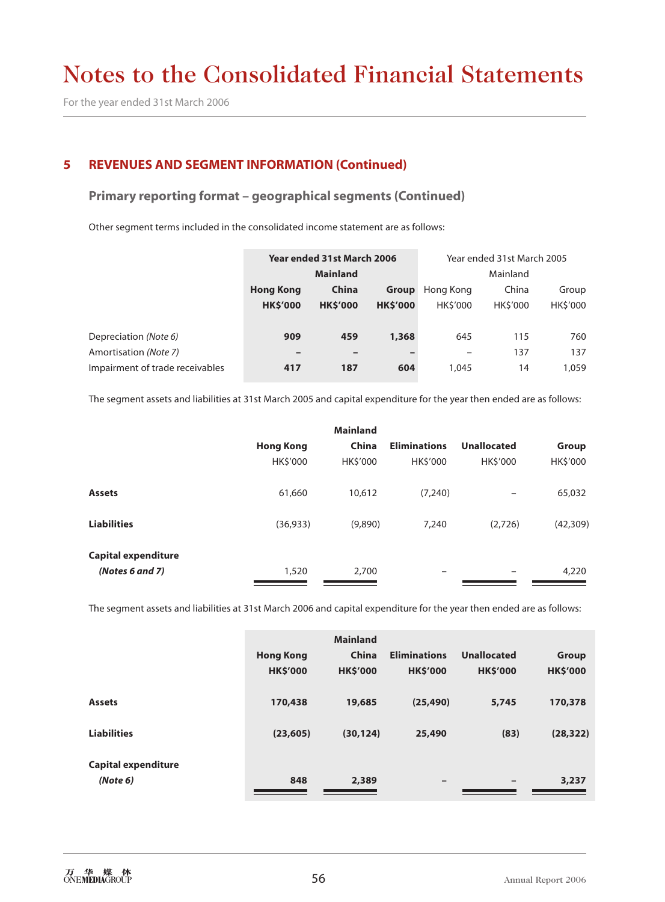For the year ended 31st March 2006

### **5 REVENUES AND SEGMENT INFORMATION (Continued)**

#### **Primary reporting format – geographical segments (Continued)**

Other segment terms included in the consolidated income statement are as follows:

| Year ended 31st March 2006                |                |                 |                |                |                            |
|-------------------------------------------|----------------|-----------------|----------------|----------------|----------------------------|
| <b>Mainland</b>                           |                |                 |                | Mainland       |                            |
| China<br><b>Hong Kong</b><br><b>Group</b> |                |                 | Hong Kong      | China          | Group                      |
| <b>HK\$'000</b>                           | <b>HKS'000</b> | <b>HK\$'000</b> | <b>HKS'000</b> | <b>HKS'000</b> | HK\$'000                   |
|                                           |                |                 |                |                |                            |
| 909                                       | 459            | 1,368           | 645            | 115            | 760                        |
|                                           |                |                 |                | 137            | 137                        |
| 417                                       | 187            | 604             | 1,045          | 14             | 1,059                      |
|                                           |                |                 |                |                | Year ended 31st March 2005 |

The segment assets and liabilities at 31st March 2005 and capital expenditure for the year then ended are as follows:

|                            |                  | <b>Mainland</b> |                     |                    |           |
|----------------------------|------------------|-----------------|---------------------|--------------------|-----------|
|                            | <b>Hong Kong</b> | China           | <b>Eliminations</b> | <b>Unallocated</b> | Group     |
|                            | HK\$'000         | HK\$'000        | <b>HKS'000</b>      | <b>HKS'000</b>     | HK\$'000  |
| <b>Assets</b>              | 61,660           | 10,612          | (7,240)             | -                  | 65,032    |
| <b>Liabilities</b>         | (36, 933)        | (9,890)         | 7,240               | (2,726)            | (42, 309) |
| <b>Capital expenditure</b> |                  |                 |                     |                    |           |
| (Notes 6 and 7)            | 1,520            | 2,700           | -                   |                    | 4,220     |

The segment assets and liabilities at 31st March 2006 and capital expenditure for the year then ended are as follows:

|                            |                  | <b>Mainland</b> |                          |                          |                 |
|----------------------------|------------------|-----------------|--------------------------|--------------------------|-----------------|
|                            | <b>Hong Kong</b> | China           | <b>Eliminations</b>      | <b>Unallocated</b>       | <b>Group</b>    |
|                            | <b>HK\$'000</b>  | <b>HK\$'000</b> | <b>HK\$'000</b>          | <b>HK\$'000</b>          | <b>HK\$'000</b> |
| <b>Assets</b>              | 170,438          | 19,685          | (25, 490)                | 5,745                    | 170,378         |
| <b>Liabilities</b>         | (23, 605)        | (30, 124)       | 25,490                   | (83)                     | (28, 322)       |
| <b>Capital expenditure</b> |                  |                 |                          |                          |                 |
| (Note 6)                   | 848              | 2,389           | $\overline{\phantom{m}}$ | $\overline{\phantom{m}}$ | 3,237           |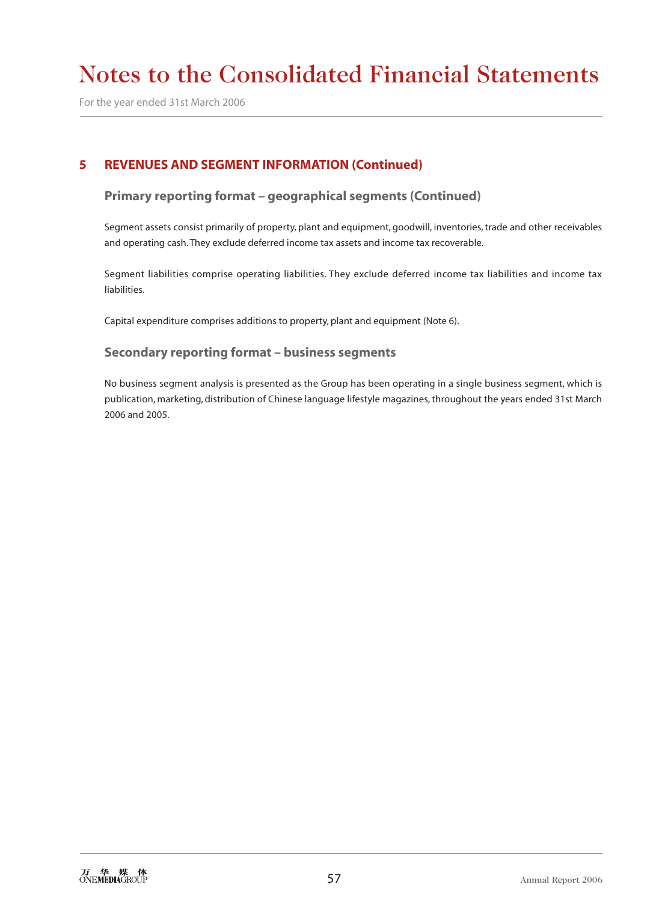For the year ended 31st March 2006

# **5 REVENUES AND SEGMENT INFORMATION (Continued)**

### **Primary reporting format – geographical segments (Continued)**

Segment assets consist primarily of property, plant and equipment, goodwill, inventories, trade and other receivables and operating cash. They exclude deferred income tax assets and income tax recoverable.

Segment liabilities comprise operating liabilities. They exclude deferred income tax liabilities and income tax liabilities.

Capital expenditure comprises additions to property, plant and equipment (Note 6).

### **Secondary reporting format – business segments**

No business segment analysis is presented as the Group has been operating in a single business segment, which is publication, marketing, distribution of Chinese language lifestyle magazines, throughout the years ended 31st March 2006 and 2005.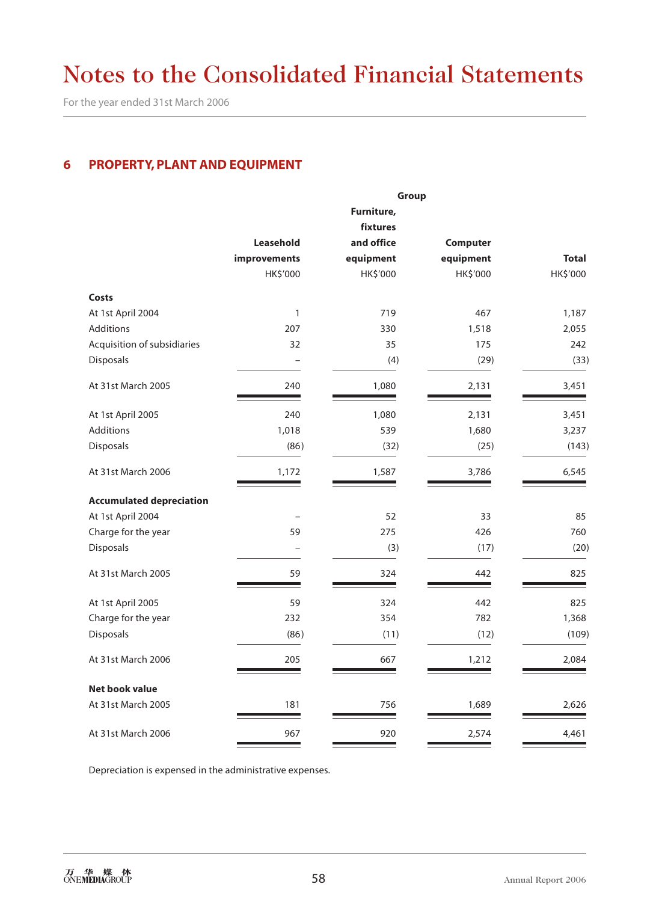For the year ended 31st March 2006

# **6 PROPERTY, PLANT AND EQUIPMENT**

|                                 | Group        |            |           |              |  |  |
|---------------------------------|--------------|------------|-----------|--------------|--|--|
|                                 |              | Furniture, |           |              |  |  |
|                                 |              | fixtures   |           |              |  |  |
|                                 | Leasehold    | and office | Computer  |              |  |  |
|                                 | improvements | equipment  | equipment | <b>Total</b> |  |  |
|                                 | HK\$'000     | HK\$'000   | HK\$'000  | HK\$'000     |  |  |
| Costs                           |              |            |           |              |  |  |
| At 1st April 2004               | $\mathbf{1}$ | 719        | 467       | 1,187        |  |  |
| <b>Additions</b>                | 207          | 330        | 1,518     | 2,055        |  |  |
| Acquisition of subsidiaries     | 32           | 35         | 175       | 242          |  |  |
| Disposals                       | $\equiv$     | (4)        | (29)      | (33)         |  |  |
| At 31st March 2005              | 240          | 1,080      | 2,131     | 3,451        |  |  |
| At 1st April 2005               | 240          | 1,080      | 2,131     | 3,451        |  |  |
| Additions                       | 1,018        | 539        | 1,680     | 3,237        |  |  |
| Disposals                       | (86)         | (32)       | (25)      | (143)        |  |  |
| At 31st March 2006              | 1,172        | 1,587      | 3,786     | 6,545        |  |  |
| <b>Accumulated depreciation</b> |              |            |           |              |  |  |
| At 1st April 2004               |              | 52         | 33        | 85           |  |  |
| Charge for the year             | 59           | 275        | 426       | 760          |  |  |
| Disposals                       | L.           | (3)        | (17)      | (20)         |  |  |
| At 31st March 2005              | 59           | 324        | 442       | 825          |  |  |
| At 1st April 2005               | 59           | 324        | 442       | 825          |  |  |
| Charge for the year             | 232          | 354        | 782       | 1,368        |  |  |
| Disposals                       | (86)         | (11)       | (12)      | (109)        |  |  |
| At 31st March 2006              | 205          | 667        | 1,212     | 2,084        |  |  |
| <b>Net book value</b>           |              |            |           |              |  |  |
| At 31st March 2005              | 181          | 756        | 1,689     | 2,626        |  |  |
| At 31st March 2006              | 967          | 920        | 2,574     | 4,461        |  |  |

Depreciation is expensed in the administrative expenses.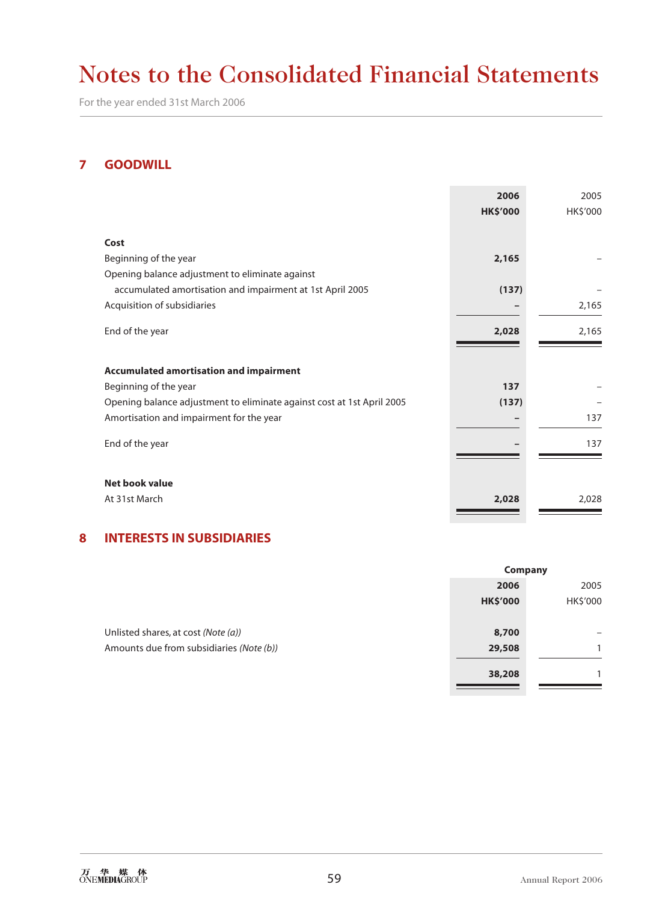For the year ended 31st March 2006

### **7 GOODWILL**

|                                                                        | 2006<br><b>HK\$'000</b> | 2005<br>HK\$'000 |
|------------------------------------------------------------------------|-------------------------|------------------|
|                                                                        |                         |                  |
| Cost                                                                   |                         |                  |
| Beginning of the year                                                  | 2,165                   |                  |
| Opening balance adjustment to eliminate against                        |                         |                  |
| accumulated amortisation and impairment at 1st April 2005              | (137)                   |                  |
| Acquisition of subsidiaries                                            |                         | 2,165            |
| End of the year                                                        | 2,028                   | 2,165            |
|                                                                        |                         |                  |
| <b>Accumulated amortisation and impairment</b>                         |                         |                  |
| Beginning of the year                                                  | 137                     |                  |
| Opening balance adjustment to eliminate against cost at 1st April 2005 | (137)                   |                  |
| Amortisation and impairment for the year                               |                         | 137              |
| End of the year                                                        |                         | 137              |
|                                                                        |                         |                  |
| Net book value                                                         |                         |                  |
| At 31st March                                                          | 2,028                   | 2,028            |
|                                                                        |                         |                  |

### **8 INTERESTS IN SUBSIDIARIES**

|                                          | Company         |          |  |
|------------------------------------------|-----------------|----------|--|
|                                          | 2006            | 2005     |  |
|                                          | <b>HK\$'000</b> | HK\$'000 |  |
|                                          |                 |          |  |
| Unlisted shares, at cost (Note (a))      | 8,700           |          |  |
| Amounts due from subsidiaries (Note (b)) | 29,508          |          |  |
|                                          |                 |          |  |
|                                          | 38,208          |          |  |

٠.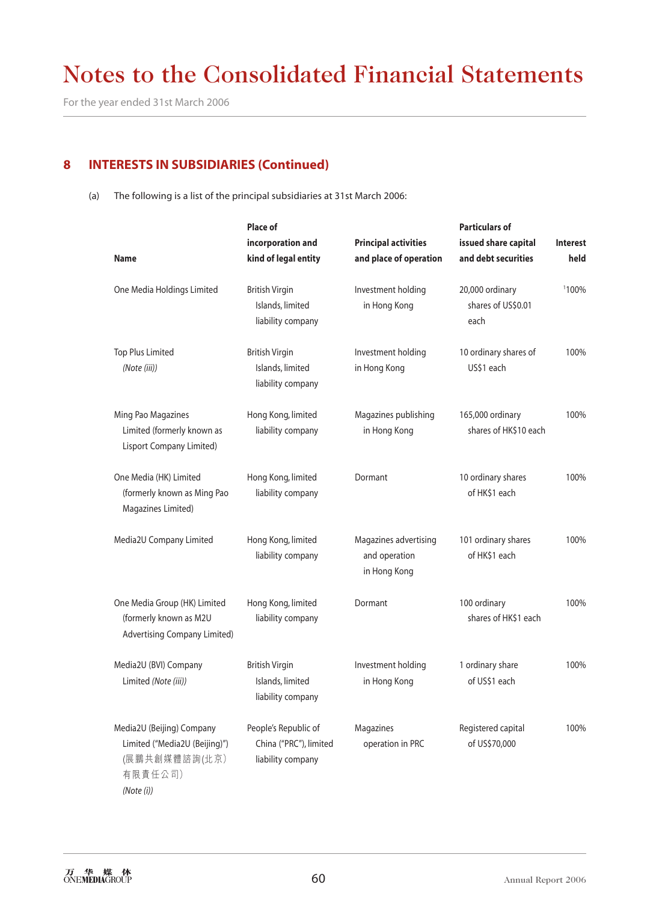For the year ended 31st March 2006

### **8 INTERESTS IN SUBSIDIARIES (Continued)**

(a) The following is a list of the principal subsidiaries at 31st March 2006:

|                                                                                               | <b>Place of</b>                                                     |                                                        | <b>Particulars of</b>                         |                 |
|-----------------------------------------------------------------------------------------------|---------------------------------------------------------------------|--------------------------------------------------------|-----------------------------------------------|-----------------|
|                                                                                               | incorporation and                                                   | <b>Principal activities</b>                            | issued share capital                          | <b>Interest</b> |
| <b>Name</b>                                                                                   | kind of legal entity                                                | and place of operation                                 | and debt securities                           | held            |
| One Media Holdings Limited                                                                    | <b>British Virgin</b><br>Islands, limited<br>liability company      | Investment holding<br>in Hong Kong                     | 20,000 ordinary<br>shares of US\$0.01<br>each | 1100%           |
| <b>Top Plus Limited</b><br>(Note (iii))                                                       | <b>British Virgin</b><br>Islands, limited<br>liability company      | Investment holding<br>in Hong Kong                     | 10 ordinary shares of<br>US\$1 each           | 100%            |
| Ming Pao Magazines<br>Limited (formerly known as<br>Lisport Company Limited)                  | Hong Kong, limited<br>liability company                             | Magazines publishing<br>in Hong Kong                   | 165,000 ordinary<br>shares of HK\$10 each     | 100%            |
| One Media (HK) Limited<br>(formerly known as Ming Pao<br>Magazines Limited)                   | Hong Kong, limited<br>liability company                             | Dormant                                                | 10 ordinary shares<br>of HK\$1 each           | 100%            |
| Media2U Company Limited                                                                       | Hong Kong, limited<br>liability company                             | Magazines advertising<br>and operation<br>in Hong Kong | 101 ordinary shares<br>of HK\$1 each          | 100%            |
| One Media Group (HK) Limited<br>(formerly known as M2U<br><b>Advertising Company Limited)</b> | Hong Kong, limited<br>liability company                             | Dormant                                                | 100 ordinary<br>shares of HK\$1 each          | 100%            |
| Media2U (BVI) Company<br>Limited (Note (iii))                                                 | <b>British Virgin</b><br>Islands, limited<br>liability company      | Investment holding<br>in Hong Kong                     | 1 ordinary share<br>of US\$1 each             | 100%            |
| Media2U (Beijing) Company<br>Limited ("Media2U (Beijing)")<br>(展鵬共創媒體諮詢(北京)<br>有限責任公司)        | People's Republic of<br>China ("PRC"), limited<br>liability company | Magazines<br>operation in PRC                          | Registered capital<br>of US\$70,000           | 100%            |

*(Note (i))*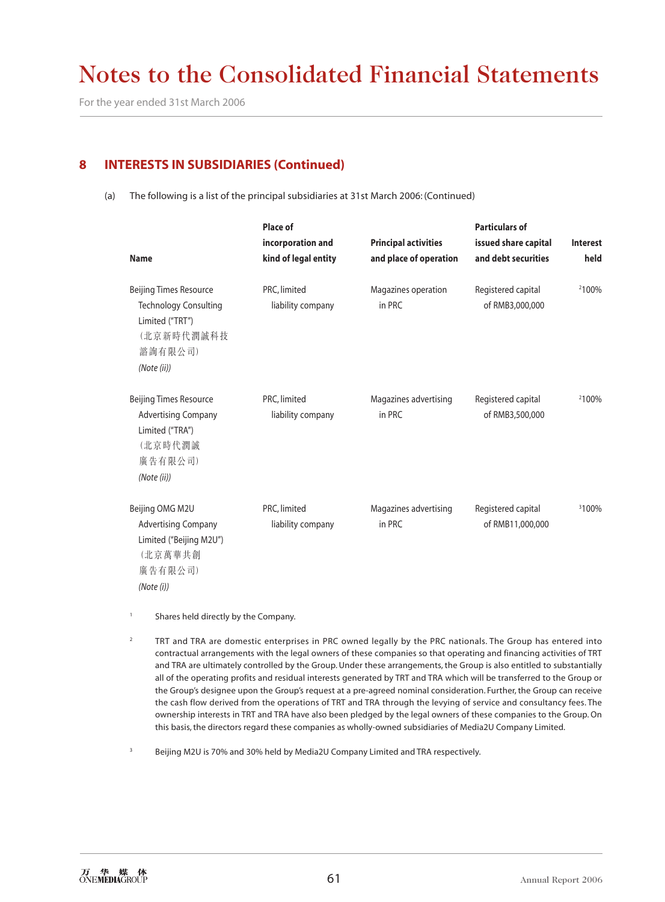For the year ended 31st March 2006

# **8 INTERESTS IN SUBSIDIARIES (Continued)**

(a) The following is a list of the principal subsidiaries at 31st March 2006: (Continued)

| <b>Name</b>                                                                                                              | Place of<br>incorporation and<br>kind of legal entity | <b>Principal activities</b><br>and place of operation | <b>Particulars of</b><br>issued share capital<br>and debt securities | Interest<br>held  |
|--------------------------------------------------------------------------------------------------------------------------|-------------------------------------------------------|-------------------------------------------------------|----------------------------------------------------------------------|-------------------|
| <b>Beijing Times Resource</b><br><b>Technology Consulting</b><br>Limited ("TRT")<br>(北京新時代潤誠科技<br>諮詢有限公司)<br>(Note (ii)) | PRC, limited<br>liability company                     | Magazines operation<br>in PRC                         | Registered capital<br>of RMB3,000,000                                | 2100%             |
| <b>Beijing Times Resource</b><br><b>Advertising Company</b><br>Limited ("TRA")<br>(北京時代潤誠<br>廣告有限公司)<br>(Note (ii))      | PRC, limited<br>liability company                     | Magazines advertising<br>in PRC                       | Registered capital<br>of RMB3,500,000                                | 2100%             |
| Beijing OMG M2U<br><b>Advertising Company</b><br>Limited ("Beijing M2U")<br>(北京萬華共創<br>廣告有限公司)<br>(Note (i))             | PRC, limited<br>liability company                     | Magazines advertising<br>in PRC                       | Registered capital<br>of RMB11,000,000                               | <sup>3</sup> 100% |

- <sup>1</sup> Shares held directly by the Company.
- <sup>2</sup> TRT and TRA are domestic enterprises in PRC owned legally by the PRC nationals. The Group has entered into contractual arrangements with the legal owners of these companies so that operating and financing activities of TRT and TRA are ultimately controlled by the Group. Under these arrangements, the Group is also entitled to substantially all of the operating profits and residual interests generated by TRT and TRA which will be transferred to the Group or the Group's designee upon the Group's request at a pre-agreed nominal consideration. Further, the Group can receive the cash flow derived from the operations of TRT and TRA through the levying of service and consultancy fees. The ownership interests in TRT and TRA have also been pledged by the legal owners of these companies to the Group. On this basis, the directors regard these companies as wholly-owned subsidiaries of Media2U Company Limited.
- Beijing M2U is 70% and 30% held by Media2U Company Limited and TRA respectively.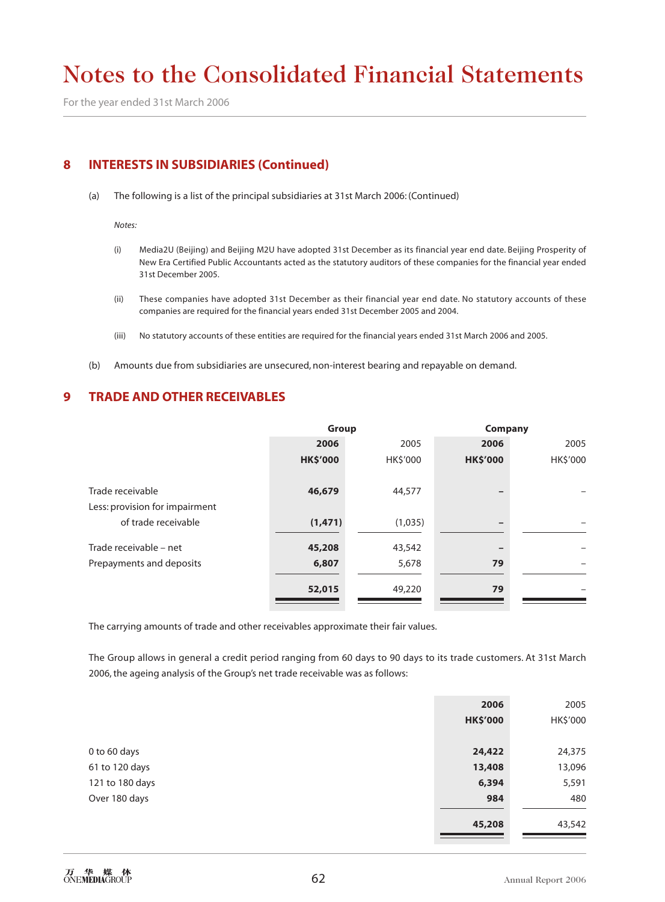For the year ended 31st March 2006

### **8 INTERESTS IN SUBSIDIARIES (Continued)**

(a) The following is a list of the principal subsidiaries at 31st March 2006: (Continued)

*Notes:*

- (i) Media2U (Beijing) and Beijing M2U have adopted 31st December as its financial year end date. Beijing Prosperity of New Era Certified Public Accountants acted as the statutory auditors of these companies for the financial year ended 31st December 2005.
- (ii) These companies have adopted 31st December as their financial year end date. No statutory accounts of these companies are required for the financial years ended 31st December 2005 and 2004.
- (iii) No statutory accounts of these entities are required for the financial years ended 31st March 2006 and 2005.
- (b) Amounts due from subsidiaries are unsecured, non-interest bearing and repayable on demand.

### **9 TRADE AND OTHER RECEIVABLES**

|                                | Group           |                | <b>Company</b>  |          |  |  |
|--------------------------------|-----------------|----------------|-----------------|----------|--|--|
|                                | 2006<br>2005    |                | 2006            |          |  |  |
|                                | <b>HK\$'000</b> | <b>HKS'000</b> | <b>HK\$'000</b> | HK\$'000 |  |  |
| Trade receivable               | 46,679          | 44,577         |                 |          |  |  |
| Less: provision for impairment |                 |                |                 |          |  |  |
| of trade receivable            | (1, 471)        | (1,035)        |                 |          |  |  |
| Trade receivable - net         | 45,208          | 43,542         |                 |          |  |  |
| Prepayments and deposits       | 6,807           | 5,678          | 79              |          |  |  |
|                                | 52,015          | 49,220         | 79              |          |  |  |
|                                |                 |                |                 |          |  |  |

The carrying amounts of trade and other receivables approximate their fair values.

The Group allows in general a credit period ranging from 60 days to 90 days to its trade customers. At 31st March 2006, the ageing analysis of the Group's net trade receivable was as follows:

|                 | 2006            | 2005     |
|-----------------|-----------------|----------|
|                 | <b>HK\$'000</b> | HK\$'000 |
|                 |                 |          |
| 0 to 60 days    | 24,422          | 24,375   |
| 61 to 120 days  | 13,408          | 13,096   |
| 121 to 180 days | 6,394           | 5,591    |
| Over 180 days   | 984             | 480      |
|                 |                 |          |
|                 | 45,208          | 43,542   |
|                 |                 |          |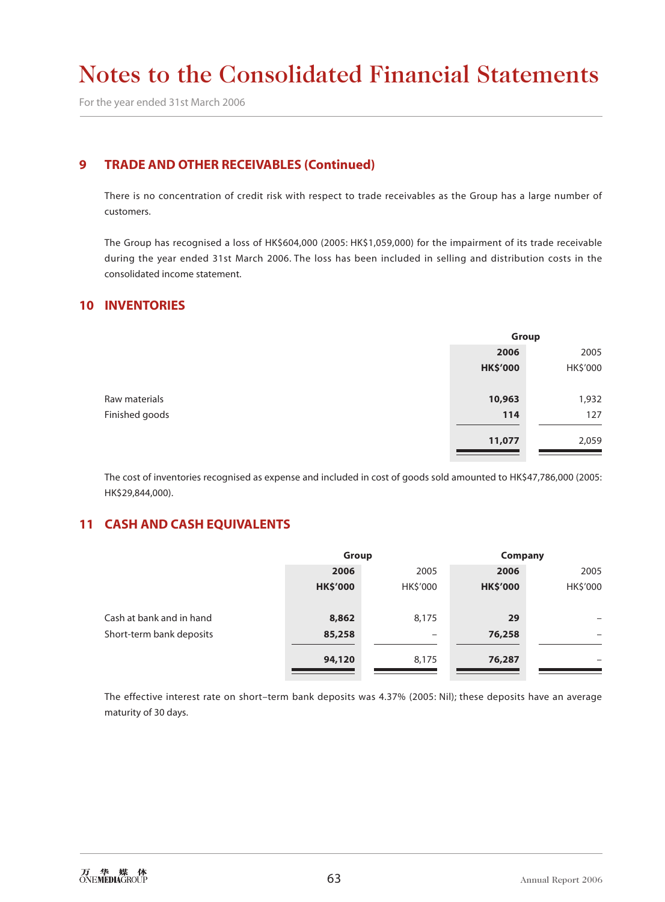For the year ended 31st March 2006

### **9 TRADE AND OTHER RECEIVABLES (Continued)**

There is no concentration of credit risk with respect to trade receivables as the Group has a large number of customers.

The Group has recognised a loss of HK\$604,000 (2005: HK\$1,059,000) for the impairment of its trade receivable during the year ended 31st March 2006. The loss has been included in selling and distribution costs in the consolidated income statement.

### **10 INVENTORIES**

|                | Group           |          |  |
|----------------|-----------------|----------|--|
|                | 2006            | 2005     |  |
|                | <b>HK\$'000</b> | HK\$'000 |  |
|                |                 |          |  |
| Raw materials  | 10,963          | 1,932    |  |
| Finished goods | 114             | 127      |  |
|                |                 |          |  |
|                | 11,077          | 2,059    |  |
|                |                 |          |  |

The cost of inventories recognised as expense and included in cost of goods sold amounted to HK\$47,786,000 (2005: HK\$29,844,000).

### **11 CASH AND CASH EQUIVALENTS**

|                          | Group           |                          | Company         |          |  |
|--------------------------|-----------------|--------------------------|-----------------|----------|--|
|                          | 2006            | 2005                     | 2006            | 2005     |  |
|                          | <b>HK\$'000</b> | HK\$'000                 | <b>HK\$'000</b> | HK\$'000 |  |
|                          |                 |                          |                 |          |  |
| Cash at bank and in hand | 8,862           | 8,175                    | 29              | -        |  |
| Short-term bank deposits | 85,258          | $\overline{\phantom{0}}$ | 76,258          |          |  |
|                          |                 |                          |                 |          |  |
|                          |                 |                          |                 | -        |  |
|                          | 94,120          | 8,175                    | 76,287          |          |  |

The effective interest rate on short–term bank deposits was 4.37% (2005: Nil); these deposits have an average maturity of 30 days.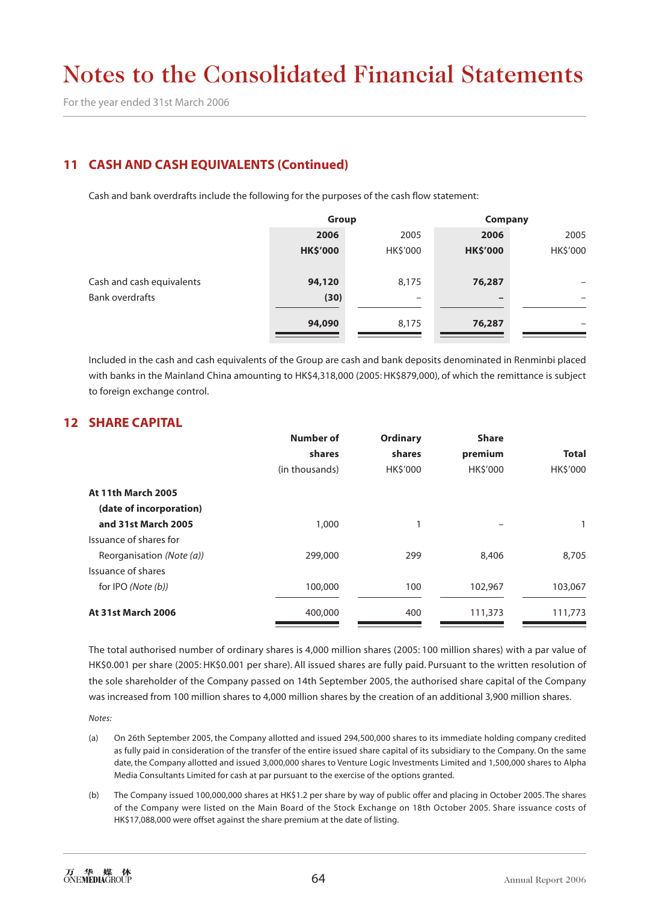For the year ended 31st March 2006

# **11 CASH AND CASH EQUIVALENTS (Continued)**

Cash and bank overdrafts include the following for the purposes of the cash flow statement:

|                           | Group           |          | Company         |          |  |
|---------------------------|-----------------|----------|-----------------|----------|--|
|                           | 2006            | 2005     | 2006            | 2005     |  |
|                           | <b>HK\$'000</b> | HK\$'000 | <b>HK\$'000</b> | HK\$'000 |  |
|                           |                 |          |                 |          |  |
| Cash and cash equivalents | 94,120          | 8,175    | 76,287          | -        |  |
| <b>Bank overdrafts</b>    | (30)            | -        |                 | -        |  |
|                           |                 |          |                 |          |  |
|                           | 94,090          | 8,175    | 76,287          | -        |  |
|                           |                 |          |                 |          |  |

Included in the cash and cash equivalents of the Group are cash and bank deposits denominated in Renminbi placed with banks in the Mainland China amounting to HK\$4,318,000 (2005: HK\$879,000), of which the remittance is subject to foreign exchange control.

### **12 SHARE CAPITAL**

|                           | Number of      | <b>Ordinary</b> | <b>Share</b> |              |
|---------------------------|----------------|-----------------|--------------|--------------|
|                           | shares         | shares          | premium      | <b>Total</b> |
|                           | (in thousands) | HK\$'000        | HK\$'000     | HK\$'000     |
| <b>At 11th March 2005</b> |                |                 |              |              |
| (date of incorporation)   |                |                 |              |              |
| and 31st March 2005       | 1,000          |                 |              |              |
| Issuance of shares for    |                |                 |              |              |
| Reorganisation (Note (a)) | 299,000        | 299             | 8,406        | 8,705        |
| Issuance of shares        |                |                 |              |              |
| for IPO (Note (b))        | 100,000        | 100             | 102,967      | 103,067      |
| <b>At 31st March 2006</b> | 400,000        | 400             | 111,373      | 111,773      |

The total authorised number of ordinary shares is 4,000 million shares (2005: 100 million shares) with a par value of HK\$0.001 per share (2005: HK\$0.001 per share). All issued shares are fully paid. Pursuant to the written resolution of the sole shareholder of the Company passed on 14th September 2005, the authorised share capital of the Company was increased from 100 million shares to 4,000 million shares by the creation of an additional 3,900 million shares.

*Notes:*

- (a) On 26th September 2005, the Company allotted and issued 294,500,000 shares to its immediate holding company credited as fully paid in consideration of the transfer of the entire issued share capital of its subsidiary to the Company. On the same date, the Company allotted and issued 3,000,000 shares to Venture Logic Investments Limited and 1,500,000 shares to Alpha Media Consultants Limited for cash at par pursuant to the exercise of the options granted.
- (b) The Company issued 100,000,000 shares at HK\$1.2 per share by way of public offer and placing in October 2005. The shares of the Company were listed on the Main Board of the Stock Exchange on 18th October 2005. Share issuance costs of HK\$17,088,000 were offset against the share premium at the date of listing.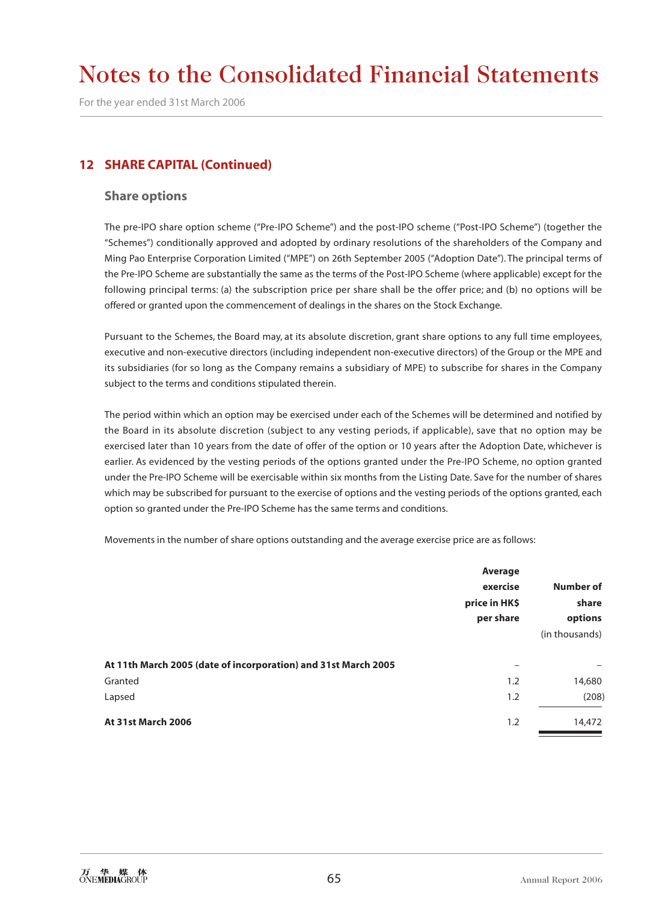For the year ended 31st March 2006

### **12 SHARE CAPITAL (Continued)**

#### **Share options**

The pre-IPO share option scheme ("Pre-IPO Scheme") and the post-IPO scheme ("Post-IPO Scheme") (together the "Schemes") conditionally approved and adopted by ordinary resolutions of the shareholders of the Company and Ming Pao Enterprise Corporation Limited ("MPE") on 26th September 2005 ("Adoption Date"). The principal terms of the Pre-IPO Scheme are substantially the same as the terms of the Post-IPO Scheme (where applicable) except for the following principal terms: (a) the subscription price per share shall be the offer price; and (b) no options will be offered or granted upon the commencement of dealings in the shares on the Stock Exchange.

Pursuant to the Schemes, the Board may, at its absolute discretion, grant share options to any full time employees, executive and non-executive directors (including independent non-executive directors) of the Group or the MPE and its subsidiaries (for so long as the Company remains a subsidiary of MPE) to subscribe for shares in the Company subject to the terms and conditions stipulated therein.

The period within which an option may be exercised under each of the Schemes will be determined and notified by the Board in its absolute discretion (subject to any vesting periods, if applicable), save that no option may be exercised later than 10 years from the date of offer of the option or 10 years after the Adoption Date, whichever is earlier. As evidenced by the vesting periods of the options granted under the Pre-IPO Scheme, no option granted under the Pre-IPO Scheme will be exercisable within six months from the Listing Date. Save for the number of shares which may be subscribed for pursuant to the exercise of options and the vesting periods of the options granted, each option so granted under the Pre-IPO Scheme has the same terms and conditions.

Movements in the number of share options outstanding and the average exercise price are as follows:

|                                                                | Average                   |                |  |
|----------------------------------------------------------------|---------------------------|----------------|--|
|                                                                | exercise<br>price in HK\$ | Number of      |  |
|                                                                |                           | share          |  |
|                                                                | per share                 | options        |  |
|                                                                |                           | (in thousands) |  |
| At 11th March 2005 (date of incorporation) and 31st March 2005 | -                         |                |  |
| Granted                                                        | 1.2                       | 14,680         |  |
| Lapsed                                                         | 1.2                       | (208)          |  |
| <b>At 31st March 2006</b>                                      | 1.2                       | 14,472         |  |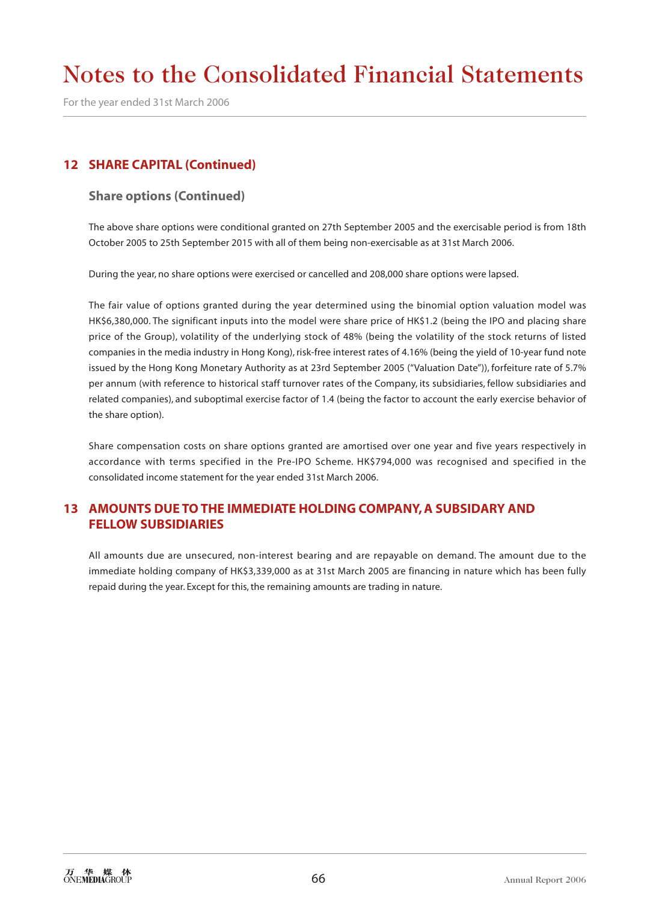For the year ended 31st March 2006

## **12 SHARE CAPITAL (Continued)**

#### **Share options (Continued)**

The above share options were conditional granted on 27th September 2005 and the exercisable period is from 18th October 2005 to 25th September 2015 with all of them being non-exercisable as at 31st March 2006.

During the year, no share options were exercised or cancelled and 208,000 share options were lapsed.

The fair value of options granted during the year determined using the binomial option valuation model was HK\$6,380,000. The significant inputs into the model were share price of HK\$1.2 (being the IPO and placing share price of the Group), volatility of the underlying stock of 48% (being the volatility of the stock returns of listed companies in the media industry in Hong Kong), risk-free interest rates of 4.16% (being the yield of 10-year fund note issued by the Hong Kong Monetary Authority as at 23rd September 2005 ("Valuation Date")), forfeiture rate of 5.7% per annum (with reference to historical staff turnover rates of the Company, its subsidiaries, fellow subsidiaries and related companies), and suboptimal exercise factor of 1.4 (being the factor to account the early exercise behavior of the share option).

Share compensation costs on share options granted are amortised over one year and five years respectively in accordance with terms specified in the Pre-IPO Scheme. HK\$794,000 was recognised and specified in the consolidated income statement for the year ended 31st March 2006.

## **13 AMOUNTS DUE TO THE IMMEDIATE HOLDING COMPANY, A SUBSIDARY AND FELLOW SUBSIDIARIES**

All amounts due are unsecured, non-interest bearing and are repayable on demand. The amount due to the immediate holding company of HK\$3,339,000 as at 31st March 2005 are financing in nature which has been fully repaid during the year. Except for this, the remaining amounts are trading in nature.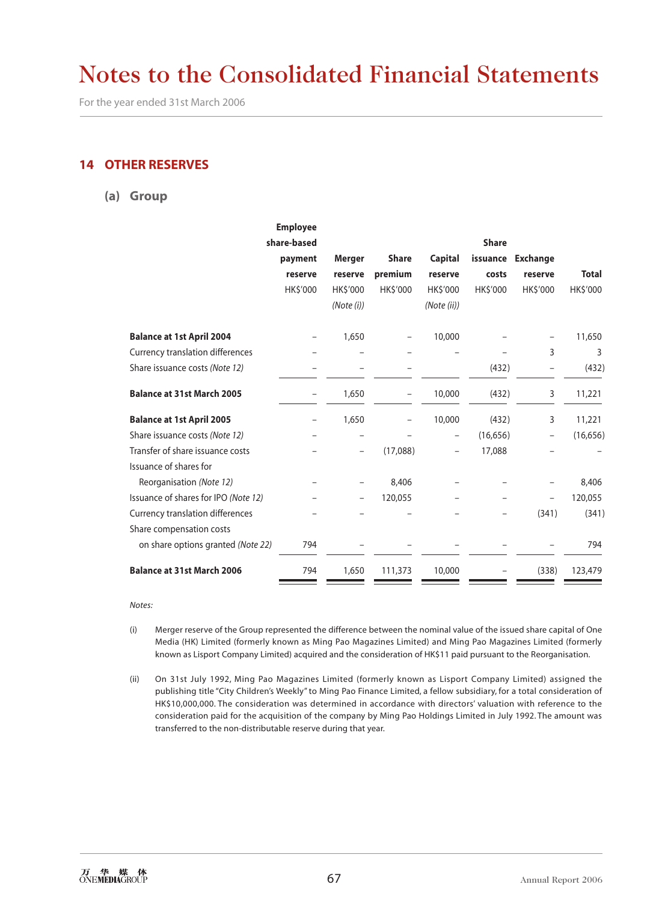For the year ended 31st March 2006

### **14 OTHER RESERVES**

**(a) Group**

|                                      | <b>Employee</b>          |               |                   |                          |              |                          |              |
|--------------------------------------|--------------------------|---------------|-------------------|--------------------------|--------------|--------------------------|--------------|
|                                      | share-based              |               |                   |                          | <b>Share</b> |                          |              |
|                                      | payment                  | <b>Merger</b> | <b>Share</b>      | <b>Capital</b>           | issuance     | <b>Exchange</b>          |              |
|                                      | reserve                  | reserve       | premium           | reserve                  | costs        | reserve                  | <b>Total</b> |
|                                      | HK\$'000                 | HK\$'000      | HK\$'000          | HK\$'000                 | HK\$'000     | HK\$'000                 | HK\$'000     |
|                                      |                          | (Note (i))    |                   | (Note (ii))              |              |                          |              |
| <b>Balance at 1st April 2004</b>     |                          | 1,650         |                   | 10,000                   |              |                          | 11,650       |
| Currency translation differences     |                          |               |                   |                          |              | 3                        | 3            |
| Share issuance costs (Note 12)       |                          |               |                   |                          | (432)        |                          | (432)        |
| <b>Balance at 31st March 2005</b>    | -                        | 1,650         | $\qquad \qquad -$ | 10,000                   | (432)        | 3                        | 11,221       |
| <b>Balance at 1st April 2005</b>     | $\overline{\phantom{0}}$ | 1,650         | $\qquad \qquad -$ | 10,000                   | (432)        | 3                        | 11,221       |
| Share issuance costs (Note 12)       |                          |               |                   |                          | (16,656)     |                          | (16, 656)    |
| Transfer of share issuance costs     |                          |               | (17,088)          | $\overline{\phantom{0}}$ | 17,088       |                          |              |
| Issuance of shares for               |                          |               |                   |                          |              |                          |              |
| Reorganisation (Note 12)             |                          |               | 8,406             |                          |              |                          | 8,406        |
| Issuance of shares for IPO (Note 12) |                          |               | 120,055           |                          |              | $\overline{\phantom{0}}$ | 120,055      |
| Currency translation differences     |                          |               |                   |                          |              | (341)                    | (341)        |
| Share compensation costs             |                          |               |                   |                          |              |                          |              |
| on share options granted (Note 22)   | 794                      |               |                   |                          |              |                          | 794          |
| <b>Balance at 31st March 2006</b>    | 794                      | 1,650         | 111,373           | 10,000                   |              | (338)                    | 123,479      |

#### *Notes:*

- (i) Merger reserve of the Group represented the difference between the nominal value of the issued share capital of One Media (HK) Limited (formerly known as Ming Pao Magazines Limited) and Ming Pao Magazines Limited (formerly known as Lisport Company Limited) acquired and the consideration of HK\$11 paid pursuant to the Reorganisation.
- (ii) On 31st July 1992, Ming Pao Magazines Limited (formerly known as Lisport Company Limited) assigned the publishing title "City Children's Weekly" to Ming Pao Finance Limited, a fellow subsidiary, for a total consideration of HK\$10,000,000. The consideration was determined in accordance with directors' valuation with reference to the consideration paid for the acquisition of the company by Ming Pao Holdings Limited in July 1992. The amount was transferred to the non-distributable reserve during that year.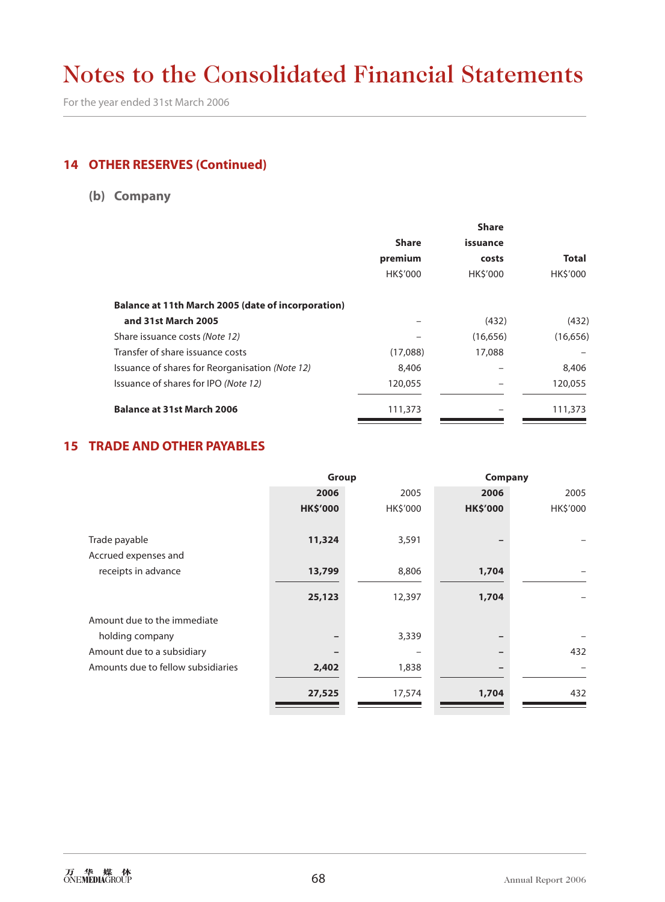For the year ended 31st March 2006

# **14 OTHER RESERVES (Continued)**

# **(b) Company**

| <b>Share</b> |                |           |
|--------------|----------------|-----------|
| <b>Share</b> | issuance       |           |
| premium      | costs          | Total     |
| HK\$'000     | <b>HKS'000</b> | HK\$'000  |
|              |                |           |
|              | (432)          | (432)     |
|              | (16, 656)      | (16, 656) |
| (17,088)     | 17,088         |           |
| 8,406        |                | 8,406     |
| 120,055      |                | 120,055   |
| 111,373      |                | 111,373   |
|              |                |           |

### **15 TRADE AND OTHER PAYABLES**

|                                    | Group           |          | Company         |          |
|------------------------------------|-----------------|----------|-----------------|----------|
|                                    | 2006            | 2005     | 2006            | 2005     |
|                                    | <b>HK\$'000</b> | HK\$'000 | <b>HK\$'000</b> | HK\$'000 |
|                                    |                 |          |                 |          |
| Trade payable                      | 11,324          | 3,591    |                 |          |
| Accrued expenses and               |                 |          |                 |          |
| receipts in advance                | 13,799          | 8,806    | 1,704           |          |
|                                    | 25,123          | 12,397   | 1,704           |          |
| Amount due to the immediate        |                 |          |                 |          |
| holding company                    |                 | 3,339    |                 |          |
| Amount due to a subsidiary         |                 |          |                 | 432      |
| Amounts due to fellow subsidiaries | 2,402           | 1,838    |                 |          |
|                                    | 27,525          | 17,574   | 1,704           | 432      |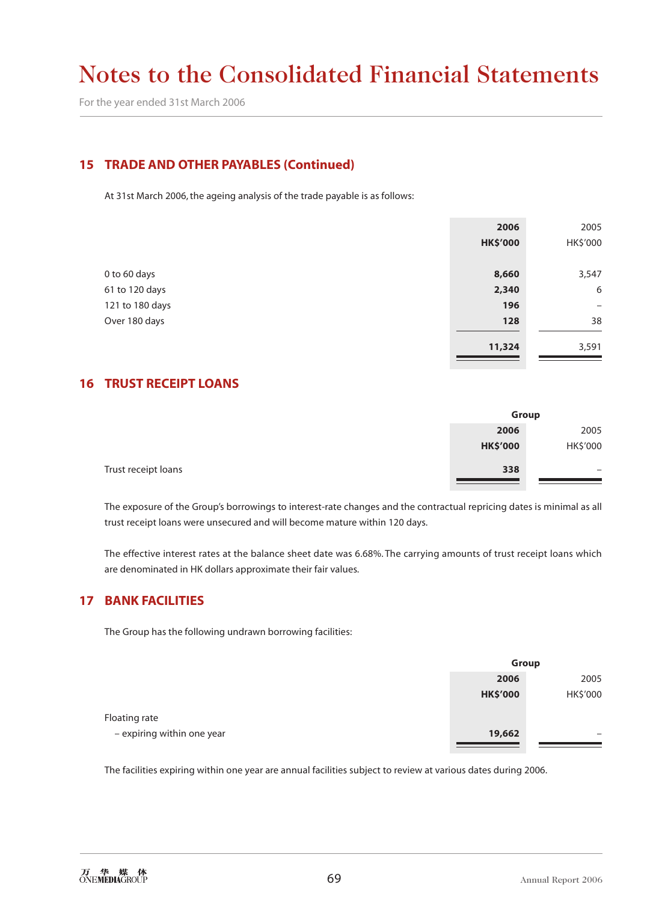For the year ended 31st March 2006

### **15 TRADE AND OTHER PAYABLES (Continued)**

At 31st March 2006, the ageing analysis of the trade payable is as follows:

|                 | 2006            | 2005     |
|-----------------|-----------------|----------|
|                 | <b>HK\$'000</b> | HK\$'000 |
|                 |                 |          |
| 0 to 60 days    | 8,660           | 3,547    |
| 61 to 120 days  | 2,340           | 6        |
| 121 to 180 days | 196             | -        |
| Over 180 days   | 128             | 38       |
|                 |                 |          |
|                 | 11,324          | 3,591    |

### **16 TRUST RECEIPT LOANS**

| Group    |                 |
|----------|-----------------|
| 2005     | 2006            |
| HK\$'000 | <b>HK\$'000</b> |
| -        | 338             |
|          |                 |

The exposure of the Group's borrowings to interest-rate changes and the contractual repricing dates is minimal as all trust receipt loans were unsecured and will become mature within 120 days.

The effective interest rates at the balance sheet date was 6.68%. The carrying amounts of trust receipt loans which are denominated in HK dollars approximate their fair values.

#### **17 BANK FACILITIES**

The Group has the following undrawn borrowing facilities:

|                            | Group           |          |
|----------------------------|-----------------|----------|
|                            | 2006            | 2005     |
|                            | <b>HK\$'000</b> | HK\$'000 |
| Floating rate              |                 |          |
| - expiring within one year | 19,662          | -        |
|                            |                 |          |

The facilities expiring within one year are annual facilities subject to review at various dates during 2006.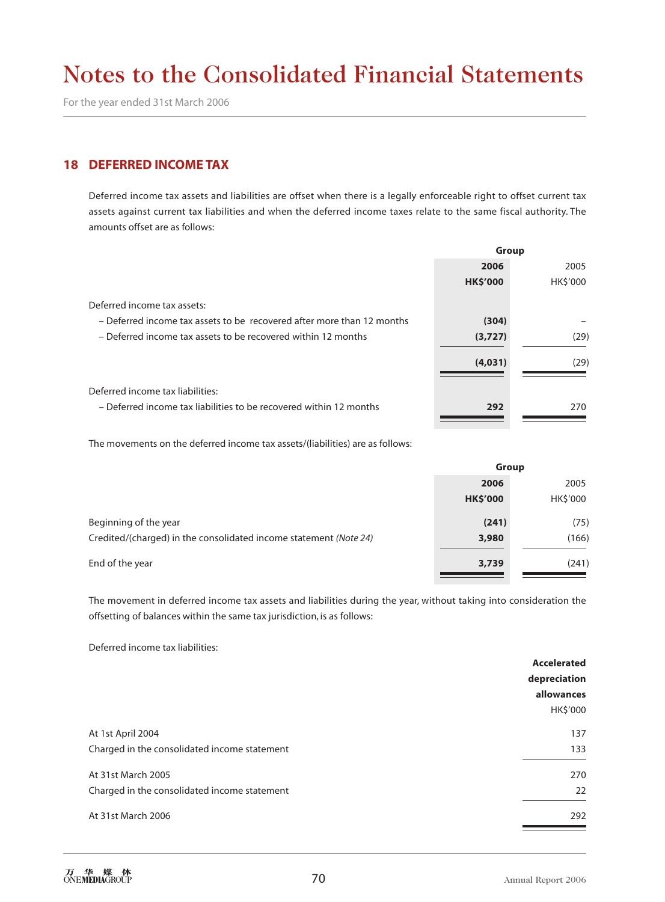For the year ended 31st March 2006

#### **18 DEFERRED INCOME TAX**

Deferred income tax assets and liabilities are offset when there is a legally enforceable right to offset current tax assets against current tax liabilities and when the deferred income taxes relate to the same fiscal authority. The amounts offset are as follows:

|                                                                        | Group           |                |
|------------------------------------------------------------------------|-----------------|----------------|
|                                                                        | 2006            | 2005           |
|                                                                        | <b>HK\$'000</b> | <b>HKS'000</b> |
| Deferred income tax assets:                                            |                 |                |
| - Deferred income tax assets to be recovered after more than 12 months | (304)           |                |
| - Deferred income tax assets to be recovered within 12 months          | (3,727)         | (29)           |
|                                                                        | (4,031)         | (29)           |
| Deferred income tax liabilities:                                       |                 |                |
| - Deferred income tax liabilities to be recovered within 12 months     | 292             | 270            |
|                                                                        |                 |                |

The movements on the deferred income tax assets/(liabilities) are as follows:

|                                                                   | <b>Group</b>    |          |
|-------------------------------------------------------------------|-----------------|----------|
|                                                                   | 2006            | 2005     |
|                                                                   | <b>HK\$'000</b> | HK\$'000 |
| Beginning of the year                                             | (241)           | (75)     |
| Credited/(charged) in the consolidated income statement (Note 24) | 3,980           | (166)    |
| End of the year                                                   | 3,739           | (241)    |

The movement in deferred income tax assets and liabilities during the year, without taking into consideration the offsetting of balances within the same tax jurisdiction, is as follows:

Deferred income tax liabilities:

|                                              | <b>Accelerated</b> |
|----------------------------------------------|--------------------|
|                                              | depreciation       |
|                                              | allowances         |
|                                              | HK\$'000           |
| At 1st April 2004                            | 137                |
| Charged in the consolidated income statement | 133                |
| At 31st March 2005                           | 270                |
| Charged in the consolidated income statement | 22                 |
| At 31st March 2006                           | 292                |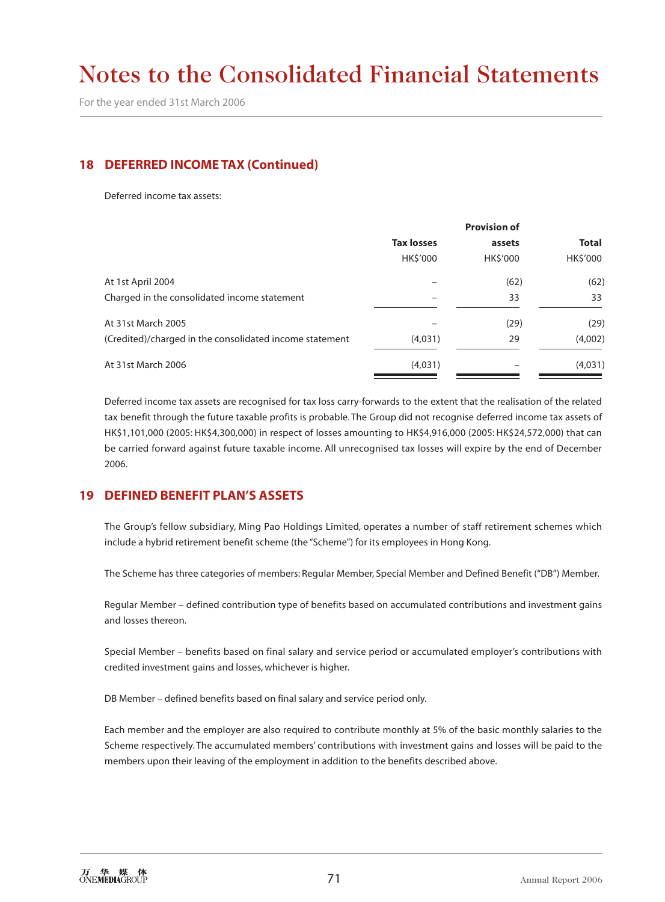For the year ended 31st March 2006

### **18 DEFERRED INCOME TAX (Continued)**

Deferred income tax assets:

|                                                         | <b>Provision of</b> |                |              |  |
|---------------------------------------------------------|---------------------|----------------|--------------|--|
|                                                         | <b>Tax losses</b>   | assets         | <b>Total</b> |  |
|                                                         | HK\$'000            | <b>HKS'000</b> | HK\$'000     |  |
| At 1st April 2004                                       |                     | (62)           | (62)         |  |
| Charged in the consolidated income statement            |                     | 33             | 33           |  |
| At 31st March 2005                                      |                     | (29)           | (29)         |  |
| (Credited)/charged in the consolidated income statement | (4,031)             | 29             | (4,002)      |  |
| At 31st March 2006                                      | (4,031)             |                | (4,031)      |  |
|                                                         |                     |                |              |  |

Deferred income tax assets are recognised for tax loss carry-forwards to the extent that the realisation of the related tax benefit through the future taxable profits is probable. The Group did not recognise deferred income tax assets of HK\$1,101,000 (2005: HK\$4,300,000) in respect of losses amounting to HK\$4,916,000 (2005: HK\$24,572,000) that can be carried forward against future taxable income. All unrecognised tax losses will expire by the end of December 2006.

## **19 DEFINED BENEFIT PLAN'S ASSETS**

The Group's fellow subsidiary, Ming Pao Holdings Limited, operates a number of staff retirement schemes which include a hybrid retirement benefit scheme (the "Scheme") for its employees in Hong Kong.

The Scheme has three categories of members: Regular Member, Special Member and Defined Benefit ("DB") Member.

Regular Member – defined contribution type of benefits based on accumulated contributions and investment gains and losses thereon.

Special Member – benefits based on final salary and service period or accumulated employer's contributions with credited investment gains and losses, whichever is higher.

DB Member – defined benefits based on final salary and service period only.

Each member and the employer are also required to contribute monthly at 5% of the basic monthly salaries to the Scheme respectively. The accumulated members' contributions with investment gains and losses will be paid to the members upon their leaving of the employment in addition to the benefits described above.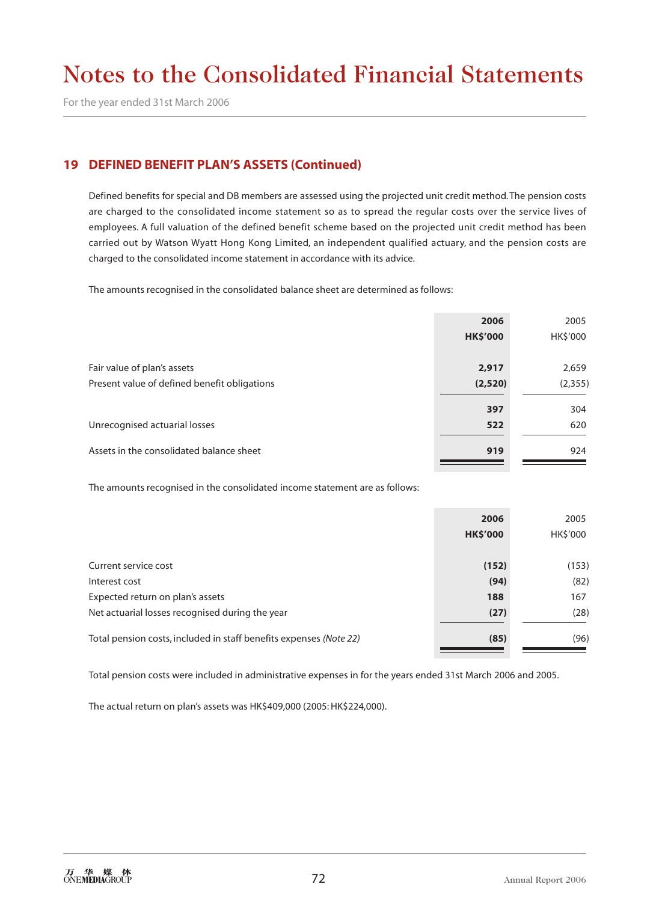For the year ended 31st March 2006

### **19 DEFINED BENEFIT PLAN'S ASSETS (Continued)**

Defined benefits for special and DB members are assessed using the projected unit credit method. The pension costs are charged to the consolidated income statement so as to spread the regular costs over the service lives of employees. A full valuation of the defined benefit scheme based on the projected unit credit method has been carried out by Watson Wyatt Hong Kong Limited, an independent qualified actuary, and the pension costs are charged to the consolidated income statement in accordance with its advice.

The amounts recognised in the consolidated balance sheet are determined as follows:

|                                              | 2006            | 2005     |
|----------------------------------------------|-----------------|----------|
|                                              | <b>HK\$'000</b> | HK\$'000 |
|                                              |                 |          |
| Fair value of plan's assets                  | 2,917           | 2,659    |
| Present value of defined benefit obligations | (2,520)         | (2, 355) |
|                                              |                 |          |
|                                              | 397             | 304      |
| Unrecognised actuarial losses                | 522             | 620      |
|                                              |                 |          |
| Assets in the consolidated balance sheet     | 919             | 924      |

The amounts recognised in the consolidated income statement are as follows:

|                                                                    | 2006            | 2005     |
|--------------------------------------------------------------------|-----------------|----------|
|                                                                    | <b>HK\$'000</b> | HK\$'000 |
|                                                                    |                 |          |
| Current service cost                                               | (152)           | (153)    |
| Interest cost                                                      | (94)            | (82)     |
| Expected return on plan's assets                                   | 188             | 167      |
| Net actuarial losses recognised during the year                    | (27)            | (28)     |
| Total pension costs, included in staff benefits expenses (Note 22) | (85)            | (96)     |

Total pension costs were included in administrative expenses in for the years ended 31st March 2006 and 2005.

The actual return on plan's assets was HK\$409,000 (2005: HK\$224,000).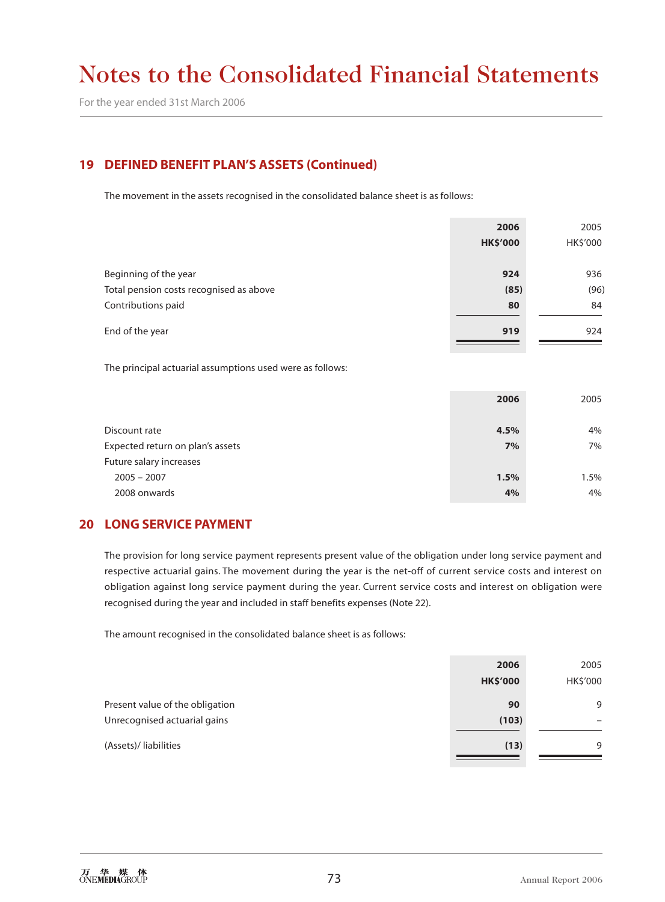For the year ended 31st March 2006

# **19 DEFINED BENEFIT PLAN'S ASSETS (Continued)**

The movement in the assets recognised in the consolidated balance sheet is as follows:

|                                         | 2006            | 2005     |
|-----------------------------------------|-----------------|----------|
|                                         | <b>HK\$'000</b> | HK\$'000 |
|                                         |                 |          |
| Beginning of the year                   | 924             | 936      |
| Total pension costs recognised as above | (85)            | (96)     |
| Contributions paid                      | 80              | 84       |
| End of the year                         | 919             | 924      |

The principal actuarial assumptions used were as follows:

| Discount rate                    | 4.5% | 4%   |
|----------------------------------|------|------|
| Expected return on plan's assets | 7%   | 7%   |
| Future salary increases          |      |      |
| $2005 - 2007$                    | 1.5% | 1.5% |
| 2008 onwards                     | 4%   | 4%   |

### **20 LONG SERVICE PAYMENT**

The provision for long service payment represents present value of the obligation under long service payment and respective actuarial gains. The movement during the year is the net-off of current service costs and interest on obligation against long service payment during the year. Current service costs and interest on obligation were recognised during the year and included in staff benefits expenses (Note 22).

The amount recognised in the consolidated balance sheet is as follows:

|                                 | 2006            | 2005     |
|---------------------------------|-----------------|----------|
|                                 | <b>HK\$'000</b> | HK\$'000 |
| Present value of the obligation | 90              | 9        |
| Unrecognised actuarial gains    | (103)           |          |
| (Assets)/liabilities            | (13)            | 9        |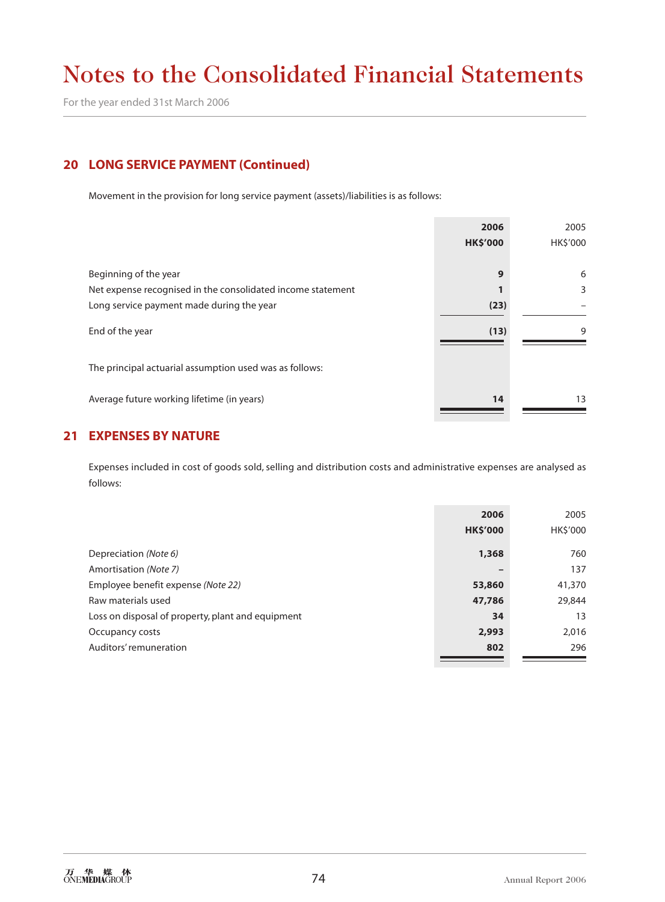For the year ended 31st March 2006

# **20 LONG SERVICE PAYMENT (Continued)**

Movement in the provision for long service payment (assets)/liabilities is as follows:

|                                                             | 2006            | 2005     |
|-------------------------------------------------------------|-----------------|----------|
|                                                             | <b>HK\$'000</b> | HK\$'000 |
|                                                             |                 |          |
| Beginning of the year                                       | 9               | 6        |
| Net expense recognised in the consolidated income statement |                 | 3        |
| Long service payment made during the year                   | (23)            |          |
| End of the year                                             | (13)            | 9        |
| The principal actuarial assumption used was as follows:     |                 |          |
| Average future working lifetime (in years)                  | 14              | 13       |

# **21 EXPENSES BY NATURE**

Expenses included in cost of goods sold, selling and distribution costs and administrative expenses are analysed as follows:

|                                                   | 2006            | 2005     |
|---------------------------------------------------|-----------------|----------|
|                                                   | <b>HK\$'000</b> | HK\$'000 |
| Depreciation (Note 6)                             | 1,368           | 760      |
| Amortisation (Note 7)                             |                 | 137      |
| Employee benefit expense (Note 22)                | 53,860          | 41,370   |
| Raw materials used                                | 47,786          | 29,844   |
| Loss on disposal of property, plant and equipment | 34              | 13       |
| Occupancy costs                                   | 2,993           | 2,016    |
| Auditors' remuneration                            | 802             | 296      |
|                                                   |                 |          |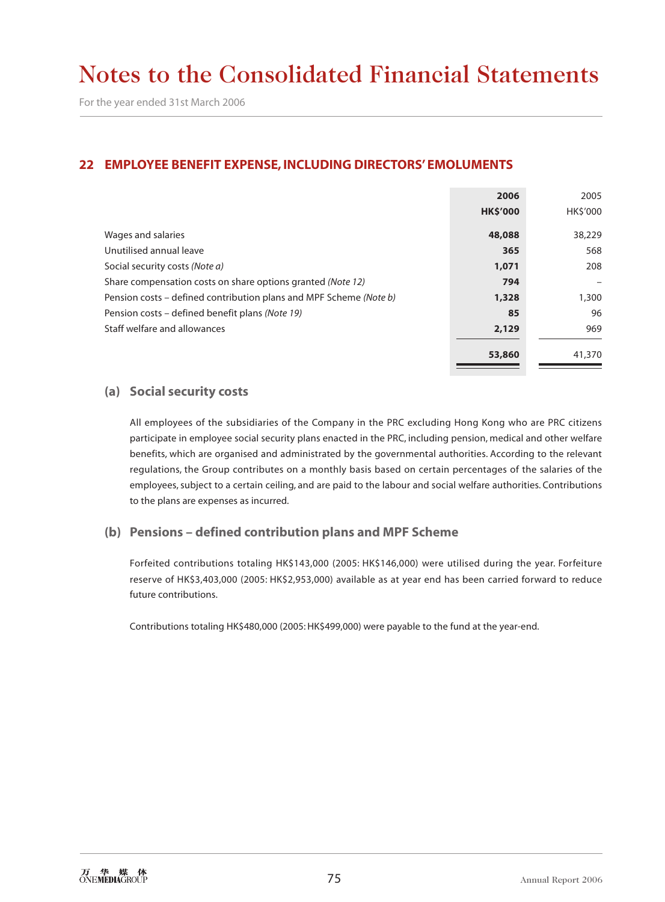# **22 EMPLOYEE BENEFIT EXPENSE, INCLUDING DIRECTORS' EMOLUMENTS**

|                                                                    | 2006            | 2005     |
|--------------------------------------------------------------------|-----------------|----------|
|                                                                    | <b>HK\$'000</b> | HK\$'000 |
| Wages and salaries                                                 | 48,088          | 38,229   |
| Unutilised annual leave                                            | 365             | 568      |
| Social security costs (Note a)                                     | 1,071           | 208      |
| Share compensation costs on share options granted (Note 12)        | 794             |          |
| Pension costs – defined contribution plans and MPF Scheme (Note b) | 1,328           | 1,300    |
| Pension costs – defined benefit plans (Note 19)                    | 85              | 96       |
| Staff welfare and allowances                                       | 2,129           | 969      |
|                                                                    |                 |          |
|                                                                    | 53,860          | 41,370   |

#### **(a) Social security costs**

All employees of the subsidiaries of the Company in the PRC excluding Hong Kong who are PRC citizens participate in employee social security plans enacted in the PRC, including pension, medical and other welfare benefits, which are organised and administrated by the governmental authorities. According to the relevant regulations, the Group contributes on a monthly basis based on certain percentages of the salaries of the employees, subject to a certain ceiling, and are paid to the labour and social welfare authorities. Contributions to the plans are expenses as incurred.

### **(b) Pensions – defined contribution plans and MPF Scheme**

Forfeited contributions totaling HK\$143,000 (2005: HK\$146,000) were utilised during the year. Forfeiture reserve of HK\$3,403,000 (2005: HK\$2,953,000) available as at year end has been carried forward to reduce future contributions.

Contributions totaling HK\$480,000 (2005: HK\$499,000) were payable to the fund at the year-end.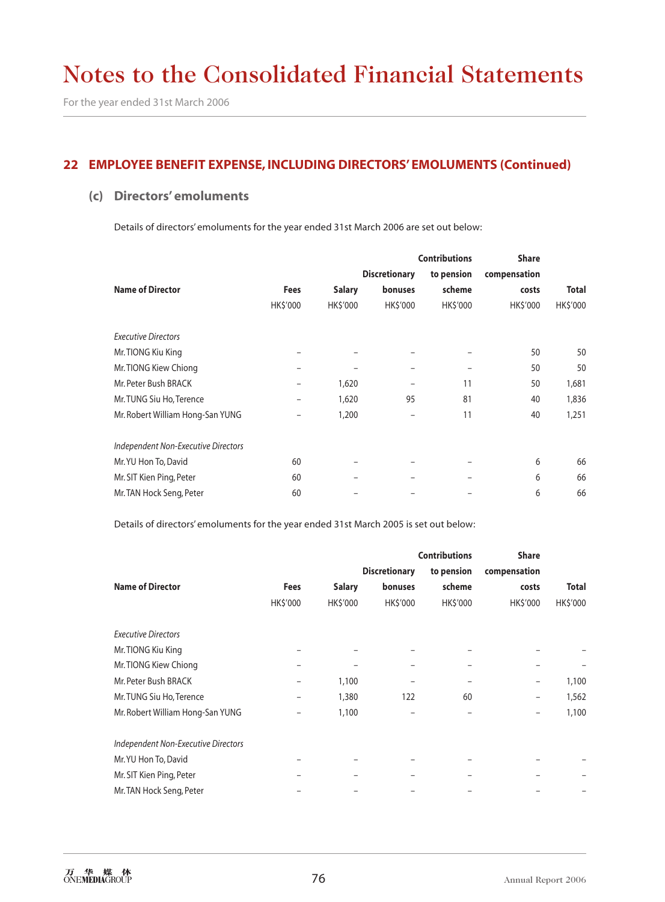## **22 EMPLOYEE BENEFIT EXPENSE, INCLUDING DIRECTORS' EMOLUMENTS (Continued)**

### **(c) Directors' emoluments**

Details of directors' emoluments for the year ended 31st March 2006 are set out below:

|                                     |                          |               | <b>Contributions</b> |            | <b>Share</b>   |              |
|-------------------------------------|--------------------------|---------------|----------------------|------------|----------------|--------------|
|                                     |                          |               | <b>Discretionary</b> | to pension | compensation   |              |
| <b>Name of Director</b>             | <b>Fees</b>              | <b>Salary</b> | <b>bonuses</b>       | scheme     | costs          | <b>Total</b> |
|                                     | HK\$'000                 | HK\$'000      | HK\$'000             | HK\$'000   | <b>HKS'000</b> | HK\$'000     |
| <b>Executive Directors</b>          |                          |               |                      |            |                |              |
| Mr. TIONG Kiu King                  | $\overline{\phantom{0}}$ |               |                      |            | 50             | 50           |
| Mr. TIONG Kiew Chiong               | $\overline{\phantom{0}}$ |               | -                    |            | 50             | 50           |
| Mr. Peter Bush BRACK                | $\overline{\phantom{0}}$ | 1,620         |                      | 11         | 50             | 1,681        |
| Mr. TUNG Siu Ho, Terence            | -                        | 1,620         | 95                   | 81         | 40             | 1,836        |
| Mr. Robert William Hong-San YUNG    |                          | 1,200         |                      | 11         | 40             | 1,251        |
| Independent Non-Executive Directors |                          |               |                      |            |                |              |
| Mr. YU Hon To, David                | 60                       |               |                      |            | 6              | 66           |
| Mr. SIT Kien Ping, Peter            | 60                       |               |                      |            | 6              | 66           |
| Mr. TAN Hock Seng, Peter            | 60                       |               |                      |            | 6              | 66           |

Details of directors' emoluments for the year ended 31st March 2005 is set out below:

|                                     |             |                | <b>Contributions</b> |            | <b>Share</b>   |              |
|-------------------------------------|-------------|----------------|----------------------|------------|----------------|--------------|
|                                     |             |                | <b>Discretionary</b> | to pension | compensation   |              |
| <b>Name of Director</b>             | <b>Fees</b> | <b>Salary</b>  | bonuses              | scheme     | costs          | <b>Total</b> |
|                                     | HK\$'000    | <b>HKS'000</b> | HK\$'000             | HK\$'000   | <b>HKS'000</b> | HK\$'000     |
| <b>Executive Directors</b>          |             |                |                      |            |                |              |
| Mr. TIONG Kiu King                  |             |                |                      |            |                |              |
| Mr. TIONG Kiew Chiong               |             |                |                      |            |                |              |
| Mr. Peter Bush BRACK                | -           | 1,100          |                      |            | -              | 1,100        |
| Mr. TUNG Siu Ho, Terence            |             | 1,380          | 122                  | 60         | -              | 1,562        |
| Mr. Robert William Hong-San YUNG    |             | 1,100          |                      |            | -              | 1,100        |
| Independent Non-Executive Directors |             |                |                      |            |                |              |
| Mr. YU Hon To, David                |             |                |                      |            |                |              |
| Mr. SIT Kien Ping, Peter            |             |                |                      |            |                |              |
| Mr. TAN Hock Seng, Peter            |             |                |                      |            |                |              |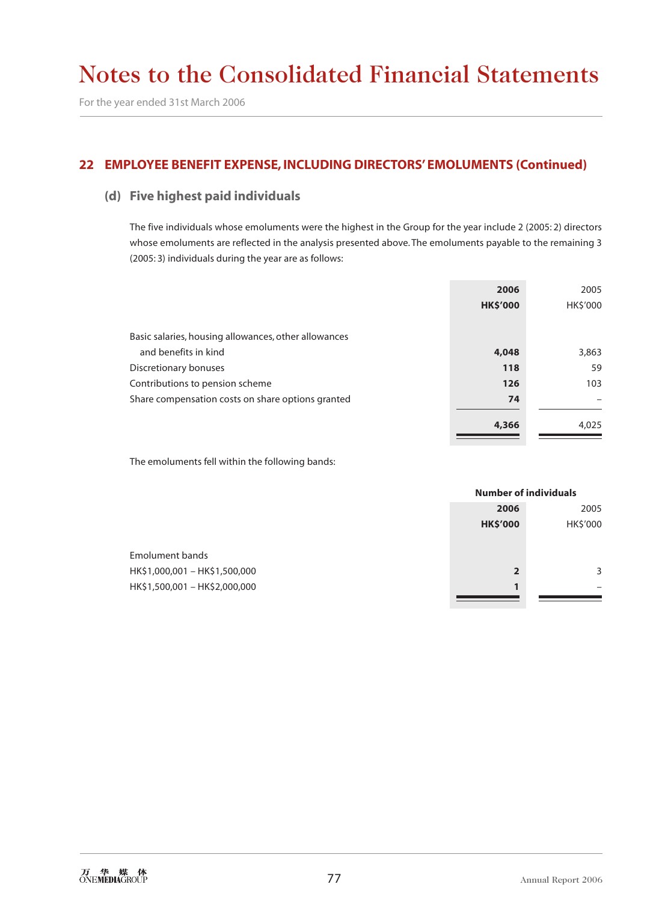## **22 EMPLOYEE BENEFIT EXPENSE, INCLUDING DIRECTORS' EMOLUMENTS (Continued)**

### **(d) Five highest paid individuals**

The five individuals whose emoluments were the highest in the Group for the year include 2 (2005: 2) directors whose emoluments are reflected in the analysis presented above. The emoluments payable to the remaining 3 (2005: 3) individuals during the year are as follows:

|                                                      | 2006            | 2005     |
|------------------------------------------------------|-----------------|----------|
|                                                      | <b>HK\$'000</b> | HK\$'000 |
|                                                      |                 |          |
| Basic salaries, housing allowances, other allowances |                 |          |
| and benefits in kind                                 | 4,048           | 3,863    |
| Discretionary bonuses                                | 118             | 59       |
| Contributions to pension scheme                      | 126             | 103      |
| Share compensation costs on share options granted    | 74              |          |
|                                                      |                 |          |
|                                                      | 4,366           | 4,025    |

The emoluments fell within the following bands:

|                               |                 | <b>Number of individuals</b> |  |
|-------------------------------|-----------------|------------------------------|--|
|                               | 2006            | 2005                         |  |
|                               | <b>HK\$'000</b> | HK\$'000                     |  |
|                               |                 |                              |  |
| Emolument bands               |                 |                              |  |
| HK\$1,000,001 - HK\$1,500,000 | $\overline{2}$  |                              |  |
| HK\$1,500,001 - HK\$2,000,000 | $\mathbf{1}$    |                              |  |
|                               |                 |                              |  |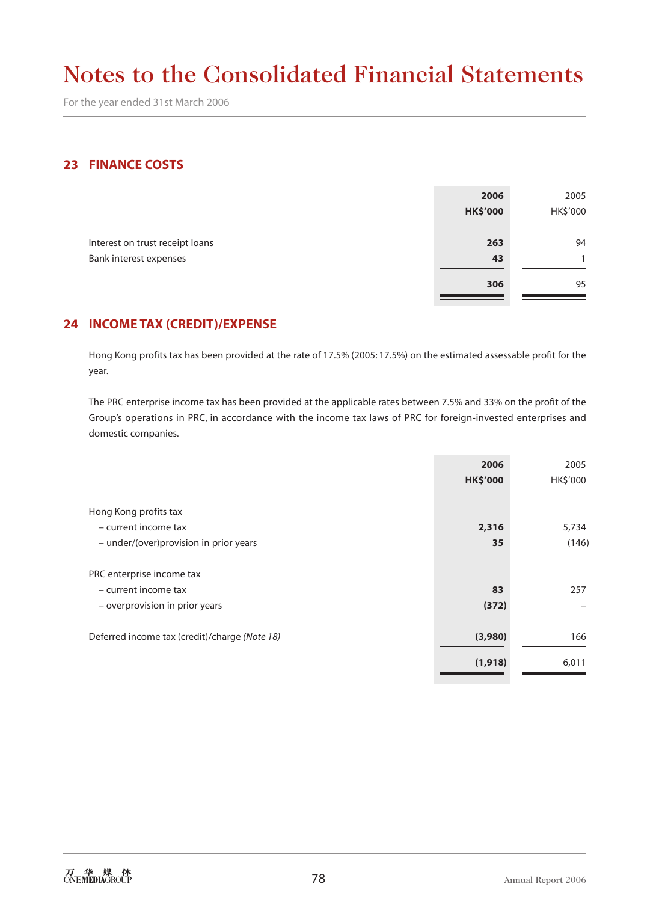For the year ended 31st March 2006

## **23 FINANCE COSTS**

|                                 | 2006            | 2005         |
|---------------------------------|-----------------|--------------|
|                                 | <b>HK\$'000</b> | HK\$'000     |
|                                 |                 |              |
| Interest on trust receipt loans | 263             | 94           |
| Bank interest expenses          | 43              | $\mathbf{1}$ |
|                                 |                 |              |
|                                 | 306             | 95           |
|                                 |                 |              |

## **24 INCOME TAX (CREDIT)/EXPENSE**

Hong Kong profits tax has been provided at the rate of 17.5% (2005: 17.5%) on the estimated assessable profit for the year.

The PRC enterprise income tax has been provided at the applicable rates between 7.5% and 33% on the profit of the Group's operations in PRC, in accordance with the income tax laws of PRC for foreign-invested enterprises and domestic companies.

|                                               | 2006<br><b>HK\$'000</b> | 2005<br>HK\$'000 |
|-----------------------------------------------|-------------------------|------------------|
|                                               |                         |                  |
| Hong Kong profits tax                         |                         |                  |
| - current income tax                          | 2,316                   | 5,734            |
| - under/(over)provision in prior years        | 35                      | (146)            |
| PRC enterprise income tax                     |                         |                  |
| - current income tax                          | 83                      | 257              |
| - overprovision in prior years                | (372)                   |                  |
| Deferred income tax (credit)/charge (Note 18) | (3,980)                 | 166              |
|                                               | (1, 918)                | 6,011            |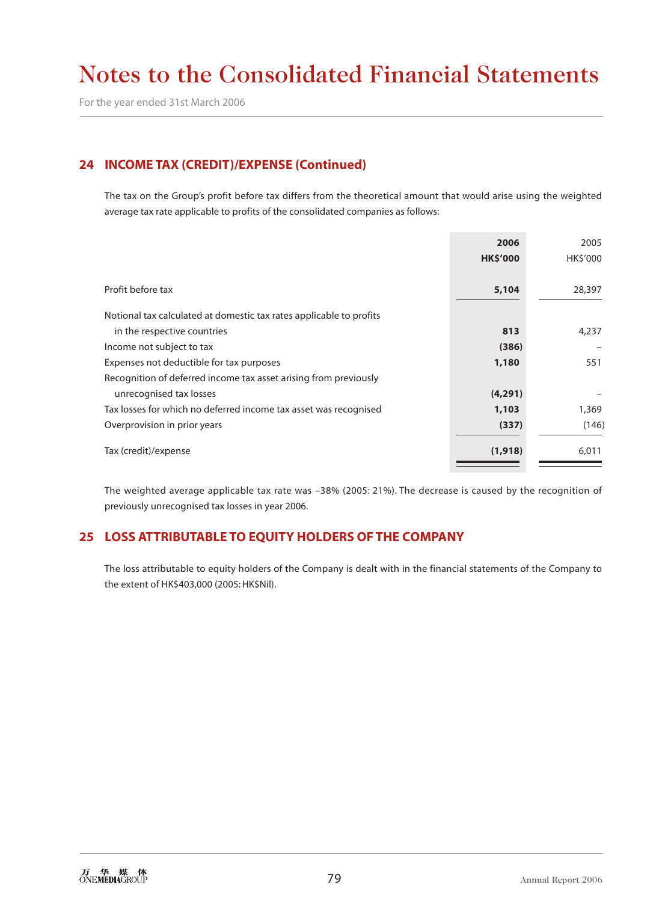# **24 INCOME TAX (CREDIT)/EXPENSE (Continued)**

The tax on the Group's profit before tax differs from the theoretical amount that would arise using the weighted average tax rate applicable to profits of the consolidated companies as follows:

|                                                                     | 2006            | 2005     |
|---------------------------------------------------------------------|-----------------|----------|
|                                                                     | <b>HK\$'000</b> | HK\$'000 |
|                                                                     |                 |          |
| Profit before tax                                                   | 5,104           | 28,397   |
| Notional tax calculated at domestic tax rates applicable to profits |                 |          |
| in the respective countries                                         | 813             | 4,237    |
| Income not subject to tax                                           | (386)           |          |
| Expenses not deductible for tax purposes                            | 1,180           | 551      |
| Recognition of deferred income tax asset arising from previously    |                 |          |
| unrecognised tax losses                                             | (4, 291)        |          |
| Tax losses for which no deferred income tax asset was recognised    | 1,103           | 1,369    |
| Overprovision in prior years                                        | (337)           | (146)    |
| Tax (credit)/expense                                                | (1,918)         | 6,011    |

The weighted average applicable tax rate was –38% (2005: 21%). The decrease is caused by the recognition of previously unrecognised tax losses in year 2006.

# **25 LOSS ATTRIBUTABLE TO EQUITY HOLDERS OF THE COMPANY**

The loss attributable to equity holders of the Company is dealt with in the financial statements of the Company to the extent of HK\$403,000 (2005: HK\$Nil).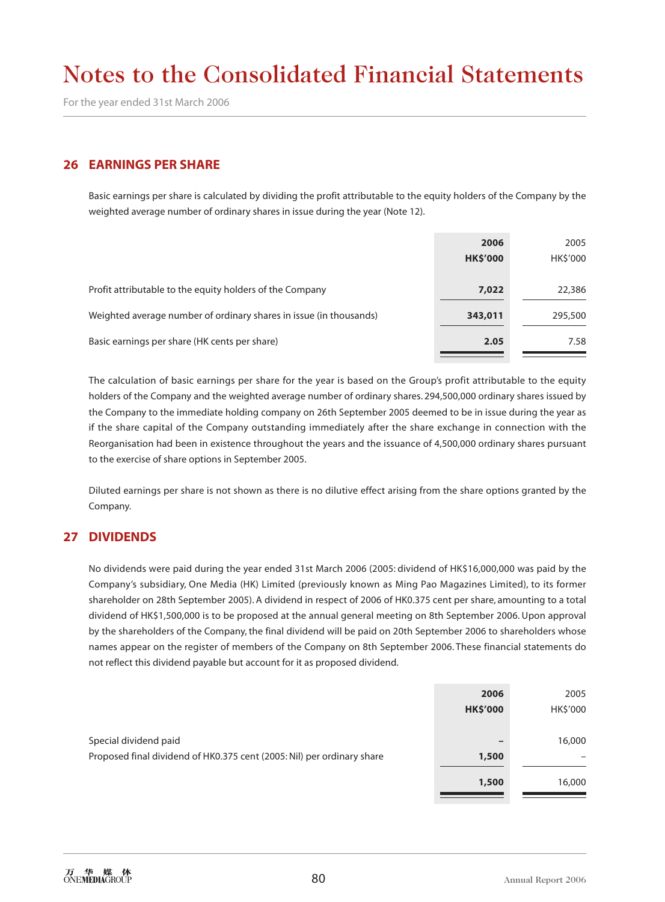For the year ended 31st March 2006

#### **26 EARNINGS PER SHARE**

Basic earnings per share is calculated by dividing the profit attributable to the equity holders of the Company by the weighted average number of ordinary shares in issue during the year (Note 12).

|                                                                    | 2006<br><b>HK\$'000</b> | 2005<br><b>HKS'000</b> |
|--------------------------------------------------------------------|-------------------------|------------------------|
|                                                                    |                         |                        |
| Profit attributable to the equity holders of the Company           | 7,022                   | 22,386                 |
| Weighted average number of ordinary shares in issue (in thousands) | 343,011                 | 295,500                |
| Basic earnings per share (HK cents per share)                      | 2.05                    | 7.58                   |

The calculation of basic earnings per share for the year is based on the Group's profit attributable to the equity holders of the Company and the weighted average number of ordinary shares. 294,500,000 ordinary shares issued by the Company to the immediate holding company on 26th September 2005 deemed to be in issue during the year as if the share capital of the Company outstanding immediately after the share exchange in connection with the Reorganisation had been in existence throughout the years and the issuance of 4,500,000 ordinary shares pursuant to the exercise of share options in September 2005.

Diluted earnings per share is not shown as there is no dilutive effect arising from the share options granted by the Company.

### **27 DIVIDENDS**

No dividends were paid during the year ended 31st March 2006 (2005: dividend of HK\$16,000,000 was paid by the Company's subsidiary, One Media (HK) Limited (previously known as Ming Pao Magazines Limited), to its former shareholder on 28th September 2005). A dividend in respect of 2006 of HK0.375 cent per share, amounting to a total dividend of HK\$1,500,000 is to be proposed at the annual general meeting on 8th September 2006. Upon approval by the shareholders of the Company, the final dividend will be paid on 20th September 2006 to shareholders whose names appear on the register of members of the Company on 8th September 2006. These financial statements do not reflect this dividend payable but account for it as proposed dividend.

|                                                                        | 2006            | 2005     |
|------------------------------------------------------------------------|-----------------|----------|
|                                                                        | <b>HK\$'000</b> | HK\$'000 |
| Special dividend paid                                                  | $\qquad \qquad$ | 16,000   |
| Proposed final dividend of HK0.375 cent (2005: Nil) per ordinary share | 1,500           | -        |
|                                                                        | 1,500           | 16,000   |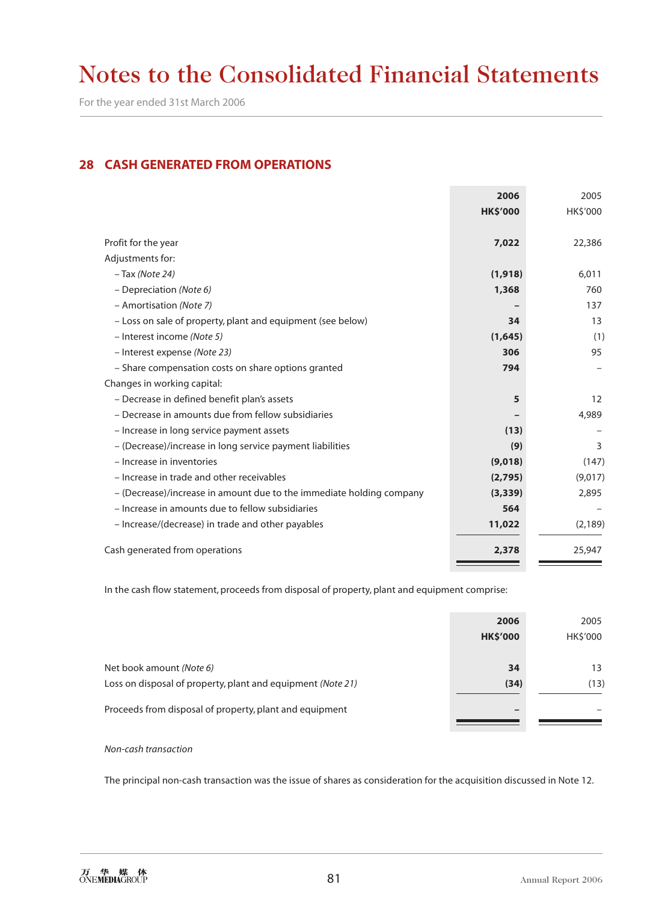For the year ended 31st March 2006

## **28 CASH GENERATED FROM OPERATIONS**

|                                                                      | 2006            | 2005           |
|----------------------------------------------------------------------|-----------------|----------------|
|                                                                      | <b>HK\$'000</b> | <b>HKS'000</b> |
|                                                                      |                 |                |
| Profit for the year                                                  | 7,022           | 22,386         |
| Adjustments for:                                                     |                 |                |
| - Tax (Note 24)                                                      | (1, 918)        | 6,011          |
| - Depreciation (Note 6)                                              | 1,368           | 760            |
| - Amortisation (Note 7)                                              |                 | 137            |
| - Loss on sale of property, plant and equipment (see below)          | 34              | 13             |
| - Interest income (Note 5)                                           | (1,645)         | (1)            |
| - Interest expense (Note 23)                                         | 306             | 95             |
| - Share compensation costs on share options granted                  | 794             |                |
| Changes in working capital:                                          |                 |                |
| - Decrease in defined benefit plan's assets                          | 5               | 12             |
| - Decrease in amounts due from fellow subsidiaries                   |                 | 4,989          |
| - Increase in long service payment assets                            | (13)            |                |
| - (Decrease)/increase in long service payment liabilities            | (9)             | 3              |
| - Increase in inventories                                            | (9,018)         | (147)          |
| - Increase in trade and other receivables                            | (2,795)         | (9,017)        |
| - (Decrease)/increase in amount due to the immediate holding company | (3, 339)        | 2,895          |
| - Increase in amounts due to fellow subsidiaries                     | 564             |                |
| - Increase/(decrease) in trade and other payables                    | 11,022          | (2, 189)       |
| Cash generated from operations                                       | 2,378           | 25,947         |

In the cash flow statement, proceeds from disposal of property, plant and equipment comprise:

|                                                             | 2006            | 2005     |
|-------------------------------------------------------------|-----------------|----------|
|                                                             | <b>HK\$'000</b> | HK\$'000 |
|                                                             |                 |          |
| Net book amount (Note 6)                                    | 34              | 13       |
| Loss on disposal of property, plant and equipment (Note 21) | (34)            | (13)     |
|                                                             |                 |          |
| Proceeds from disposal of property, plant and equipment     |                 |          |
|                                                             |                 |          |

#### *Non-cash transaction*

The principal non-cash transaction was the issue of shares as consideration for the acquisition discussed in Note 12.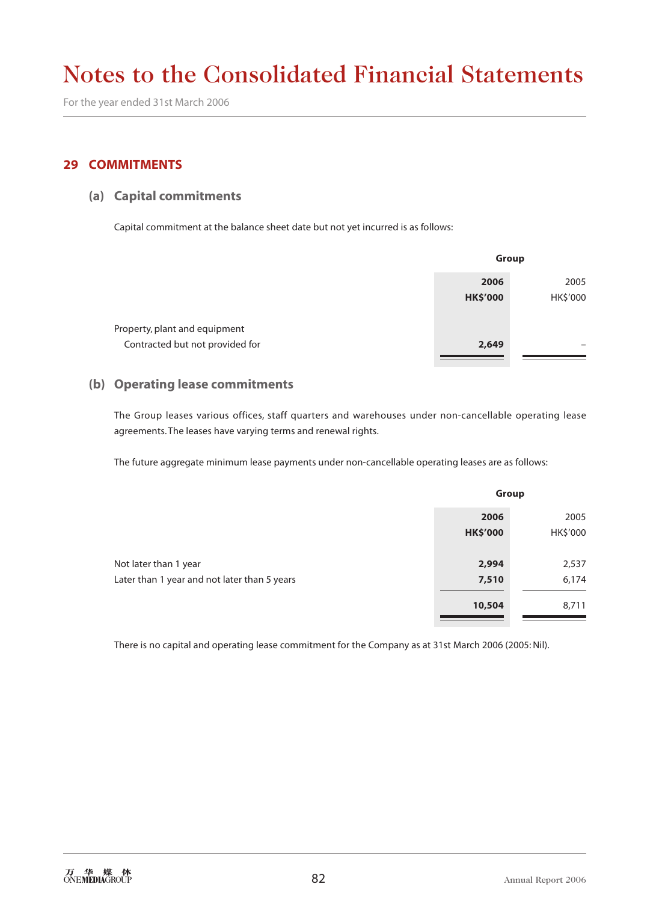For the year ended 31st March 2006

### **29 COMMITMENTS**

#### **(a) Capital commitments**

Capital commitment at the balance sheet date but not yet incurred is as follows:

|                                 | Group           |          |  |
|---------------------------------|-----------------|----------|--|
|                                 | 2006            | 2005     |  |
|                                 | <b>HK\$'000</b> | HK\$'000 |  |
| Property, plant and equipment   |                 |          |  |
| Contracted but not provided for | 2,649           |          |  |

#### **(b) Operating lease commitments**

The Group leases various offices, staff quarters and warehouses under non-cancellable operating lease agreements. The leases have varying terms and renewal rights.

The future aggregate minimum lease payments under non-cancellable operating leases are as follows:

|                                              | Group                   |                  |
|----------------------------------------------|-------------------------|------------------|
|                                              | 2006<br><b>HK\$'000</b> | 2005<br>HK\$'000 |
| Not later than 1 year                        | 2,994                   | 2,537            |
| Later than 1 year and not later than 5 years | 7,510                   | 6,174            |
|                                              | 10,504                  | 8,711            |

There is no capital and operating lease commitment for the Company as at 31st March 2006 (2005: Nil).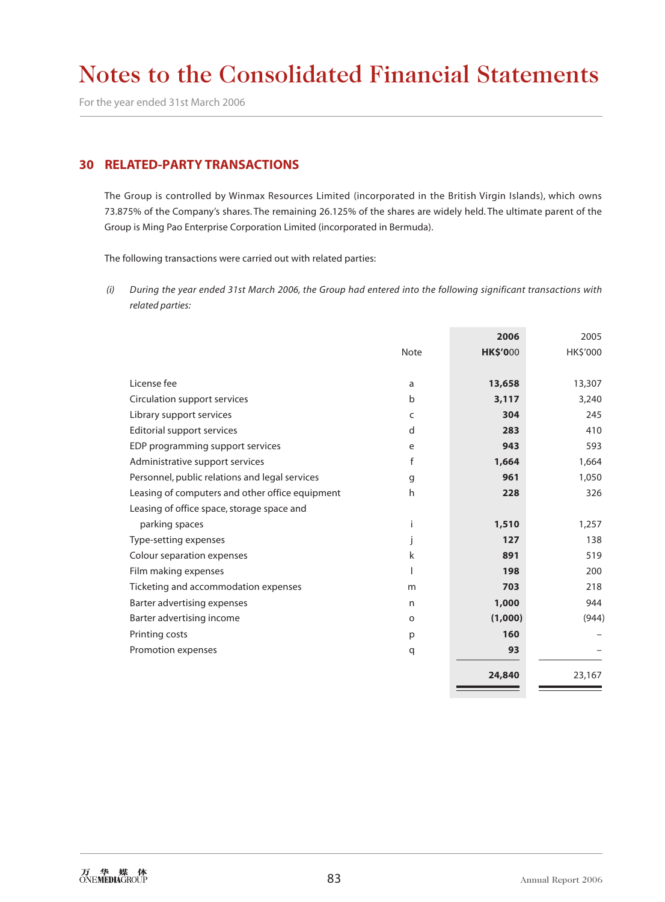For the year ended 31st March 2006

### **30 RELATED-PARTY TRANSACTIONS**

The Group is controlled by Winmax Resources Limited (incorporated in the British Virgin Islands), which owns 73.875% of the Company's shares. The remaining 26.125% of the shares are widely held. The ultimate parent of the Group is Ming Pao Enterprise Corporation Limited (incorporated in Bermuda).

The following transactions were carried out with related parties:

 *(i) During the year ended 31st March 2006, the Group had entered into the following significant transactions with related parties:*

|                                                 |             | 2006            | 2005     |
|-------------------------------------------------|-------------|-----------------|----------|
|                                                 | <b>Note</b> | <b>HK\$'000</b> | HK\$'000 |
|                                                 |             |                 |          |
| License fee                                     | a           | 13,658          | 13,307   |
| Circulation support services                    | b           | 3,117           | 3,240    |
| Library support services                        | C           | 304             | 245      |
| Editorial support services                      | d           | 283             | 410      |
| EDP programming support services                | e           | 943             | 593      |
| Administrative support services                 | f           | 1,664           | 1,664    |
| Personnel, public relations and legal services  | g           | 961             | 1,050    |
| Leasing of computers and other office equipment | h           | 228             | 326      |
| Leasing of office space, storage space and      |             |                 |          |
| parking spaces                                  | Ť           | 1,510           | 1,257    |
| Type-setting expenses                           |             | 127             | 138      |
| Colour separation expenses                      | k           | 891             | 519      |
| Film making expenses                            |             | 198             | 200      |
| Ticketing and accommodation expenses            | m           | 703             | 218      |
| Barter advertising expenses                     | n           | 1,000           | 944      |
| Barter advertising income                       | $\circ$     | (1,000)         | (944)    |
| Printing costs                                  | p           | 160             |          |
| Promotion expenses                              | q           | 93              |          |
|                                                 |             |                 |          |
|                                                 |             | 24,840          | 23,167   |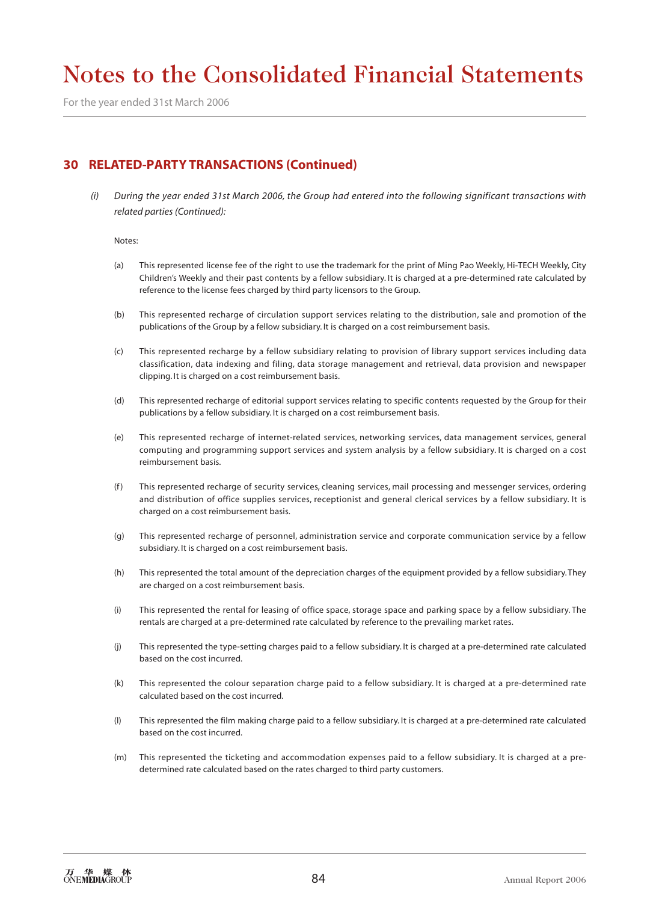For the year ended 31st March 2006

## **30 RELATED-PARTY TRANSACTIONS (Continued)**

 *(i) During the year ended 31st March 2006, the Group had entered into the following significant transactions with related parties (Continued):*

Notes:

- (a) This represented license fee of the right to use the trademark for the print of Ming Pao Weekly, Hi-TECH Weekly, City Children's Weekly and their past contents by a fellow subsidiary. It is charged at a pre-determined rate calculated by reference to the license fees charged by third party licensors to the Group.
- (b) This represented recharge of circulation support services relating to the distribution, sale and promotion of the publications of the Group by a fellow subsidiary. It is charged on a cost reimbursement basis.
- (c) This represented recharge by a fellow subsidiary relating to provision of library support services including data classification, data indexing and filing, data storage management and retrieval, data provision and newspaper clipping. It is charged on a cost reimbursement basis.
- (d) This represented recharge of editorial support services relating to specific contents requested by the Group for their publications by a fellow subsidiary. It is charged on a cost reimbursement basis.
- (e) This represented recharge of internet-related services, networking services, data management services, general computing and programming support services and system analysis by a fellow subsidiary. It is charged on a cost reimbursement basis.
- (f ) This represented recharge of security services, cleaning services, mail processing and messenger services, ordering and distribution of office supplies services, receptionist and general clerical services by a fellow subsidiary. It is charged on a cost reimbursement basis.
- (g) This represented recharge of personnel, administration service and corporate communication service by a fellow subsidiary. It is charged on a cost reimbursement basis.
- (h) This represented the total amount of the depreciation charges of the equipment provided by a fellow subsidiary. They are charged on a cost reimbursement basis.
- (i) This represented the rental for leasing of office space, storage space and parking space by a fellow subsidiary. The rentals are charged at a pre-determined rate calculated by reference to the prevailing market rates.
- (j) This represented the type-setting charges paid to a fellow subsidiary. It is charged at a pre-determined rate calculated based on the cost incurred.
- (k) This represented the colour separation charge paid to a fellow subsidiary. It is charged at a pre-determined rate calculated based on the cost incurred.
- (l) This represented the film making charge paid to a fellow subsidiary. It is charged at a pre-determined rate calculated based on the cost incurred.
- (m) This represented the ticketing and accommodation expenses paid to a fellow subsidiary. It is charged at a predetermined rate calculated based on the rates charged to third party customers.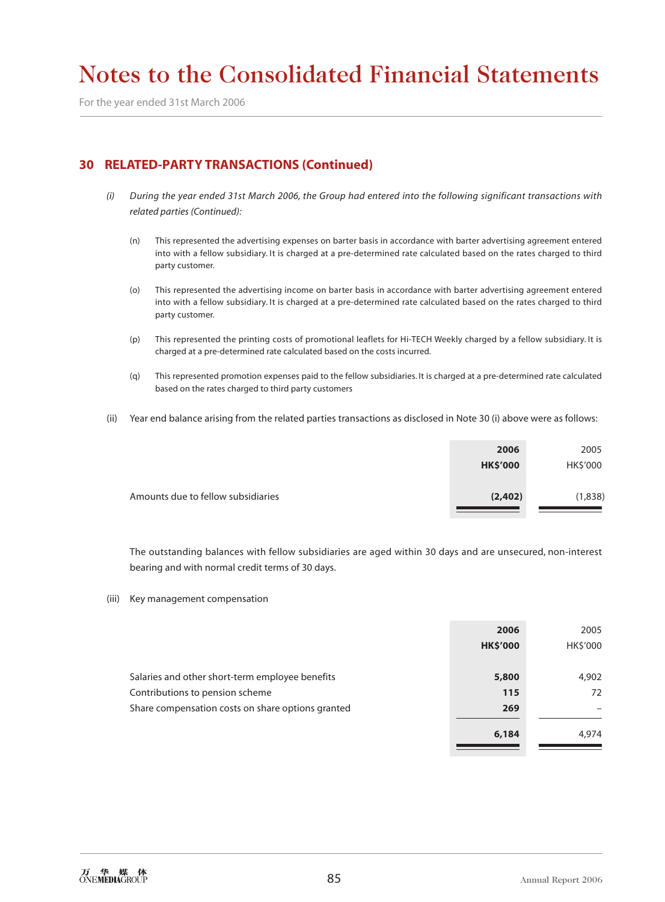For the year ended 31st March 2006

# **30 RELATED-PARTY TRANSACTIONS (Continued)**

- *(i) During the year ended 31st March 2006, the Group had entered into the following significant transactions with related parties (Continued):*
	- (n) This represented the advertising expenses on barter basis in accordance with barter advertising agreement entered into with a fellow subsidiary. It is charged at a pre-determined rate calculated based on the rates charged to third party customer.
	- (o) This represented the advertising income on barter basis in accordance with barter advertising agreement entered into with a fellow subsidiary. It is charged at a pre-determined rate calculated based on the rates charged to third party customer.
	- (p) This represented the printing costs of promotional leaflets for Hi-TECH Weekly charged by a fellow subsidiary. It is charged at a pre-determined rate calculated based on the costs incurred.
	- (q) This represented promotion expenses paid to the fellow subsidiaries. It is charged at a pre-determined rate calculated based on the rates charged to third party customers
- (ii) Year end balance arising from the related parties transactions as disclosed in Note 30 (i) above were as follows:

| 2006            | 2005     |
|-----------------|----------|
| <b>HK\$'000</b> | HK\$'000 |
| (2,402)         | (1,838)  |
|                 |          |

The outstanding balances with fellow subsidiaries are aged within 30 days and are unsecured, non-interest bearing and with normal credit terms of 30 days.

(iii) Key management compensation

|                                                   | 2006            | 2005     |
|---------------------------------------------------|-----------------|----------|
|                                                   | <b>HK\$'000</b> | HK\$'000 |
|                                                   |                 |          |
| Salaries and other short-term employee benefits   | 5,800           | 4,902    |
| Contributions to pension scheme                   | 115             | 72       |
| Share compensation costs on share options granted | 269             |          |
|                                                   |                 |          |
|                                                   | 6,184           | 4,974    |